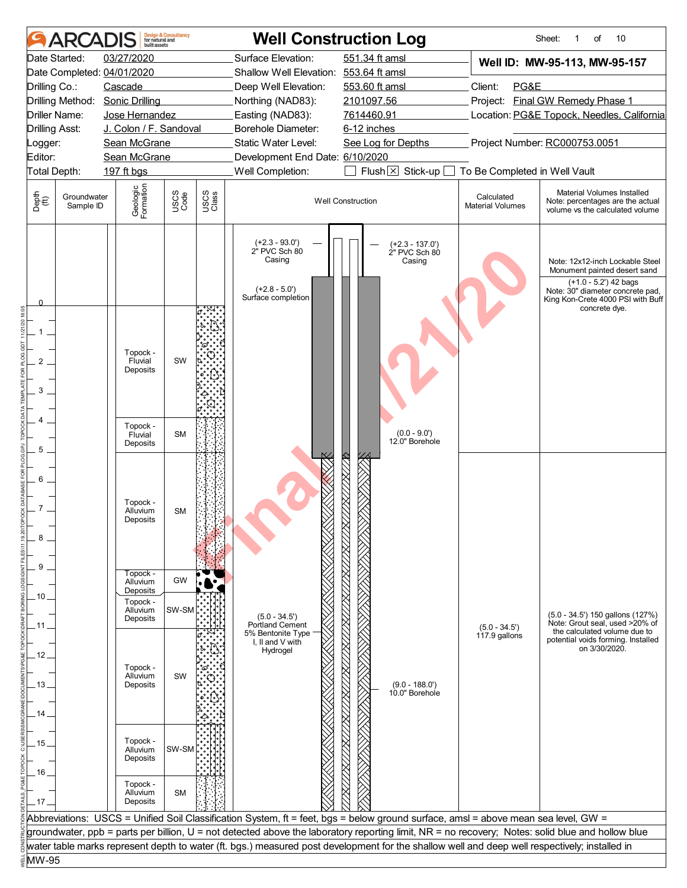|                       |                          | huilt assets                     | <b>Design &amp; Consultancy</b><br>for natural and |               | <b>Well Construction Log</b>                                                                                                                     |                          |                                              |                                       | 10<br>Sheet:<br>of                                                                                                                                                |  |  |  |
|-----------------------|--------------------------|----------------------------------|----------------------------------------------------|---------------|--------------------------------------------------------------------------------------------------------------------------------------------------|--------------------------|----------------------------------------------|---------------------------------------|-------------------------------------------------------------------------------------------------------------------------------------------------------------------|--|--|--|
|                       | Date Started:            | 03/27/2020                       |                                                    |               | Surface Elevation:                                                                                                                               | 551.34 ft amsl           |                                              |                                       | Well ID: MW-95-113, MW-95-157                                                                                                                                     |  |  |  |
|                       |                          | Date Completed: 04/01/2020       |                                                    |               | Shallow Well Elevation: 553.64 ft amsl                                                                                                           |                          |                                              |                                       |                                                                                                                                                                   |  |  |  |
| Drilling Co.:         |                          | Cascade                          |                                                    |               | Deep Well Elevation:                                                                                                                             | 553.60 ft amsl           |                                              | PG&E<br>Client:                       |                                                                                                                                                                   |  |  |  |
|                       |                          | Drilling Method: Sonic Drilling  |                                                    |               | Northing (NAD83):                                                                                                                                | 2101097.56               |                                              |                                       | Project: Final GW Remedy Phase 1                                                                                                                                  |  |  |  |
|                       | Driller Name:            | Jose Hernandez                   |                                                    |               | Easting (NAD83):                                                                                                                                 | 7614460.91               |                                              |                                       | Location: PG&E Topock, Needles, California                                                                                                                        |  |  |  |
| <b>Drilling Asst:</b> |                          | J. Colon / F. Sandoval           |                                                    |               | Borehole Diameter:                                                                                                                               | 6-12 inches              |                                              |                                       |                                                                                                                                                                   |  |  |  |
| Logger:               |                          | Sean McGrane                     |                                                    |               | Static Water Level:                                                                                                                              |                          | See Log for Depths                           |                                       | Project Number: RC000753.0051                                                                                                                                     |  |  |  |
| Editor:               |                          | Sean McGrane                     |                                                    |               | Development End Date: 6/10/2020                                                                                                                  |                          |                                              |                                       |                                                                                                                                                                   |  |  |  |
| Total Depth:          |                          | 197 ft bgs                       |                                                    |               | Well Completion:                                                                                                                                 |                          | Flush $\times$ Stick-up [                    | To Be Completed in Well Vault         |                                                                                                                                                                   |  |  |  |
| Depth<br>(ff)         | Groundwater<br>Sample ID | Geologic<br>Formation            | USCS<br>Code                                       | USCS<br>Class |                                                                                                                                                  | <b>Well Construction</b> |                                              | Calculated<br><b>Material Volumes</b> | Material Volumes Installed<br>Note: percentages are the actual<br>volume vs the calculated volume                                                                 |  |  |  |
| 0                     |                          |                                  |                                                    |               | $(+2.3 - 93.0')$<br>2" PVC Sch 80<br>Casing<br>$(+2.8 - 5.0')$<br>Surface completion                                                             |                          | $(+2.3 - 137.0')$<br>2" PVC Sch 80<br>Casing |                                       | Note: 12x12-inch Lockable Steel<br>Monument painted desert sand<br>(+1.0 - 5.2') 42 bags<br>Note: 30" diameter concrete pad,<br>King Kon-Crete 4000 PSI with Buff |  |  |  |
|                       |                          |                                  |                                                    |               |                                                                                                                                                  |                          |                                              |                                       | concrete dye.                                                                                                                                                     |  |  |  |
|                       |                          |                                  |                                                    |               |                                                                                                                                                  |                          |                                              |                                       |                                                                                                                                                                   |  |  |  |
|                       |                          | Topock -                         |                                                    |               |                                                                                                                                                  |                          |                                              |                                       |                                                                                                                                                                   |  |  |  |
| 2                     |                          | Fluvial<br>Deposits              | SW                                                 |               |                                                                                                                                                  |                          |                                              |                                       |                                                                                                                                                                   |  |  |  |
|                       |                          |                                  |                                                    |               |                                                                                                                                                  |                          |                                              |                                       |                                                                                                                                                                   |  |  |  |
| 3                     |                          |                                  |                                                    |               |                                                                                                                                                  |                          |                                              |                                       |                                                                                                                                                                   |  |  |  |
|                       |                          |                                  |                                                    |               |                                                                                                                                                  |                          |                                              |                                       |                                                                                                                                                                   |  |  |  |
| 4                     |                          | Topock -                         |                                                    |               |                                                                                                                                                  |                          |                                              |                                       |                                                                                                                                                                   |  |  |  |
|                       |                          | Fluvial<br>Deposits              | <b>SM</b>                                          |               |                                                                                                                                                  |                          | $(0.0 - 9.0')$<br>12.0" Borehole             |                                       |                                                                                                                                                                   |  |  |  |
| 5                     |                          |                                  |                                                    |               |                                                                                                                                                  |                          |                                              |                                       |                                                                                                                                                                   |  |  |  |
| 6<br>8                |                          | Topock -<br>Alluvium<br>Deposits | <b>SM</b>                                          |               |                                                                                                                                                  |                          |                                              |                                       |                                                                                                                                                                   |  |  |  |
| 9                     |                          |                                  |                                                    |               |                                                                                                                                                  |                          |                                              |                                       |                                                                                                                                                                   |  |  |  |
|                       |                          | Topock -<br>Alluvium             | GW                                                 |               |                                                                                                                                                  |                          |                                              |                                       |                                                                                                                                                                   |  |  |  |
| 10                    |                          | Deposits<br>Topock -             |                                                    |               |                                                                                                                                                  |                          |                                              |                                       |                                                                                                                                                                   |  |  |  |
|                       |                          | Alluvium                         | SW-SM                                              |               | $(5.0 - 34.5')$                                                                                                                                  |                          |                                              |                                       | (5.0 - 34.5') 150 gallons (127%)                                                                                                                                  |  |  |  |
| 11                    |                          | Deposits                         |                                                    |               | Portland Cement                                                                                                                                  |                          |                                              | $(5.0 - 34.5')$                       | Note: Grout seal, used >20% of<br>the calculated volume due to                                                                                                    |  |  |  |
|                       |                          |                                  |                                                    |               | 5% Bentonite Type<br>I. II and V with                                                                                                            |                          |                                              | 117.9 gallons                         | potential voids forming. Installed                                                                                                                                |  |  |  |
| 12                    |                          |                                  |                                                    |               | Hydrogel                                                                                                                                         |                          |                                              |                                       | on 3/30/2020.                                                                                                                                                     |  |  |  |
|                       |                          | Topock -<br>Alluvium             | SW                                                 |               |                                                                                                                                                  |                          |                                              |                                       |                                                                                                                                                                   |  |  |  |
| 13 <sub>1</sub>       |                          | Deposits                         |                                                    |               |                                                                                                                                                  |                          | $(9.0 - 188.0')$                             |                                       |                                                                                                                                                                   |  |  |  |
|                       |                          |                                  |                                                    |               |                                                                                                                                                  |                          | 10.0" Borehole                               |                                       |                                                                                                                                                                   |  |  |  |
| 14                    |                          |                                  |                                                    |               |                                                                                                                                                  |                          |                                              |                                       |                                                                                                                                                                   |  |  |  |
|                       |                          |                                  |                                                    |               |                                                                                                                                                  |                          |                                              |                                       |                                                                                                                                                                   |  |  |  |
| . 15                  |                          | Topock -<br>Alluvium             | SW-SM                                              |               |                                                                                                                                                  |                          |                                              |                                       |                                                                                                                                                                   |  |  |  |
|                       |                          | Deposits                         |                                                    |               |                                                                                                                                                  |                          |                                              |                                       |                                                                                                                                                                   |  |  |  |
| 16                    |                          |                                  |                                                    |               |                                                                                                                                                  |                          |                                              |                                       |                                                                                                                                                                   |  |  |  |
|                       |                          | Topock -<br>Alluvium             | <b>SM</b>                                          |               |                                                                                                                                                  |                          |                                              |                                       |                                                                                                                                                                   |  |  |  |
| $-17-$                |                          | Deposits                         |                                                    |               |                                                                                                                                                  |                          |                                              |                                       |                                                                                                                                                                   |  |  |  |
|                       |                          |                                  |                                                    |               | Abbreviations: USCS = Unified Soil Classification System, ft = feet, bgs = below ground surface, amsl = above mean sea level, GW =               |                          |                                              |                                       |                                                                                                                                                                   |  |  |  |
|                       |                          |                                  |                                                    |               | groundwater, ppb = parts per billion, U = not detected above the laboratory reporting limit, NR = no recovery; Notes: solid blue and hollow blue |                          |                                              |                                       |                                                                                                                                                                   |  |  |  |
|                       |                          |                                  |                                                    |               | water table marks represent depth to water (ft. bgs.) measured post development for the shallow well and deep well respectively; installed in    |                          |                                              |                                       |                                                                                                                                                                   |  |  |  |
| MW-95                 |                          |                                  |                                                    |               |                                                                                                                                                  |                          |                                              |                                       |                                                                                                                                                                   |  |  |  |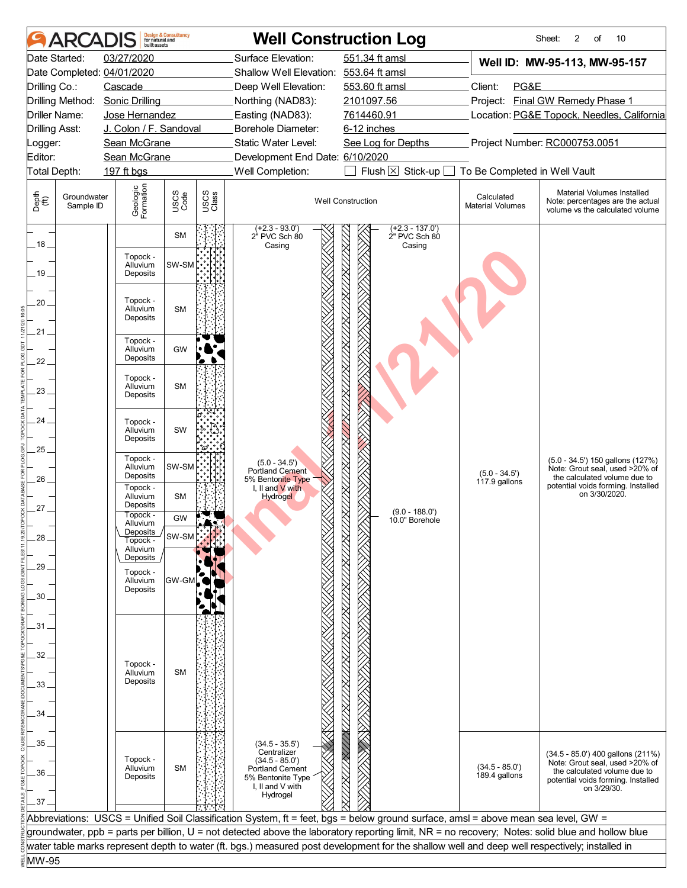|                       | <b>ARCAI</b>             | huilt assets                     | <b>Design &amp; Consultancy</b><br>for natural and |               |                                                                                                                | <b>Well Construction Log</b>                                                                                                                     |                                       | 2<br>10<br>Sheet:<br>οf                                                                                                                                  |
|-----------------------|--------------------------|----------------------------------|----------------------------------------------------|---------------|----------------------------------------------------------------------------------------------------------------|--------------------------------------------------------------------------------------------------------------------------------------------------|---------------------------------------|----------------------------------------------------------------------------------------------------------------------------------------------------------|
|                       | Date Started:            | 03/27/2020                       |                                                    |               | Surface Elevation:                                                                                             | 551.34 ft amsl                                                                                                                                   |                                       | Well ID: MW-95-113, MW-95-157                                                                                                                            |
|                       |                          | Date Completed: 04/01/2020       |                                                    |               | Shallow Well Elevation: 553.64 ft amsl                                                                         |                                                                                                                                                  |                                       |                                                                                                                                                          |
| Drilling Co.:         |                          | Cascade                          |                                                    |               | Deep Well Elevation:                                                                                           | 553.60 ft amsl                                                                                                                                   | Client:<br>PG&E                       |                                                                                                                                                          |
|                       | Drilling Method:         | <b>Sonic Drilling</b>            |                                                    |               | Northing (NAD83):                                                                                              | 2101097.56                                                                                                                                       |                                       | Project: Final GW Remedy Phase 1                                                                                                                         |
| Driller Name:         |                          | Jose Hernandez                   |                                                    |               | Easting (NAD83):                                                                                               | 7614460.91                                                                                                                                       |                                       | Location: PG&E Topock, Needles, California                                                                                                               |
| <b>Drilling Asst:</b> |                          | J. Colon / F. Sandoval           |                                                    |               | Borehole Diameter:                                                                                             | 6-12 inches                                                                                                                                      |                                       |                                                                                                                                                          |
| _ogger:               |                          | Sean McGrane                     |                                                    |               | Static Water Level:                                                                                            | See Log for Depths                                                                                                                               |                                       | Project Number: RC000753.0051                                                                                                                            |
| Editor:               |                          | Sean McGrane                     |                                                    |               | Development End Date: 6/10/2020                                                                                |                                                                                                                                                  |                                       |                                                                                                                                                          |
| Total Depth:          |                          | 197 ft bgs                       |                                                    |               | Well Completion:                                                                                               | Flush $\boxtimes$<br>Stick-up                                                                                                                    | To Be Completed in Well Vault         |                                                                                                                                                          |
| Depth<br>(ff)         | Groundwater<br>Sample ID | Geologic<br>Formation            | USCS<br>Code                                       | USCS<br>Class |                                                                                                                | <b>Well Construction</b>                                                                                                                         | Calculated<br><b>Material Volumes</b> | Material Volumes Installed<br>Note: percentages are the actual<br>volume vs the calculated volume                                                        |
| .18.                  |                          |                                  | <b>SM</b>                                          |               | $(+2.3 - 93.0')$<br>2" PVC Sch 80<br>Casing                                                                    | $(+2.3 - 137.0')$<br>2" PVC Sch 80<br>Casing                                                                                                     |                                       |                                                                                                                                                          |
|                       |                          | Topock -<br>Alluvium             | SW-SM                                              |               |                                                                                                                |                                                                                                                                                  |                                       |                                                                                                                                                          |
| 19.                   |                          | Deposits                         |                                                    |               |                                                                                                                |                                                                                                                                                  |                                       |                                                                                                                                                          |
| 20                    |                          | Topock -<br>Alluvium<br>Deposits | <b>SM</b>                                          |               |                                                                                                                |                                                                                                                                                  |                                       |                                                                                                                                                          |
| .21 .                 |                          | Topock -                         |                                                    |               |                                                                                                                |                                                                                                                                                  |                                       |                                                                                                                                                          |
| 22                    |                          | Alluvium<br>Deposits             | GW                                                 |               |                                                                                                                |                                                                                                                                                  |                                       |                                                                                                                                                          |
| $23 -$                |                          | Topock -<br>Alluvium<br>Deposits | <b>SM</b>                                          |               |                                                                                                                |                                                                                                                                                  |                                       |                                                                                                                                                          |
| 24                    |                          | Topock -<br>Alluvium<br>Deposits | SW                                                 |               |                                                                                                                |                                                                                                                                                  |                                       |                                                                                                                                                          |
| 25                    |                          | Topock -                         |                                                    |               | $(5.0 - 34.5')$                                                                                                |                                                                                                                                                  |                                       | (5.0 - 34.5') 150 gallons (127%)                                                                                                                         |
| 26.                   |                          | Alluvium<br>Deposits<br>Topock - | SW-SM                                              |               | Portland Cement<br>5% Bentonite Type<br>I, II and V with                                                       |                                                                                                                                                  | $(5.0 - 34.5')$<br>117.9 gallons      | Note: Grout seal, used >20% of<br>the calculated volume due to<br>potential voids forming. Installed                                                     |
| 27                    |                          | Alluvium<br>Deposits             | <b>SM</b>                                          |               | <b>Hydrogel</b>                                                                                                |                                                                                                                                                  |                                       | on 3/30/2020.                                                                                                                                            |
|                       |                          | Topock -<br>Alluvium             | GW                                                 |               |                                                                                                                | $(9.0 - 188.0')$<br>10.0" Borehole                                                                                                               |                                       |                                                                                                                                                          |
| 28                    |                          | Deposits<br>Topock -             | SW-SM                                              |               |                                                                                                                |                                                                                                                                                  |                                       |                                                                                                                                                          |
|                       |                          | Alluvium                         |                                                    |               |                                                                                                                |                                                                                                                                                  |                                       |                                                                                                                                                          |
| 29                    |                          | Deposits<br>Topock -             |                                                    |               |                                                                                                                |                                                                                                                                                  |                                       |                                                                                                                                                          |
|                       |                          | Alluvium<br>Deposits             | GW-GI                                              |               |                                                                                                                |                                                                                                                                                  |                                       |                                                                                                                                                          |
| 30 <sub>1</sub>       |                          |                                  |                                                    |               |                                                                                                                |                                                                                                                                                  |                                       |                                                                                                                                                          |
|                       |                          |                                  |                                                    |               |                                                                                                                |                                                                                                                                                  |                                       |                                                                                                                                                          |
| 31                    |                          |                                  |                                                    |               |                                                                                                                |                                                                                                                                                  |                                       |                                                                                                                                                          |
|                       |                          |                                  |                                                    |               |                                                                                                                |                                                                                                                                                  |                                       |                                                                                                                                                          |
| 32                    |                          | Topock -                         |                                                    |               |                                                                                                                |                                                                                                                                                  |                                       |                                                                                                                                                          |
|                       |                          | Alluvium                         | <b>SM</b>                                          |               |                                                                                                                |                                                                                                                                                  |                                       |                                                                                                                                                          |
| 33                    |                          | Deposits                         |                                                    |               |                                                                                                                |                                                                                                                                                  |                                       |                                                                                                                                                          |
|                       |                          |                                  |                                                    |               |                                                                                                                |                                                                                                                                                  |                                       |                                                                                                                                                          |
| 34.                   |                          |                                  |                                                    |               |                                                                                                                |                                                                                                                                                  |                                       |                                                                                                                                                          |
| 35                    |                          |                                  |                                                    |               | $(34.5 - 35.5')$                                                                                               |                                                                                                                                                  |                                       |                                                                                                                                                          |
| 36                    |                          | Topock -<br>Alluvium<br>Deposits | <b>SM</b>                                          |               | Centralizer<br>$(34.5 - 85.0')$<br><b>Portland Cement</b><br>5% Bentonite Type<br>I, II and V with<br>Hydrogel |                                                                                                                                                  | $(34.5 - 85.0')$<br>189.4 gallons     | (34.5 - 85.0') 400 gallons (211%)<br>Note: Grout seal, used >20% of<br>the calculated volume due to<br>potential voids forming. Installed<br>on 3/29/30. |
| .37.                  |                          |                                  |                                                    |               |                                                                                                                |                                                                                                                                                  |                                       |                                                                                                                                                          |
|                       |                          |                                  |                                                    |               |                                                                                                                | Abbreviations: USCS = Unified Soil Classification System, ft = feet, bgs = below ground surface, amsl = above mean sea level, GW =               |                                       |                                                                                                                                                          |
|                       |                          |                                  |                                                    |               |                                                                                                                | groundwater, ppb = parts per billion, U = not detected above the laboratory reporting limit, NR = no recovery; Notes: solid blue and hollow blue |                                       |                                                                                                                                                          |
|                       |                          |                                  |                                                    |               |                                                                                                                | water table marks represent depth to water (ft. bgs.) measured post development for the shallow well and deep well respectively; installed in    |                                       |                                                                                                                                                          |
| MW-95                 |                          |                                  |                                                    |               |                                                                                                                |                                                                                                                                                  |                                       |                                                                                                                                                          |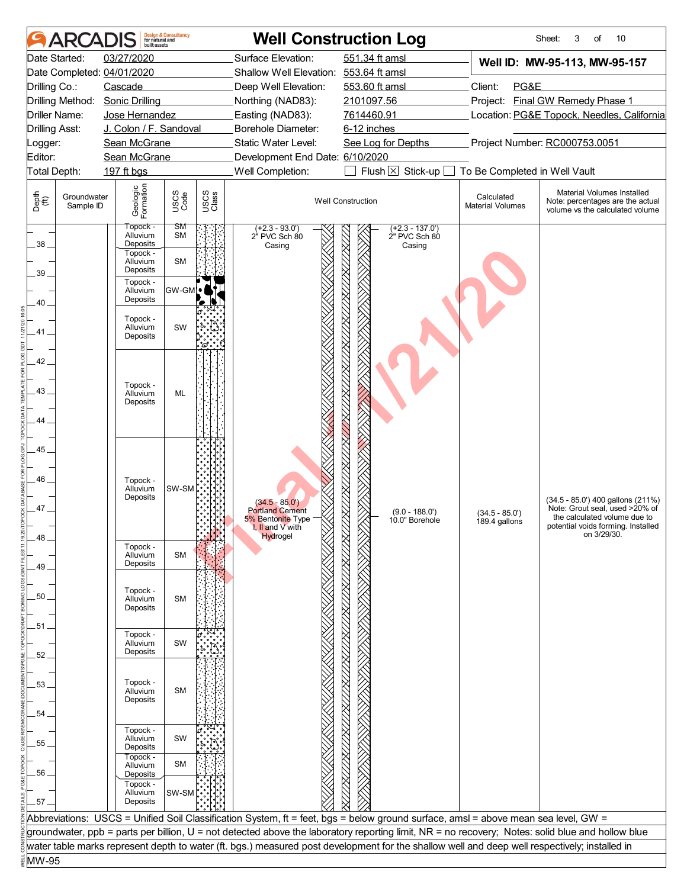|                       | <b>ARCAI</b>             | huilt assets                             | <b>Design &amp; Consultancy</b><br>for natural and |               |                                                                 | <b>Well Construction Log</b>                                                                                                                     |                                       | 10<br>Sheet:<br>3<br>of                                                                                                                   |  |
|-----------------------|--------------------------|------------------------------------------|----------------------------------------------------|---------------|-----------------------------------------------------------------|--------------------------------------------------------------------------------------------------------------------------------------------------|---------------------------------------|-------------------------------------------------------------------------------------------------------------------------------------------|--|
|                       | Date Started:            | 03/27/2020<br>Date Completed: 04/01/2020 |                                                    |               | Surface Elevation:<br>Shallow Well Elevation: 553.64 ft amsl    | 551.34 ft amsl                                                                                                                                   |                                       | Well ID: MW-95-113, MW-95-157                                                                                                             |  |
| Drilling Co.:         |                          | Cascade                                  |                                                    |               | Deep Well Elevation:                                            | 553.60 ft amsl                                                                                                                                   | Client:<br>PG&E                       |                                                                                                                                           |  |
|                       |                          |                                          |                                                    |               |                                                                 |                                                                                                                                                  |                                       |                                                                                                                                           |  |
|                       | Drilling Method:         | <b>Sonic Drilling</b>                    |                                                    |               | Northing (NAD83):                                               | 2101097.56                                                                                                                                       |                                       | Project: Final GW Remedy Phase 1                                                                                                          |  |
| Driller Name:         |                          | Jose Hernandez                           |                                                    |               | Easting (NAD83):                                                | 7614460.91                                                                                                                                       |                                       | Location: PG&E Topock, Needles, California                                                                                                |  |
| <b>Drilling Asst:</b> |                          | J. Colon / F. Sandoval                   |                                                    |               | Borehole Diameter:                                              | 6-12 inches                                                                                                                                      |                                       |                                                                                                                                           |  |
| _ogger:               |                          | Sean McGrane                             |                                                    |               | Static Water Level:                                             | See Log for Depths                                                                                                                               |                                       | Project Number: RC000753.0051                                                                                                             |  |
| Editor:               |                          | Sean McGrane                             |                                                    |               | Development End Date: 6/10/2020                                 |                                                                                                                                                  |                                       |                                                                                                                                           |  |
| Total Depth:          |                          | 197 ft bgs                               |                                                    |               | Well Completion:                                                | Flush $\boxtimes$<br>Stick-up [                                                                                                                  | To Be Completed in Well Vault         |                                                                                                                                           |  |
| Depth<br>(ff)         | Groundwater<br>Sample ID | Geologic<br>Formation                    | USCS<br>Code                                       | USCS<br>Class |                                                                 | <b>Well Construction</b>                                                                                                                         | Calculated<br><b>Material Volumes</b> | Material Volumes Installed<br>Note: percentages are the actual<br>volume vs the calculated volume                                         |  |
| 38                    |                          | Topock -<br>Alluvium<br>Deposits         | SM<br><b>SM</b>                                    |               | $(+2.3 - 93.0')$<br>2" PVC Sch 80<br>Casing                     | $(+2.3 - 137.0')$<br>2" PVC Sch 80<br>Casing                                                                                                     |                                       |                                                                                                                                           |  |
| 39.                   |                          | Topock -<br>Alluvium<br>Deposits         | <b>SM</b>                                          |               |                                                                 |                                                                                                                                                  |                                       |                                                                                                                                           |  |
|                       |                          | Topock -<br>Alluvium<br>Deposits         | <b>GW-GM</b>                                       | Ъ             |                                                                 |                                                                                                                                                  |                                       |                                                                                                                                           |  |
| 40<br>41.             |                          | Topock -<br>Alluvium                     | SW                                                 |               |                                                                 |                                                                                                                                                  |                                       |                                                                                                                                           |  |
| 42                    |                          | Deposits                                 |                                                    | 'ద            |                                                                 |                                                                                                                                                  |                                       |                                                                                                                                           |  |
| $43 -$                |                          | Topock -<br>Alluvium                     | <b>ML</b>                                          |               |                                                                 |                                                                                                                                                  |                                       |                                                                                                                                           |  |
| 44                    |                          | Deposits                                 |                                                    |               |                                                                 |                                                                                                                                                  |                                       |                                                                                                                                           |  |
| 45                    |                          |                                          |                                                    |               |                                                                 |                                                                                                                                                  |                                       |                                                                                                                                           |  |
| 46_                   |                          | Topock -<br>Alluvium                     | SW-SM                                              |               |                                                                 |                                                                                                                                                  |                                       |                                                                                                                                           |  |
| 47                    |                          | Deposits                                 |                                                    |               | $(34.5 - 85.0')$<br><b>Portland Cement</b><br>5% Bentonite Type | $(9.0 - 188.0')$<br>10.0" Borehole                                                                                                               | $(34.5 - 85.0')$<br>189.4 gallons     | (34.5 - 85.0') 400 gallons (211%)<br>Note: Grout seal, used >20% of<br>the calculated volume due to<br>potential voids forming. Installed |  |
| 48                    |                          |                                          |                                                    |               | I, II and V with<br>Hydrogel                                    |                                                                                                                                                  |                                       | on 3/29/30.                                                                                                                               |  |
|                       |                          | Topock -<br>Alluvium<br>Deposits         | <b>SM</b>                                          |               |                                                                 |                                                                                                                                                  |                                       |                                                                                                                                           |  |
| 49.                   |                          |                                          |                                                    |               |                                                                 |                                                                                                                                                  |                                       |                                                                                                                                           |  |
| 50.                   |                          | Topock -<br>Alluvium<br>Deposits         | <b>SM</b>                                          |               |                                                                 |                                                                                                                                                  |                                       |                                                                                                                                           |  |
|                       |                          |                                          |                                                    |               |                                                                 |                                                                                                                                                  |                                       |                                                                                                                                           |  |
| 51.                   |                          | Topock -                                 |                                                    |               |                                                                 |                                                                                                                                                  |                                       |                                                                                                                                           |  |
|                       |                          | Alluvium<br>Deposits                     | SW                                                 |               |                                                                 |                                                                                                                                                  |                                       |                                                                                                                                           |  |
| 52                    |                          |                                          |                                                    |               |                                                                 |                                                                                                                                                  |                                       |                                                                                                                                           |  |
|                       |                          |                                          |                                                    |               |                                                                 |                                                                                                                                                  |                                       |                                                                                                                                           |  |
| 53.                   |                          | Topock -<br>Alluvium                     | <b>SM</b>                                          |               |                                                                 |                                                                                                                                                  |                                       |                                                                                                                                           |  |
|                       |                          | Deposits                                 |                                                    |               |                                                                 |                                                                                                                                                  |                                       |                                                                                                                                           |  |
| $54 -$                |                          |                                          |                                                    |               |                                                                 |                                                                                                                                                  |                                       |                                                                                                                                           |  |
| 55.                   |                          | Topock -<br>Alluvium                     | SW                                                 |               |                                                                 |                                                                                                                                                  |                                       |                                                                                                                                           |  |
|                       |                          | Deposits<br>Topock -<br>Alluvium         | <b>SM</b>                                          |               |                                                                 |                                                                                                                                                  |                                       |                                                                                                                                           |  |
| .56.                  |                          | Deposits<br>Topock -<br>Alluvium         | SW-SM                                              |               |                                                                 |                                                                                                                                                  |                                       |                                                                                                                                           |  |
| $.57-$                |                          | Deposits                                 |                                                    |               |                                                                 |                                                                                                                                                  |                                       |                                                                                                                                           |  |
|                       |                          |                                          |                                                    |               |                                                                 | Abbreviations: USCS = Unified Soil Classification System, ft = feet, bgs = below ground surface, amsl = above mean sea level, GW =               |                                       |                                                                                                                                           |  |
|                       |                          |                                          |                                                    |               |                                                                 | groundwater, ppb = parts per billion, U = not detected above the laboratory reporting limit, NR = no recovery; Notes: solid blue and hollow blue |                                       |                                                                                                                                           |  |
| MW-95                 |                          |                                          |                                                    |               |                                                                 | water table marks represent depth to water (ft. bgs.) measured post development for the shallow well and deep well respectively; installed in    |                                       |                                                                                                                                           |  |
|                       |                          |                                          |                                                    |               |                                                                 |                                                                                                                                                  |                                       |                                                                                                                                           |  |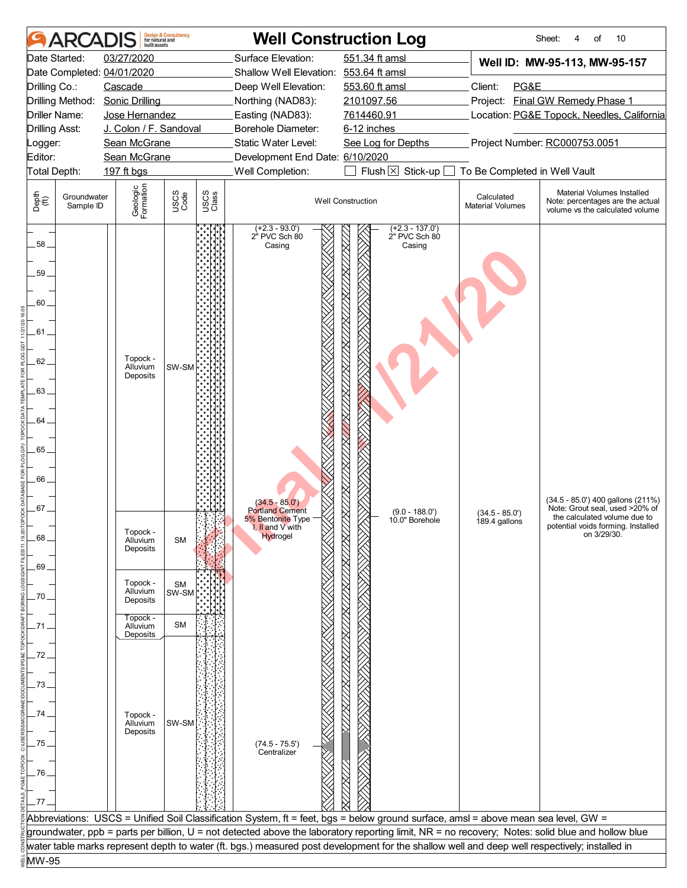|                                        | ARCADI                   | built assets                             | <b>Design &amp; Consultancy</b><br>for natural and |               |                                             | <b>Well Construction Log</b>                                                                                                                                                                                                                                                                      |                                       | 10<br>Sheet:<br>of<br>4                                                                           |  |
|----------------------------------------|--------------------------|------------------------------------------|----------------------------------------------------|---------------|---------------------------------------------|---------------------------------------------------------------------------------------------------------------------------------------------------------------------------------------------------------------------------------------------------------------------------------------------------|---------------------------------------|---------------------------------------------------------------------------------------------------|--|
| Date Started:                          |                          | 03/27/2020                               |                                                    |               | Surface Elevation:                          | 551.34 ft amsl                                                                                                                                                                                                                                                                                    |                                       | Well ID: MW-95-113, MW-95-157                                                                     |  |
|                                        |                          | Date Completed: 04/01/2020               |                                                    |               | Shallow Well Elevation: 553.64 ft amsl      |                                                                                                                                                                                                                                                                                                   |                                       |                                                                                                   |  |
| Drilling Co.:                          |                          | Cascade                                  |                                                    |               | Deep Well Elevation:                        | 553.60 ft amsl                                                                                                                                                                                                                                                                                    | Client:<br>PG&E                       |                                                                                                   |  |
|                                        | Drilling Method:         | <b>Sonic Drilling</b>                    |                                                    |               | Northing (NAD83):                           | 2101097.56                                                                                                                                                                                                                                                                                        |                                       | Project: Final GW Remedy Phase 1                                                                  |  |
| Driller Name:<br><b>Drilling Asst:</b> |                          | Jose Hernandez<br>J. Colon / F. Sandoval |                                                    |               | Easting (NAD83):<br>Borehole Diameter:      | 7614460.91<br>6-12 inches                                                                                                                                                                                                                                                                         |                                       | Location: PG&E Topock, Needles, California                                                        |  |
| Logger:                                |                          | Sean McGrane                             |                                                    |               | Static Water Level:                         | See Log for Depths                                                                                                                                                                                                                                                                                | Project Number: RC000753.0051         |                                                                                                   |  |
| Editor:                                |                          | Sean McGrane                             |                                                    |               | Development End Date: 6/10/2020             |                                                                                                                                                                                                                                                                                                   |                                       |                                                                                                   |  |
| Total Depth:                           |                          | 197 ft bgs                               |                                                    |               | Well Completion:                            | Flush $\times$ Stick-up [                                                                                                                                                                                                                                                                         | To Be Completed in Well Vault         |                                                                                                   |  |
| Depth<br>(ff)                          | Groundwater<br>Sample ID | Geologic<br>Formation                    | USCS<br>Code                                       | USCS<br>Class |                                             | <b>Well Construction</b>                                                                                                                                                                                                                                                                          | Calculated<br><b>Material Volumes</b> | Material Volumes Installed<br>Note: percentages are the actual<br>volume vs the calculated volume |  |
| 58.                                    |                          |                                          |                                                    |               | $(+2.3 - 93.0')$<br>2" PVC Sch 80<br>Casing | $(+2.3 - 137.0')$<br>2" PVC Sch 80<br>Casing                                                                                                                                                                                                                                                      |                                       |                                                                                                   |  |
| 59.                                    |                          |                                          |                                                    |               |                                             |                                                                                                                                                                                                                                                                                                   |                                       |                                                                                                   |  |
| 60.<br>.61.                            |                          |                                          |                                                    |               |                                             |                                                                                                                                                                                                                                                                                                   |                                       |                                                                                                   |  |
|                                        |                          |                                          |                                                    |               |                                             |                                                                                                                                                                                                                                                                                                   |                                       |                                                                                                   |  |
| 62                                     |                          | Topock -<br>Alluvium                     | SW-SM                                              |               |                                             |                                                                                                                                                                                                                                                                                                   |                                       |                                                                                                   |  |
|                                        |                          | Deposits                                 |                                                    |               |                                             |                                                                                                                                                                                                                                                                                                   |                                       |                                                                                                   |  |
| 63.                                    |                          |                                          |                                                    |               |                                             |                                                                                                                                                                                                                                                                                                   |                                       |                                                                                                   |  |
|                                        |                          |                                          |                                                    |               |                                             |                                                                                                                                                                                                                                                                                                   |                                       |                                                                                                   |  |
| 64.                                    |                          |                                          |                                                    |               |                                             |                                                                                                                                                                                                                                                                                                   |                                       |                                                                                                   |  |
|                                        |                          |                                          |                                                    |               |                                             |                                                                                                                                                                                                                                                                                                   |                                       |                                                                                                   |  |
| .65                                    |                          |                                          |                                                    |               |                                             |                                                                                                                                                                                                                                                                                                   |                                       |                                                                                                   |  |
| 66.                                    |                          |                                          |                                                    |               |                                             |                                                                                                                                                                                                                                                                                                   |                                       |                                                                                                   |  |
|                                        |                          |                                          |                                                    |               |                                             |                                                                                                                                                                                                                                                                                                   |                                       |                                                                                                   |  |
| 67.                                    |                          |                                          |                                                    |               | $(34.5 - 85.0')$<br><b>Portland Cement</b>  | $(9.0 - 188.0')$                                                                                                                                                                                                                                                                                  | $(34.5 - 85.0')$                      | (34.5 - 85.0') 400 gallons (211%)<br>Note: Grout seal, used >20% of                               |  |
|                                        |                          |                                          |                                                    |               | 5% Bentonite Type<br>I, II and V with       | 10.0" Borehole                                                                                                                                                                                                                                                                                    | 189.4 gallons                         | the calculated volume due to<br>potential voids forming. Installed                                |  |
| 68.                                    |                          | Topock -<br>Alluvium                     | <b>SM</b>                                          |               | Hydrogel                                    |                                                                                                                                                                                                                                                                                                   |                                       | on 3/29/30.                                                                                       |  |
|                                        |                          | Deposits                                 |                                                    |               |                                             |                                                                                                                                                                                                                                                                                                   |                                       |                                                                                                   |  |
| .69.                                   |                          |                                          |                                                    |               |                                             |                                                                                                                                                                                                                                                                                                   |                                       |                                                                                                   |  |
|                                        |                          | Topock -<br>Alluvium                     | <b>SM</b>                                          |               |                                             |                                                                                                                                                                                                                                                                                                   |                                       |                                                                                                   |  |
| .70                                    |                          | Deposits                                 | SW-SM                                              |               |                                             |                                                                                                                                                                                                                                                                                                   |                                       |                                                                                                   |  |
|                                        |                          | Topock -                                 | <b>SM</b>                                          |               |                                             |                                                                                                                                                                                                                                                                                                   |                                       |                                                                                                   |  |
| 71                                     |                          | Alluvium<br>Deposits                     |                                                    |               |                                             |                                                                                                                                                                                                                                                                                                   |                                       |                                                                                                   |  |
| 72                                     |                          |                                          |                                                    |               |                                             |                                                                                                                                                                                                                                                                                                   |                                       |                                                                                                   |  |
|                                        |                          |                                          |                                                    |               |                                             |                                                                                                                                                                                                                                                                                                   |                                       |                                                                                                   |  |
| 73                                     |                          |                                          |                                                    |               |                                             |                                                                                                                                                                                                                                                                                                   |                                       |                                                                                                   |  |
|                                        |                          |                                          |                                                    |               |                                             |                                                                                                                                                                                                                                                                                                   |                                       |                                                                                                   |  |
| 74.                                    |                          | Topock -                                 |                                                    |               |                                             |                                                                                                                                                                                                                                                                                                   |                                       |                                                                                                   |  |
|                                        |                          | Alluvium<br>Deposits                     | SW-SM                                              |               |                                             |                                                                                                                                                                                                                                                                                                   |                                       |                                                                                                   |  |
| .75                                    |                          |                                          |                                                    |               | $(74.5 - 75.5')$<br>Centralizer             |                                                                                                                                                                                                                                                                                                   |                                       |                                                                                                   |  |
|                                        |                          |                                          |                                                    |               |                                             |                                                                                                                                                                                                                                                                                                   |                                       |                                                                                                   |  |
| .76                                    |                          |                                          |                                                    |               |                                             |                                                                                                                                                                                                                                                                                                   |                                       |                                                                                                   |  |
|                                        |                          |                                          |                                                    |               |                                             |                                                                                                                                                                                                                                                                                                   |                                       |                                                                                                   |  |
| .77.                                   |                          |                                          |                                                    |               |                                             |                                                                                                                                                                                                                                                                                                   |                                       |                                                                                                   |  |
|                                        |                          |                                          |                                                    |               |                                             | Abbreviations: USCS = Unified Soil Classification System, ft = feet, bgs = below ground surface, amsl = above mean sea level, GW =                                                                                                                                                                |                                       |                                                                                                   |  |
|                                        |                          |                                          |                                                    |               |                                             | groundwater, ppb = parts per billion, U = not detected above the laboratory reporting limit, NR = no recovery; Notes: solid blue and hollow blue<br>water table marks represent depth to water (ft. bgs.) measured post development for the shallow well and deep well respectively; installed in |                                       |                                                                                                   |  |
| MW-95                                  |                          |                                          |                                                    |               |                                             |                                                                                                                                                                                                                                                                                                   |                                       |                                                                                                   |  |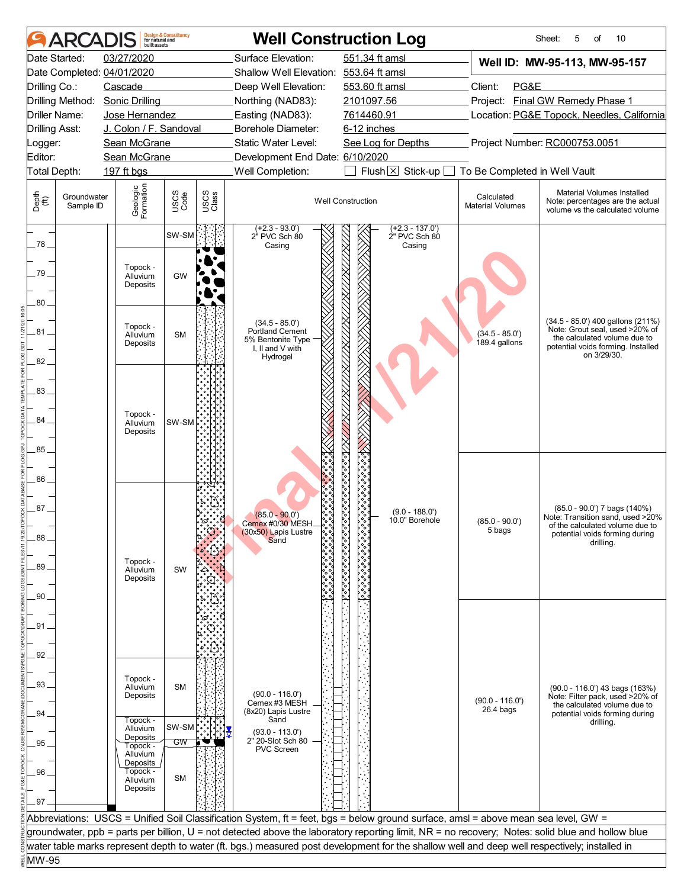|                | ARCAI                    | built assets                     | <b>Design &amp; Consultancy</b><br>for natural and |               | <b>Well Construction Log</b>                                                                                                                  |                                                      |                                              |                                            | 5<br>10<br>Sheet:<br>of                                                                                                                                  |  |
|----------------|--------------------------|----------------------------------|----------------------------------------------------|---------------|-----------------------------------------------------------------------------------------------------------------------------------------------|------------------------------------------------------|----------------------------------------------|--------------------------------------------|----------------------------------------------------------------------------------------------------------------------------------------------------------|--|
|                | Date Started:            | 03/27/2020                       |                                                    |               | Surface Elevation:                                                                                                                            | 551.34 ft amsl                                       |                                              |                                            | Well ID: MW-95-113, MW-95-157                                                                                                                            |  |
|                |                          | Date Completed: 04/01/2020       |                                                    |               | Shallow Well Elevation: 553.64 ft amsl                                                                                                        |                                                      |                                              |                                            |                                                                                                                                                          |  |
| Drilling Co.:  |                          | Cascade                          |                                                    |               | Deep Well Elevation:                                                                                                                          | 553.60 ft amsl                                       |                                              | Client:<br>PG&E                            |                                                                                                                                                          |  |
|                |                          | Drilling Method: Sonic Drilling  |                                                    |               | Northing (NAD83):                                                                                                                             | 2101097.56                                           |                                              |                                            | Project: Final GW Remedy Phase 1                                                                                                                         |  |
|                | Driller Name:            | Jose Hernandez                   |                                                    |               | Easting (NAD83):                                                                                                                              | 7614460.91                                           |                                              | Location: PG&E Topock, Needles, California |                                                                                                                                                          |  |
| Drilling Asst: |                          | J. Colon / F. Sandoval           |                                                    |               | Borehole Diameter:                                                                                                                            | 6-12 inches                                          |                                              |                                            |                                                                                                                                                          |  |
| Logger:        |                          | Sean McGrane                     |                                                    |               | Static Water Level:                                                                                                                           | See Log for Depths                                   |                                              |                                            | Project Number: RC000753.0051                                                                                                                            |  |
| Editor:        |                          | Sean McGrane                     |                                                    |               | Development End Date: 6/10/2020                                                                                                               |                                                      |                                              |                                            |                                                                                                                                                          |  |
| Total Depth:   |                          | 197 ft bgs                       |                                                    |               | Well Completion:                                                                                                                              | Flush $\times$                                       | Stick-up                                     | To Be Completed in Well Vault              |                                                                                                                                                          |  |
| Depth<br>(ff)  | Groundwater<br>Sample ID | Geologic<br>Formation            | USCS<br>Code                                       | USCS<br>Class |                                                                                                                                               | <b>Well Construction</b>                             |                                              | Calculated<br><b>Material Volumes</b>      | Material Volumes Installed<br>Note: percentages are the actual<br>volume vs the calculated volume                                                        |  |
| 78.            |                          |                                  | SW-SM                                              |               | $(+2.3 - 93.0')$<br>2" PVC Sch 80<br>Casing                                                                                                   |                                                      | $(+2.3 - 137.0')$<br>2" PVC Sch 80<br>Casing |                                            |                                                                                                                                                          |  |
| 79<br>$80-$    |                          | Topock -<br>Alluvium<br>Deposits | GW                                                 |               |                                                                                                                                               |                                                      |                                              |                                            |                                                                                                                                                          |  |
| 81.            |                          | Topock -<br>Alluvium<br>Deposits | <b>SM</b>                                          |               | $(34.5 - 85.0')$<br><b>Portland Cement</b><br>5% Bentonite Type<br>I, II and V with                                                           | 888888888888847X11X11X11XX11X11X11XX11XX11XX         |                                              | $(34.5 - 85.0')$<br>189.4 gallons          | (34.5 - 85.0') 400 gallons (211%)<br>Note: Grout seal, used >20% of<br>the calculated volume due to<br>potential voids forming. Installed<br>on 3/29/30. |  |
| 82             |                          |                                  |                                                    |               | Hydrogel                                                                                                                                      |                                                      |                                              |                                            |                                                                                                                                                          |  |
| 83.            |                          |                                  |                                                    |               |                                                                                                                                               |                                                      |                                              |                                            |                                                                                                                                                          |  |
| 84             |                          | Topock -<br>Alluvium             | SW-SM                                              |               |                                                                                                                                               |                                                      |                                              |                                            |                                                                                                                                                          |  |
|                |                          | Deposits                         |                                                    |               |                                                                                                                                               |                                                      |                                              |                                            |                                                                                                                                                          |  |
| 85.            |                          |                                  |                                                    |               |                                                                                                                                               |                                                      |                                              |                                            |                                                                                                                                                          |  |
|                |                          |                                  |                                                    |               |                                                                                                                                               |                                                      |                                              |                                            |                                                                                                                                                          |  |
| 86             |                          |                                  |                                                    |               |                                                                                                                                               |                                                      |                                              |                                            |                                                                                                                                                          |  |
|                |                          |                                  |                                                    |               |                                                                                                                                               |                                                      |                                              |                                            |                                                                                                                                                          |  |
| 87.            |                          |                                  |                                                    |               | ိုး<br>$(85.0 - 90.0)$                                                                                                                        |                                                      | $(9.0 - 188.0')$                             |                                            | $(85.0 - 90.0')$ 7 bags $(140%)$                                                                                                                         |  |
|                |                          |                                  |                                                    |               | Cemex #0/30 MESH                                                                                                                              |                                                      | 10.0" Borehole                               | $(85.0 - 90.0')$                           | Note: Transition sand, used >20%<br>of the calculated volume due to                                                                                      |  |
| 88.            |                          |                                  |                                                    |               | (30x50) Lapis Lustre<br>Sand                                                                                                                  |                                                      |                                              | 5 bags                                     | potential voids forming during<br>drilling.                                                                                                              |  |
|                |                          |                                  |                                                    | I۰'           |                                                                                                                                               |                                                      |                                              |                                            |                                                                                                                                                          |  |
| 89             |                          | Topock -<br>Alluvium             | SW                                                 |               |                                                                                                                                               |                                                      |                                              |                                            |                                                                                                                                                          |  |
|                |                          | Deposits                         |                                                    |               |                                                                                                                                               |                                                      |                                              |                                            |                                                                                                                                                          |  |
| .90.           |                          |                                  |                                                    |               |                                                                                                                                               | $\delta_{\alpha}^{\delta}$ وه وه وه وه وه وه وه وه . |                                              |                                            |                                                                                                                                                          |  |
|                |                          |                                  |                                                    |               |                                                                                                                                               |                                                      |                                              |                                            |                                                                                                                                                          |  |
| .91.           |                          |                                  |                                                    |               |                                                                                                                                               |                                                      |                                              |                                            |                                                                                                                                                          |  |
|                |                          |                                  |                                                    |               |                                                                                                                                               |                                                      |                                              |                                            |                                                                                                                                                          |  |
| 92             |                          |                                  |                                                    |               |                                                                                                                                               |                                                      |                                              |                                            |                                                                                                                                                          |  |
|                |                          |                                  |                                                    |               |                                                                                                                                               |                                                      |                                              |                                            |                                                                                                                                                          |  |
| 93.            |                          | Topock -<br>Alluvium             | <b>SM</b>                                          |               |                                                                                                                                               |                                                      |                                              |                                            | (90.0 - 116.0') 43 bags (163%)                                                                                                                           |  |
|                |                          | Deposits                         |                                                    |               | $(90.0 - 116.0')$<br>Cemex #3 MESH                                                                                                            |                                                      |                                              | $(90.0 - 116.0')$                          | Note: Filter pack, used >20% of                                                                                                                          |  |
| 94.            |                          |                                  |                                                    |               | (8x20) Lapis Lustre                                                                                                                           |                                                      |                                              | $26.4$ bags                                | the calculated volume due to<br>potential voids forming during                                                                                           |  |
|                |                          | Topock -<br>Alluvium             | SW-SM                                              |               | Sand<br>$(93.0 - 113.0')$                                                                                                                     |                                                      |                                              |                                            | drilling.                                                                                                                                                |  |
| 95.            |                          | Deposits<br>Topock -             | GW                                                 |               | 2" 20-Slot Sch 80                                                                                                                             |                                                      |                                              |                                            |                                                                                                                                                          |  |
|                |                          | Alluvium                         |                                                    |               | PVC Screen                                                                                                                                    |                                                      |                                              |                                            |                                                                                                                                                          |  |
| 96             |                          | Deposits<br>Topock -             |                                                    |               |                                                                                                                                               |                                                      |                                              |                                            |                                                                                                                                                          |  |
|                |                          | Alluvium<br>Deposits             | <b>SM</b>                                          |               |                                                                                                                                               |                                                      |                                              |                                            |                                                                                                                                                          |  |
| .97            |                          |                                  |                                                    |               |                                                                                                                                               |                                                      |                                              |                                            |                                                                                                                                                          |  |
|                |                          |                                  |                                                    |               | Abbreviations: USCS = Unified Soil Classification System, ft = feet, bgs = below ground surface, amsl = above mean sea level, GW =            |                                                      |                                              |                                            |                                                                                                                                                          |  |
|                |                          |                                  |                                                    |               |                                                                                                                                               |                                                      |                                              |                                            | groundwater, ppb = parts per billion, U = not detected above the laboratory reporting limit, NR = no recovery; Notes: solid blue and hollow blue         |  |
|                |                          |                                  |                                                    |               | water table marks represent depth to water (ft. bgs.) measured post development for the shallow well and deep well respectively; installed in |                                                      |                                              |                                            |                                                                                                                                                          |  |
| MW-95          |                          |                                  |                                                    |               |                                                                                                                                               |                                                      |                                              |                                            |                                                                                                                                                          |  |
|                |                          |                                  |                                                    |               |                                                                                                                                               |                                                      |                                              |                                            |                                                                                                                                                          |  |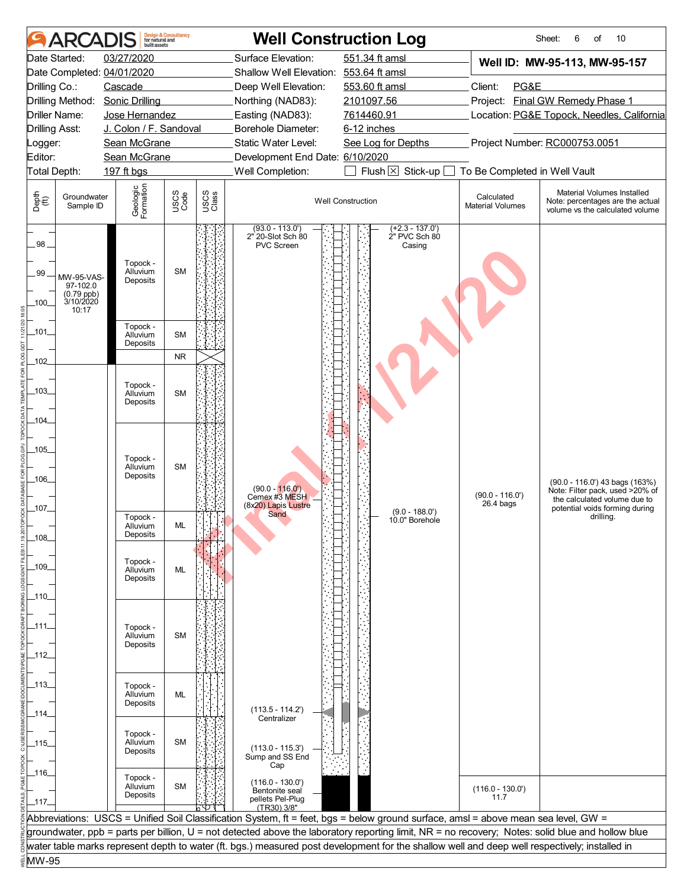|                       | <b>ARCAI</b>                                               | huilt assets                     | <b>Design &amp; Consultancy</b><br>for natural and |               | <b>Well Construction Log</b>                        |                                                                                                                                                  |                                       | 10<br>Sheet:<br>6<br>οf                                                                           |
|-----------------------|------------------------------------------------------------|----------------------------------|----------------------------------------------------|---------------|-----------------------------------------------------|--------------------------------------------------------------------------------------------------------------------------------------------------|---------------------------------------|---------------------------------------------------------------------------------------------------|
|                       | Date Started:                                              | 03/27/2020                       |                                                    |               | Surface Elevation:                                  | 551.34 ft amsl                                                                                                                                   |                                       | Well ID: MW-95-113, MW-95-157                                                                     |
|                       |                                                            | Date Completed: 04/01/2020       |                                                    |               | Shallow Well Elevation: 553.64 ft amsl              |                                                                                                                                                  |                                       |                                                                                                   |
| Drilling Co.:         |                                                            | Cascade                          |                                                    |               | Deep Well Elevation:                                | 553.60 ft amsl                                                                                                                                   | Client:<br>PG&E                       |                                                                                                   |
|                       | Drilling Method:                                           | <b>Sonic Drilling</b>            |                                                    |               | Northing (NAD83):                                   | 2101097.56                                                                                                                                       |                                       | Project: Final GW Remedy Phase 1                                                                  |
|                       | Driller Name:                                              | Jose Hernandez                   |                                                    |               | Easting (NAD83):                                    | 7614460.91                                                                                                                                       |                                       | Location: PG&E Topock, Needles, California                                                        |
| <b>Drilling Asst:</b> |                                                            | J. Colon / F. Sandoval           |                                                    |               | Borehole Diameter:                                  | 6-12 inches                                                                                                                                      |                                       |                                                                                                   |
| Logger:               |                                                            | Sean McGrane                     |                                                    |               | Static Water Level:                                 | Project Number: RC000753.0051<br>See Log for Depths                                                                                              |                                       |                                                                                                   |
| Editor:               |                                                            | Sean McGrane                     |                                                    |               | Development End Date: 6/10/2020                     |                                                                                                                                                  |                                       |                                                                                                   |
|                       | Total Depth:                                               | 197 ft bgs                       |                                                    |               | Well Completion:                                    | Flush $\boxtimes$<br>Stick-up                                                                                                                    | To Be Completed in Well Vault         |                                                                                                   |
| Depth<br>(ff)         | Groundwater<br>Sample ID                                   | Geologic<br>Formation            | USCS<br>Code                                       | USCS<br>Class |                                                     | <b>Well Construction</b>                                                                                                                         | Calculated<br><b>Material Volumes</b> | Material Volumes Installed<br>Note: percentages are the actual<br>volume vs the calculated volume |
| .98<br>.99<br>$100 -$ | MW-95-VAS-<br>97-102.0<br>(0.79 ppb)<br>3/10/2020<br>10:17 | Topock -<br>Alluvium<br>Deposits | <b>SM</b>                                          |               | $(93.0 - 113.0)$<br>2" 20-Slot Sch 80<br>PVC Screen | $(+2.3 - 137.0')$<br>2" PVC Sch 80<br>Casing                                                                                                     |                                       |                                                                                                   |
| $-101$                |                                                            | Topock -<br>Alluvium<br>Deposits | <b>SM</b>                                          |               |                                                     |                                                                                                                                                  |                                       |                                                                                                   |
| $-102$                |                                                            |                                  | <b>NR</b>                                          |               |                                                     |                                                                                                                                                  |                                       |                                                                                                   |
| $-103$<br>-104-       |                                                            | Topock -<br>Alluvium<br>Deposits | <b>SM</b>                                          |               |                                                     |                                                                                                                                                  |                                       |                                                                                                   |
| $-105$<br>$-106$      |                                                            | Topock -<br>Alluvium<br>Deposits | <b>SM</b>                                          |               | $(90.0 - 116.0')$<br>Cemex #3 MESH                  |                                                                                                                                                  | $(90.0 - 116.0')$<br>$26.4$ bags      | (90.0 - 116.0') 43 bags (163%)<br>Note: Filter pack, used >20% of<br>the calculated volume due to |
| _107_                 |                                                            | Topock -<br>Alluvium<br>Deposits | ML                                                 |               | (8x20) Lapis Lustre<br>Sand                         | $(9.0 - 188.0')$<br>10.0" Borehole                                                                                                               |                                       | potential voids forming during<br>drilling.                                                       |
| $-108$                |                                                            |                                  |                                                    |               |                                                     |                                                                                                                                                  |                                       |                                                                                                   |
| _109_                 |                                                            | Topock -<br>Alluvium<br>Deposits | ML                                                 |               |                                                     |                                                                                                                                                  |                                       |                                                                                                   |
| _110_                 |                                                            |                                  |                                                    |               |                                                     |                                                                                                                                                  |                                       |                                                                                                   |
|                       |                                                            |                                  |                                                    |               |                                                     |                                                                                                                                                  |                                       |                                                                                                   |
| _111_                 |                                                            | Topock -<br>Alluvium             | <b>SM</b>                                          |               |                                                     |                                                                                                                                                  |                                       |                                                                                                   |
|                       |                                                            | Deposits                         |                                                    |               |                                                     |                                                                                                                                                  |                                       |                                                                                                   |
| $-112$                |                                                            |                                  |                                                    |               |                                                     |                                                                                                                                                  |                                       |                                                                                                   |
|                       |                                                            |                                  |                                                    |               |                                                     |                                                                                                                                                  |                                       |                                                                                                   |
| _113_                 |                                                            | Topock -<br>Alluvium             | ML                                                 |               |                                                     |                                                                                                                                                  |                                       |                                                                                                   |
|                       |                                                            | Deposits                         |                                                    |               | $(113.5 - 114.2')$                                  |                                                                                                                                                  |                                       |                                                                                                   |
| _114_                 |                                                            |                                  |                                                    |               | Centralizer                                         |                                                                                                                                                  |                                       |                                                                                                   |
| _115_                 |                                                            | Topock -<br>Alluvium<br>Deposits | <b>SM</b>                                          |               | $(113.0 - 115.3')$<br>Sump and SS End               |                                                                                                                                                  |                                       |                                                                                                   |
| _116_                 |                                                            | Topock -                         |                                                    |               | Cap<br>$(116.0 - 130.0')$                           |                                                                                                                                                  |                                       |                                                                                                   |
| $-117$                |                                                            | Alluvium<br>Deposits             | <b>SM</b>                                          |               | Bentonite seal<br>pellets Pel-Plug                  |                                                                                                                                                  | $(116.0 - 130.0')$<br>11.7            |                                                                                                   |
|                       |                                                            |                                  |                                                    |               | (TR30) 3/8"                                         | Abbreviations: USCS = Unified Soil Classification System, ft = feet, bgs = below ground surface, amsl = above mean sea level, GW =               |                                       |                                                                                                   |
|                       |                                                            |                                  |                                                    |               |                                                     | groundwater, ppb = parts per billion, U = not detected above the laboratory reporting limit, NR = no recovery; Notes: solid blue and hollow blue |                                       |                                                                                                   |
|                       |                                                            |                                  |                                                    |               |                                                     | water table marks represent depth to water (ft. bgs.) measured post development for the shallow well and deep well respectively; installed in    |                                       |                                                                                                   |
| MW-95                 |                                                            |                                  |                                                    |               |                                                     |                                                                                                                                                  |                                       |                                                                                                   |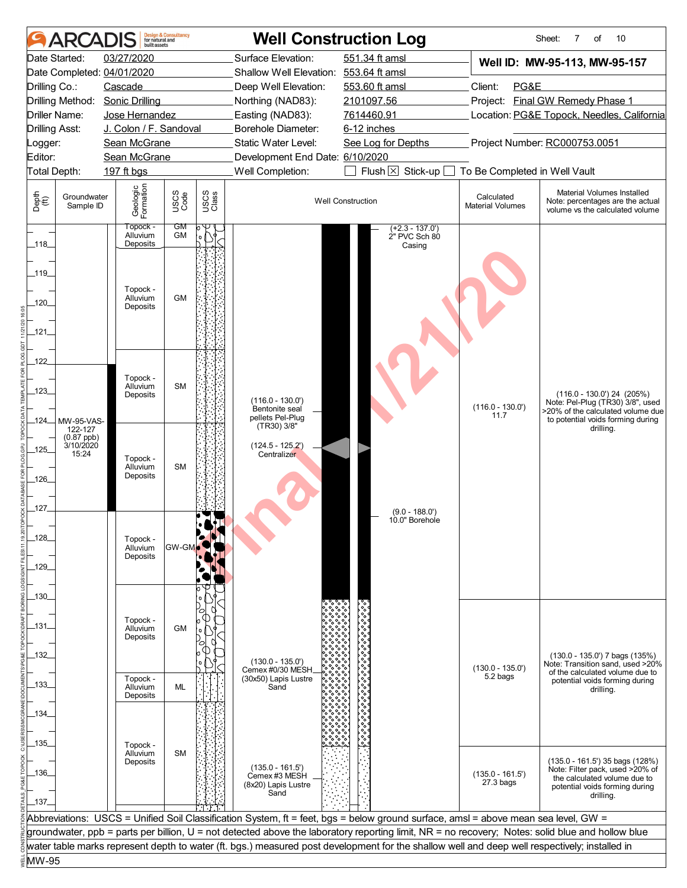|                       | <b>ARCADIS</b>            |                                  | <b>Design &amp; Consultancy</b><br>for natural and |               |                                        | <b>Well Construction Log</b>                                                                                                                     |                                       | Sheet:<br>7<br>οf<br>10                                                                           |  |
|-----------------------|---------------------------|----------------------------------|----------------------------------------------------|---------------|----------------------------------------|--------------------------------------------------------------------------------------------------------------------------------------------------|---------------------------------------|---------------------------------------------------------------------------------------------------|--|
|                       | Date Started:             | 03/27/2020                       |                                                    |               | Surface Elevation:                     | 551.34 ft amsl                                                                                                                                   |                                       | Well ID: MW-95-113, MW-95-157                                                                     |  |
|                       |                           | Date Completed: 04/01/2020       |                                                    |               | Shallow Well Elevation: 553.64 ft amsl |                                                                                                                                                  |                                       |                                                                                                   |  |
| Drilling Co.:         |                           | Cascade                          |                                                    |               | Deep Well Elevation:                   | 553.60 ft amsl                                                                                                                                   | Client:<br>PG&E                       |                                                                                                   |  |
|                       | Drilling Method:          | <b>Sonic Drilling</b>            |                                                    |               | Northing (NAD83):                      | 2101097.56                                                                                                                                       | Project:                              | <b>Final GW Remedy Phase 1</b>                                                                    |  |
|                       | Driller Name:             | Jose Hernandez                   |                                                    |               | Easting (NAD83):                       | 7614460.91                                                                                                                                       |                                       | Location: PG&E Topock, Needles, California                                                        |  |
| <b>Drilling Asst:</b> |                           | J. Colon / F. Sandoval           |                                                    |               | Borehole Diameter:                     | 6-12 inches                                                                                                                                      |                                       |                                                                                                   |  |
| Logger:               |                           | Sean McGrane                     |                                                    |               | Static Water Level:                    | See Log for Depths                                                                                                                               |                                       | Project Number: RC000753.0051                                                                     |  |
| Editor:               |                           | Sean McGrane                     |                                                    |               | Development End Date: 6/10/2020        |                                                                                                                                                  |                                       |                                                                                                   |  |
| <b>Total Depth:</b>   |                           | 197 ft bgs                       |                                                    |               | Well Completion:                       | Flush $\boxtimes$<br>Stick-up                                                                                                                    | To Be Completed in Well Vault         |                                                                                                   |  |
|                       |                           |                                  |                                                    |               |                                        |                                                                                                                                                  |                                       |                                                                                                   |  |
| Depth<br>(ff)         | Groundwater<br>Sample ID  | Geologic<br>Formation            | USCS<br>Code                                       | USCS<br>Class |                                        | <b>Well Construction</b>                                                                                                                         | Calculated<br><b>Material Volumes</b> | Material Volumes Installed<br>Note: percentages are the actual<br>volume vs the calculated volume |  |
| $-118$                |                           | Topock -<br>Alluvium<br>Deposits | GM<br><b>GM</b>                                    | $\circ$       |                                        | $(+2.3 - 137.0')$<br>2" PVC Sch 80                                                                                                               |                                       |                                                                                                   |  |
|                       |                           |                                  |                                                    |               |                                        | Casing                                                                                                                                           |                                       |                                                                                                   |  |
|                       |                           |                                  |                                                    |               |                                        |                                                                                                                                                  |                                       |                                                                                                   |  |
| _119_                 |                           |                                  |                                                    |               |                                        |                                                                                                                                                  |                                       |                                                                                                   |  |
|                       |                           | Topock -<br>Alluvium             | <b>GM</b>                                          |               |                                        |                                                                                                                                                  |                                       |                                                                                                   |  |
| 120                   |                           | Deposits                         |                                                    |               |                                        |                                                                                                                                                  |                                       |                                                                                                   |  |
|                       |                           |                                  |                                                    |               |                                        |                                                                                                                                                  |                                       |                                                                                                   |  |
| _121_                 |                           |                                  |                                                    |               |                                        |                                                                                                                                                  |                                       |                                                                                                   |  |
|                       |                           |                                  |                                                    |               |                                        |                                                                                                                                                  |                                       |                                                                                                   |  |
| _122_                 |                           |                                  |                                                    |               |                                        |                                                                                                                                                  |                                       |                                                                                                   |  |
|                       |                           | Topock -                         |                                                    |               |                                        |                                                                                                                                                  |                                       |                                                                                                   |  |
| _123_                 |                           | Alluvium                         | <b>SM</b>                                          |               |                                        |                                                                                                                                                  |                                       |                                                                                                   |  |
|                       |                           | Deposits                         |                                                    |               | $(116.0 - 130.0')$                     |                                                                                                                                                  |                                       | $(116.0 - 130.0)$ 24 $(205%)$<br>Note: Pel-Plug (TR30) 3/8", used                                 |  |
|                       |                           |                                  |                                                    |               | Bentonite seal<br>pellets Pel-Plug     |                                                                                                                                                  | $(116.0 - 130.0')$<br>11.7            | >20% of the calculated volume due                                                                 |  |
| _124__                | MW-95-VAS-<br>122-127     |                                  |                                                    |               | (TR30) 3/8"                            |                                                                                                                                                  |                                       | to potential voids forming during<br>drilling.                                                    |  |
|                       | $(0.87$ ppb)<br>3/10/2020 |                                  |                                                    |               |                                        |                                                                                                                                                  |                                       |                                                                                                   |  |
| $-125$                | 15:24                     | Topock -                         |                                                    |               | $(124.5 - 125.2')$<br>Centralizer      |                                                                                                                                                  |                                       |                                                                                                   |  |
|                       |                           | Alluvium                         | <b>SM</b>                                          |               |                                        |                                                                                                                                                  |                                       |                                                                                                   |  |
| 126_                  |                           | Deposits                         |                                                    |               |                                        |                                                                                                                                                  |                                       |                                                                                                   |  |
|                       |                           |                                  |                                                    |               |                                        |                                                                                                                                                  |                                       |                                                                                                   |  |
| _127_                 |                           |                                  |                                                    |               |                                        |                                                                                                                                                  |                                       |                                                                                                   |  |
|                       |                           |                                  |                                                    |               |                                        | $(9.0 - 188.0')$<br>10.0" Borehole                                                                                                               |                                       |                                                                                                   |  |
| $-128$                |                           |                                  |                                                    |               |                                        |                                                                                                                                                  |                                       |                                                                                                   |  |
|                       |                           | Topock -<br>Alluvium             | <b>GW-GM</b>                                       |               |                                        |                                                                                                                                                  |                                       |                                                                                                   |  |
|                       |                           | Deposits                         |                                                    |               |                                        |                                                                                                                                                  |                                       |                                                                                                   |  |
| _129_                 |                           |                                  |                                                    |               |                                        |                                                                                                                                                  |                                       |                                                                                                   |  |
|                       |                           |                                  |                                                    |               |                                        |                                                                                                                                                  |                                       |                                                                                                   |  |
| _130_                 |                           |                                  |                                                    |               |                                        |                                                                                                                                                  |                                       |                                                                                                   |  |
|                       |                           |                                  |                                                    |               |                                        |                                                                                                                                                  |                                       |                                                                                                   |  |
| -131-                 |                           | Topock -<br>Alluvium             | <b>GM</b>                                          |               |                                        |                                                                                                                                                  |                                       |                                                                                                   |  |
|                       |                           | Deposits                         |                                                    |               |                                        |                                                                                                                                                  |                                       |                                                                                                   |  |
| _132_                 |                           |                                  |                                                    |               |                                        |                                                                                                                                                  |                                       | (130.0 - 135.0') 7 bags (135%)                                                                    |  |
|                       |                           |                                  |                                                    |               | $(130.0 - 135.0')$<br>Cemex #0/30 MESH |                                                                                                                                                  | $(130.0 - 135.0')$                    | Note: Transition sand, used >20%                                                                  |  |
|                       |                           | Topock -                         |                                                    |               | (30x50) Lapis Lustre                   |                                                                                                                                                  | 5.2 bags                              | of the calculated volume due to<br>potential voids forming during                                 |  |
| _133_                 |                           | Alluvium<br>Deposits             | ML                                                 |               | Sand                                   |                                                                                                                                                  |                                       | drilling.                                                                                         |  |
|                       |                           |                                  |                                                    |               |                                        |                                                                                                                                                  |                                       |                                                                                                   |  |
| _134_                 |                           |                                  |                                                    |               |                                        |                                                                                                                                                  |                                       |                                                                                                   |  |
|                       |                           |                                  |                                                    |               |                                        |                                                                                                                                                  |                                       |                                                                                                   |  |
| _135_                 |                           | Topock -                         |                                                    |               |                                        |                                                                                                                                                  |                                       |                                                                                                   |  |
|                       |                           | Alluvium<br>Deposits             | <b>SM</b>                                          |               |                                        |                                                                                                                                                  |                                       | $(135.0 - 161.5)$ 35 bags $(128%)$                                                                |  |
| _136_                 |                           |                                  |                                                    |               | $(135.0 - 161.5)$<br>Cemex #3 MESH     |                                                                                                                                                  | $(135.0 - 161.5)$                     | Note: Filter pack, used >20% of                                                                   |  |
|                       |                           |                                  |                                                    |               | (8x20) Lapis Lustre                    |                                                                                                                                                  | $27.3$ bags                           | the calculated volume due to<br>potential voids forming during                                    |  |
| 137                   |                           |                                  |                                                    |               | Sand                                   |                                                                                                                                                  |                                       | drilling.                                                                                         |  |
|                       |                           |                                  |                                                    |               |                                        |                                                                                                                                                  |                                       |                                                                                                   |  |
|                       |                           |                                  |                                                    |               |                                        | Abbreviations: USCS = Unified Soil Classification System, ft = feet, bgs = below ground surface, amsl = above mean sea level, GW =               |                                       |                                                                                                   |  |
|                       |                           |                                  |                                                    |               |                                        | groundwater, ppb = parts per billion, U = not detected above the laboratory reporting limit, NR = no recovery; Notes: solid blue and hollow blue |                                       |                                                                                                   |  |
|                       |                           |                                  |                                                    |               |                                        | water table marks represent depth to water (ft. bgs.) measured post development for the shallow well and deep well respectively; installed in    |                                       |                                                                                                   |  |
| MW-95                 |                           |                                  |                                                    |               |                                        |                                                                                                                                                  |                                       |                                                                                                   |  |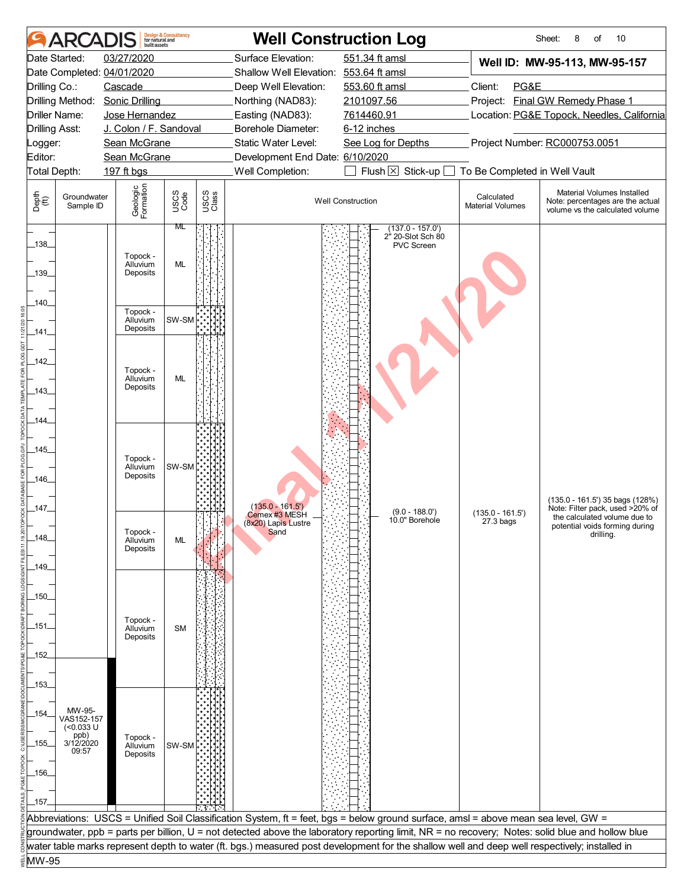|                       | ARCAI                      | huilt assets                     | <b>Design &amp; Consultancy</b><br>for natural and |               |                                        | <b>Well Construction Log</b>                                                                                                                     |                                       | 10<br>Sheet:<br>8<br>of                                                                           |  |
|-----------------------|----------------------------|----------------------------------|----------------------------------------------------|---------------|----------------------------------------|--------------------------------------------------------------------------------------------------------------------------------------------------|---------------------------------------|---------------------------------------------------------------------------------------------------|--|
|                       | Date Started:              | 03/27/2020                       |                                                    |               | Surface Elevation:                     | 551.34 ft amsl                                                                                                                                   |                                       | Well ID: MW-95-113, MW-95-157                                                                     |  |
|                       |                            | Date Completed: 04/01/2020       |                                                    |               | Shallow Well Elevation: 553.64 ft amsl |                                                                                                                                                  |                                       |                                                                                                   |  |
| Drilling Co.:         |                            | Cascade                          |                                                    |               | Deep Well Elevation:                   | 553.60 ft amsl                                                                                                                                   | Client:<br>PG&E                       |                                                                                                   |  |
|                       | Drilling Method:           | <b>Sonic Drilling</b>            |                                                    |               | Northing (NAD83):                      | 2101097.56                                                                                                                                       |                                       | Project: Final GW Remedy Phase 1                                                                  |  |
|                       | Driller Name:              | Jose Hernandez                   |                                                    |               | Easting (NAD83):                       | 7614460.91                                                                                                                                       |                                       | Location: PG&E Topock, Needles, California                                                        |  |
| <b>Drilling Asst:</b> |                            | J. Colon / F. Sandoval           |                                                    |               | Borehole Diameter:                     | 6-12 inches                                                                                                                                      |                                       |                                                                                                   |  |
| _ogger:               |                            | Sean McGrane                     |                                                    |               | Static Water Level:                    | See Log for Depths                                                                                                                               |                                       | Project Number: RC000753.0051                                                                     |  |
| Editor:               |                            | Sean McGrane                     |                                                    |               | Development End Date: 6/10/2020        |                                                                                                                                                  |                                       |                                                                                                   |  |
|                       | Total Depth:               | 197 ft bgs                       |                                                    |               | Well Completion:                       | Flush $\boxtimes$<br>Stick-up [                                                                                                                  | To Be Completed in Well Vault         |                                                                                                   |  |
| Depth<br>(ff)         | Groundwater<br>Sample ID   | Geologic<br>Formation            | USCS<br>Code                                       | USCS<br>Class |                                        | <b>Well Construction</b>                                                                                                                         | Calculated<br><b>Material Volumes</b> | Material Volumes Installed<br>Note: percentages are the actual<br>volume vs the calculated volume |  |
| $-138$                |                            | Topock -                         | ML                                                 |               |                                        | $(137.0 - 157.0')$<br>2" 20-Slot Sch 80<br>PVC Screen                                                                                            |                                       |                                                                                                   |  |
| $-139$                |                            | Alluvium<br>Deposits             | ML                                                 |               |                                        |                                                                                                                                                  |                                       |                                                                                                   |  |
| .140_<br>$-141$       |                            | Topock -<br>Alluvium<br>Deposits | SW-SM                                              |               |                                        |                                                                                                                                                  |                                       |                                                                                                   |  |
|                       |                            |                                  |                                                    |               |                                        |                                                                                                                                                  |                                       |                                                                                                   |  |
| $-142$                |                            |                                  |                                                    |               |                                        |                                                                                                                                                  |                                       |                                                                                                   |  |
| _143_                 |                            | Topock -<br>Alluvium<br>Deposits | ML                                                 |               |                                        |                                                                                                                                                  |                                       |                                                                                                   |  |
|                       |                            |                                  |                                                    |               |                                        |                                                                                                                                                  |                                       |                                                                                                   |  |
| 144.                  |                            |                                  |                                                    |               |                                        |                                                                                                                                                  |                                       |                                                                                                   |  |
|                       |                            |                                  |                                                    |               |                                        |                                                                                                                                                  |                                       |                                                                                                   |  |
| $-145$                |                            |                                  |                                                    |               |                                        |                                                                                                                                                  |                                       |                                                                                                   |  |
|                       |                            | Topock -<br>Alluvium             | SW-SM                                              |               |                                        |                                                                                                                                                  |                                       |                                                                                                   |  |
| $-146$                |                            | Deposits                         |                                                    |               |                                        |                                                                                                                                                  |                                       |                                                                                                   |  |
|                       |                            |                                  |                                                    |               |                                        |                                                                                                                                                  |                                       | (135.0 - 161.5') 35 bags (128%)                                                                   |  |
| _147_                 |                            |                                  |                                                    |               | $(135.0 - 161.5)$<br>Cemex #3 MESH     | $(9.0 - 188.0')$                                                                                                                                 | $(135.0 - 161.5)$                     | Note: Filter pack, used >20% of                                                                   |  |
|                       |                            |                                  |                                                    |               | (8x20) Lapis Lustre                    | 10.0" Borehole                                                                                                                                   | 27.3 bags                             | the calculated volume due to<br>potential voids forming during                                    |  |
| _148_                 |                            | Topock -<br>Alluvium             | ML                                                 |               | Sand                                   |                                                                                                                                                  |                                       | drilling.                                                                                         |  |
|                       |                            | Deposits                         |                                                    |               |                                        |                                                                                                                                                  |                                       |                                                                                                   |  |
| _149_                 |                            |                                  |                                                    |               |                                        |                                                                                                                                                  |                                       |                                                                                                   |  |
|                       |                            |                                  |                                                    |               |                                        |                                                                                                                                                  |                                       |                                                                                                   |  |
| $-150-$               |                            |                                  |                                                    |               |                                        |                                                                                                                                                  |                                       |                                                                                                   |  |
|                       |                            |                                  |                                                    |               |                                        |                                                                                                                                                  |                                       |                                                                                                   |  |
| -151-                 |                            | Topock -<br>Alluvium             | <b>SM</b>                                          |               |                                        |                                                                                                                                                  |                                       |                                                                                                   |  |
|                       |                            | Deposits                         |                                                    |               |                                        |                                                                                                                                                  |                                       |                                                                                                   |  |
| _152_                 |                            |                                  |                                                    |               |                                        |                                                                                                                                                  |                                       |                                                                                                   |  |
|                       |                            |                                  |                                                    |               |                                        |                                                                                                                                                  |                                       |                                                                                                   |  |
| $-153$                |                            |                                  |                                                    |               |                                        |                                                                                                                                                  |                                       |                                                                                                   |  |
|                       |                            |                                  |                                                    |               |                                        |                                                                                                                                                  |                                       |                                                                                                   |  |
| _154_                 | MW-95-<br>VAS152-157       |                                  |                                                    |               |                                        |                                                                                                                                                  |                                       |                                                                                                   |  |
|                       | $(0.033 \text{ U}$<br>ppb) | Topock -                         |                                                    |               |                                        |                                                                                                                                                  |                                       |                                                                                                   |  |
| _155_                 | 3/12/2020<br>09:57         | Alluvium                         | SW-SM                                              |               |                                        |                                                                                                                                                  |                                       |                                                                                                   |  |
|                       |                            | Deposits                         |                                                    |               |                                        |                                                                                                                                                  |                                       |                                                                                                   |  |
| $-156$                |                            |                                  |                                                    |               |                                        |                                                                                                                                                  |                                       |                                                                                                   |  |
|                       |                            |                                  |                                                    |               |                                        |                                                                                                                                                  |                                       |                                                                                                   |  |
| $-157$                |                            |                                  |                                                    |               |                                        |                                                                                                                                                  |                                       |                                                                                                   |  |
|                       |                            |                                  |                                                    |               |                                        | Abbreviations: USCS = Unified Soil Classification System, ft = feet, bgs = below ground surface, amsl = above mean sea level, GW =               |                                       |                                                                                                   |  |
|                       |                            |                                  |                                                    |               |                                        | groundwater, ppb = parts per billion, U = not detected above the laboratory reporting limit, NR = no recovery; Notes: solid blue and hollow blue |                                       |                                                                                                   |  |
|                       |                            |                                  |                                                    |               |                                        | water table marks represent depth to water (ft. bgs.) measured post development for the shallow well and deep well respectively; installed in    |                                       |                                                                                                   |  |
| MW-95                 |                            |                                  |                                                    |               |                                        |                                                                                                                                                  |                                       |                                                                                                   |  |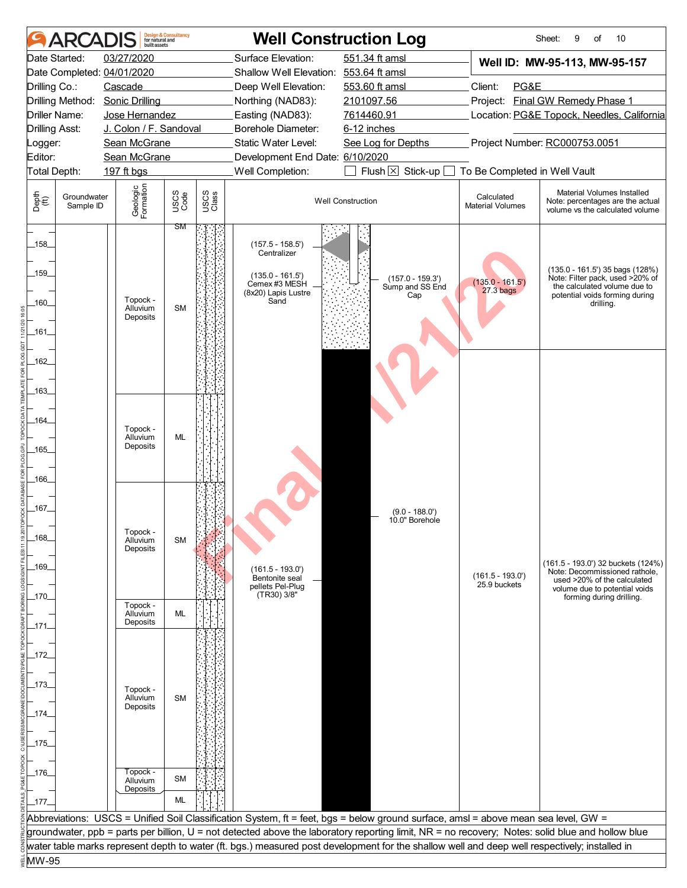|                       | <b>AR</b>                | built assets                    | <b>Design &amp; Consultancy</b><br>for natural and |               |                                                     | <b>Well Construction Log</b>                                                                                                                     |                                       | 10<br>Sheet:<br>9<br>of                                                                            |  |  |
|-----------------------|--------------------------|---------------------------------|----------------------------------------------------|---------------|-----------------------------------------------------|--------------------------------------------------------------------------------------------------------------------------------------------------|---------------------------------------|----------------------------------------------------------------------------------------------------|--|--|
|                       | Date Started:            | 03/27/2020                      |                                                    |               | Surface Elevation:                                  | 551.34 ft amsl                                                                                                                                   |                                       | Well ID: MW-95-113, MW-95-157                                                                      |  |  |
|                       |                          | Date Completed: 04/01/2020      |                                                    |               | Shallow Well Elevation: 553.64 ft amsl              |                                                                                                                                                  |                                       |                                                                                                    |  |  |
| Drilling Co.:         |                          | Cascade                         |                                                    |               | Deep Well Elevation:                                | 553.60 ft amsl                                                                                                                                   | Client:<br>PG&E                       |                                                                                                    |  |  |
|                       |                          | Drilling Method: Sonic Drilling |                                                    |               | Northing (NAD83):                                   | 2101097.56                                                                                                                                       |                                       | Project: Final GW Remedy Phase 1                                                                   |  |  |
|                       | Driller Name:            | Jose Hernandez                  |                                                    |               | Easting (NAD83):                                    | 7614460.91                                                                                                                                       |                                       | Location: PG&E Topock, Needles, California                                                         |  |  |
| <b>Drilling Asst:</b> |                          | J. Colon / F. Sandoval          |                                                    |               | Borehole Diameter:<br>Static Water Level:           | 6-12 inches                                                                                                                                      |                                       |                                                                                                    |  |  |
| Logger:<br>Editor:    |                          | Sean McGrane<br>Sean McGrane    |                                                    |               |                                                     | See Log for Depths                                                                                                                               |                                       | Project Number: RC000753.0051                                                                      |  |  |
| Total Depth:          |                          | 197 ft bgs                      |                                                    |               | Development End Date: 6/10/2020<br>Well Completion: | Flush $\boxtimes$ Stick-up [                                                                                                                     | To Be Completed in Well Vault         |                                                                                                    |  |  |
|                       |                          |                                 |                                                    |               |                                                     |                                                                                                                                                  |                                       |                                                                                                    |  |  |
| Depth<br>(ff)         | Groundwater<br>Sample ID | Geologic<br>Formation           | USCS<br>Code                                       | USCS<br>Class |                                                     | <b>Well Construction</b>                                                                                                                         | Calculated<br><b>Material Volumes</b> | Material Volumes Installed<br>Note: percentages are the actual<br>volume vs the calculated volume  |  |  |
| $-158$                |                          |                                 | ЗM                                                 |               | $(157.5 - 158.5')$<br>Centralizer                   |                                                                                                                                                  |                                       |                                                                                                    |  |  |
| $-159$                |                          |                                 |                                                    |               | $(135.0 - 161.5)$<br>Cemex #3 MESH                  | $(157.0 - 159.3')$<br>Sump and SS End                                                                                                            | $(135.0 - 161.5)$                     | (135.0 - 161.5') 35 bags (128%)<br>Note: Filter pack, used >20% of<br>the calculated volume due to |  |  |
| .160_                 |                          | Topock -<br>Alluvium            | <b>SM</b>                                          |               | (8x20) Lapis Lustre<br>Sand                         | Cap                                                                                                                                              | $27.3$ bags                           | potential voids forming during<br>drilling.                                                        |  |  |
|                       |                          | Deposits                        |                                                    |               |                                                     |                                                                                                                                                  |                                       |                                                                                                    |  |  |
| _161_                 |                          |                                 |                                                    |               |                                                     |                                                                                                                                                  |                                       |                                                                                                    |  |  |
|                       |                          |                                 |                                                    |               |                                                     |                                                                                                                                                  |                                       |                                                                                                    |  |  |
| 162                   |                          |                                 |                                                    |               |                                                     |                                                                                                                                                  |                                       |                                                                                                    |  |  |
| $-163-$               |                          |                                 |                                                    |               |                                                     |                                                                                                                                                  |                                       |                                                                                                    |  |  |
|                       |                          |                                 |                                                    |               |                                                     |                                                                                                                                                  |                                       |                                                                                                    |  |  |
| _164_                 |                          |                                 |                                                    |               |                                                     |                                                                                                                                                  |                                       |                                                                                                    |  |  |
|                       |                          | Topock -<br>Alluvium            | <b>ML</b>                                          |               |                                                     |                                                                                                                                                  |                                       |                                                                                                    |  |  |
| $-165$                |                          | Deposits                        |                                                    |               |                                                     |                                                                                                                                                  |                                       |                                                                                                    |  |  |
|                       |                          |                                 |                                                    |               |                                                     |                                                                                                                                                  |                                       |                                                                                                    |  |  |
| _166_                 |                          |                                 |                                                    |               |                                                     |                                                                                                                                                  |                                       |                                                                                                    |  |  |
|                       |                          |                                 |                                                    |               |                                                     |                                                                                                                                                  |                                       |                                                                                                    |  |  |
| _167_                 |                          |                                 |                                                    |               |                                                     | $(9.0 - 188.0')$<br>10.0" Borehole                                                                                                               |                                       |                                                                                                    |  |  |
| _168_                 |                          | Topock -<br>Alluvium            | <b>SM</b>                                          |               |                                                     |                                                                                                                                                  |                                       |                                                                                                    |  |  |
|                       |                          | Deposits                        |                                                    |               |                                                     |                                                                                                                                                  |                                       |                                                                                                    |  |  |
| $-169$                |                          |                                 |                                                    |               | $(161.5 - 193.0')$                                  |                                                                                                                                                  |                                       | (161.5 - 193.0') 32 buckets (124%)<br>Note: Decommissioned rathole,                                |  |  |
|                       |                          |                                 |                                                    |               | Bentonite seal<br>pellets Pel-Plug                  |                                                                                                                                                  | $(161.5 - 193.0')$<br>25.9 buckets    | used >20% of the calculated                                                                        |  |  |
| _170_                 |                          |                                 |                                                    |               | (TR30) 3/8"                                         |                                                                                                                                                  |                                       | volume due to potential voids<br>forming during drilling.                                          |  |  |
|                       |                          | Topock -<br>Alluvium            | ML                                                 |               |                                                     |                                                                                                                                                  |                                       |                                                                                                    |  |  |
| _171_                 |                          | Deposits                        |                                                    |               |                                                     |                                                                                                                                                  |                                       |                                                                                                    |  |  |
|                       |                          |                                 |                                                    |               |                                                     |                                                                                                                                                  |                                       |                                                                                                    |  |  |
| _172_                 |                          |                                 |                                                    |               |                                                     |                                                                                                                                                  |                                       |                                                                                                    |  |  |
|                       |                          |                                 |                                                    |               |                                                     |                                                                                                                                                  |                                       |                                                                                                    |  |  |
| _173_                 |                          | Topock -<br>Alluvium            | <b>SM</b>                                          |               |                                                     |                                                                                                                                                  |                                       |                                                                                                    |  |  |
| _174_                 |                          | Deposits                        |                                                    |               |                                                     |                                                                                                                                                  |                                       |                                                                                                    |  |  |
|                       |                          |                                 |                                                    |               |                                                     |                                                                                                                                                  |                                       |                                                                                                    |  |  |
| _175_                 |                          |                                 |                                                    |               |                                                     |                                                                                                                                                  |                                       |                                                                                                    |  |  |
|                       |                          |                                 |                                                    |               |                                                     |                                                                                                                                                  |                                       |                                                                                                    |  |  |
| _176_                 |                          | Topock -                        | <b>SM</b>                                          |               |                                                     |                                                                                                                                                  |                                       |                                                                                                    |  |  |
|                       |                          | Alluvium<br>Deposits            |                                                    |               |                                                     |                                                                                                                                                  |                                       |                                                                                                    |  |  |
| $-177$                |                          |                                 | ML                                                 |               |                                                     |                                                                                                                                                  |                                       |                                                                                                    |  |  |
|                       |                          |                                 |                                                    |               |                                                     | Abbreviations: USCS = Unified Soil Classification System, ft = feet, bgs = below ground surface, amsl = above mean sea level, GW =               |                                       |                                                                                                    |  |  |
|                       |                          |                                 |                                                    |               |                                                     | groundwater, ppb = parts per billion, U = not detected above the laboratory reporting limit, NR = no recovery; Notes: solid blue and hollow blue |                                       |                                                                                                    |  |  |
|                       |                          |                                 |                                                    |               |                                                     | water table marks represent depth to water (ft. bgs.) measured post development for the shallow well and deep well respectively; installed in    |                                       |                                                                                                    |  |  |
| MW-95                 |                          |                                 |                                                    |               |                                                     |                                                                                                                                                  |                                       |                                                                                                    |  |  |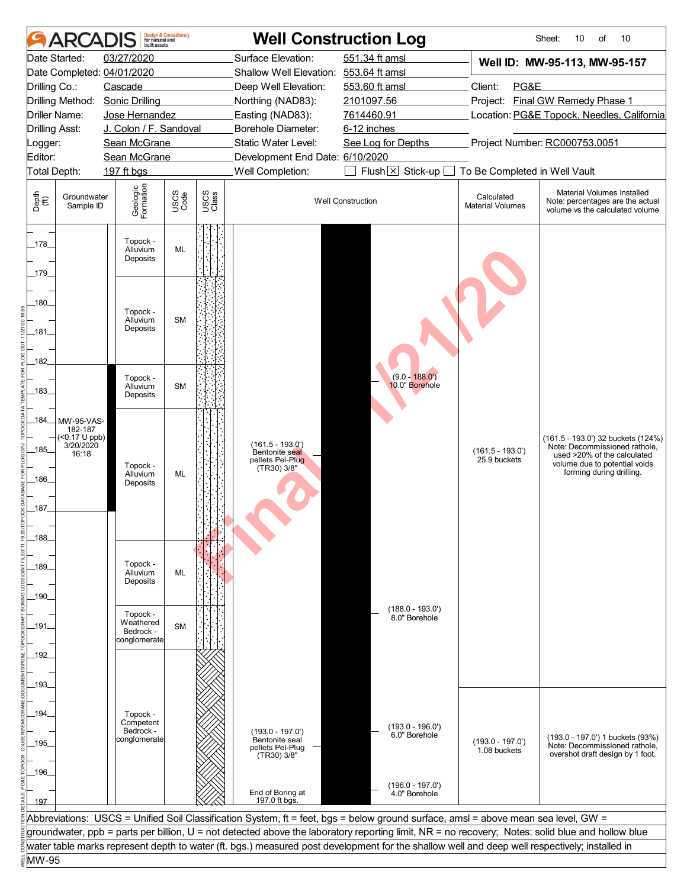| <b>ARCAD</b>                                                        | built assets                     | <b>Design &amp; Consultancy</b><br>for natural and |               |                                                     | <b>Well Construction Log</b>                                                                                                                     |                                       | 10<br>Sheet:<br>10<br>of                                                                          |
|---------------------------------------------------------------------|----------------------------------|----------------------------------------------------|---------------|-----------------------------------------------------|--------------------------------------------------------------------------------------------------------------------------------------------------|---------------------------------------|---------------------------------------------------------------------------------------------------|
| Date Started:                                                       | 03/27/2020                       |                                                    |               | Surface Elevation:                                  | 551.34 ft amsl                                                                                                                                   |                                       | Well ID: MW-95-113, MW-95-157                                                                     |
| Date Completed: 04/01/2020                                          |                                  |                                                    |               | Shallow Well Elevation: 553.64 ft amsl              |                                                                                                                                                  |                                       |                                                                                                   |
| Drilling Co.:                                                       | Cascade                          |                                                    |               | Deep Well Elevation:                                | 553.60 ft amsl                                                                                                                                   | Client:<br>PG&E                       |                                                                                                   |
| Drilling Method:                                                    | <b>Sonic Drilling</b>            |                                                    |               | Northing (NAD83):                                   | 2101097.56                                                                                                                                       |                                       | Project: Final GW Remedy Phase 1                                                                  |
| Driller Name:                                                       | Jose Hernandez                   |                                                    |               | Easting (NAD83):                                    | 7614460.91                                                                                                                                       |                                       | Location: PG&E Topock, Needles, California                                                        |
| <b>Drilling Asst:</b>                                               | J. Colon / F. Sandoval           |                                                    |               | Borehole Diameter:                                  | 6-12 inches                                                                                                                                      |                                       |                                                                                                   |
| Logger:<br>Editor:                                                  | Sean McGrane                     |                                                    |               | Static Water Level:                                 | See Log for Depths                                                                                                                               |                                       | Project Number: RC000753.0051                                                                     |
| Total Depth:                                                        | Sean McGrane<br>197 ft bgs       |                                                    |               | Development End Date: 6/10/2020<br>Well Completion: | Flush $\boxtimes$ Stick-up [                                                                                                                     | To Be Completed in Well Vault         |                                                                                                   |
|                                                                     |                                  |                                                    |               |                                                     |                                                                                                                                                  |                                       |                                                                                                   |
| Depth<br>$\widetilde{f}(\widetilde{f})$<br>Groundwater<br>Sample ID | Geologic<br>Formation            | USCS<br>Code                                       | USCS<br>Class |                                                     | <b>Well Construction</b>                                                                                                                         | Calculated<br><b>Material Volumes</b> | Material Volumes Installed<br>Note: percentages are the actual<br>volume vs the calculated volume |
| $-178$                                                              | Topock -<br>Alluvium<br>Deposits | <b>ML</b>                                          |               |                                                     |                                                                                                                                                  |                                       |                                                                                                   |
| $-179$                                                              |                                  |                                                    |               |                                                     |                                                                                                                                                  |                                       |                                                                                                   |
| .180_                                                               | Topock -                         |                                                    |               |                                                     |                                                                                                                                                  |                                       |                                                                                                   |
| _181_                                                               | Alluvium<br>Deposits             | <b>SM</b>                                          |               |                                                     |                                                                                                                                                  |                                       |                                                                                                   |
|                                                                     |                                  |                                                    |               |                                                     |                                                                                                                                                  |                                       |                                                                                                   |
| 182                                                                 |                                  |                                                    |               |                                                     |                                                                                                                                                  |                                       |                                                                                                   |
| $-183$                                                              | Topock -<br>Alluvium<br>Deposits | <b>SM</b>                                          |               |                                                     | $(9.0 - 188.0)$<br>10.0" Borehole                                                                                                                |                                       |                                                                                                   |
| -184<br>MW-95-VAS-                                                  |                                  |                                                    |               |                                                     |                                                                                                                                                  |                                       |                                                                                                   |
| 182-187<br>(<0.17 U ppb)                                            |                                  |                                                    |               |                                                     |                                                                                                                                                  |                                       | (161.5 - 193.0') 32 buckets (124%)                                                                |
| 3/20/2020<br>185<br>16:18                                           |                                  |                                                    |               | $(161.5 - 193.0)$<br>Bentonite seal                 |                                                                                                                                                  | $(161.5 - 193.0')$                    | Note: Decommissioned rathole,<br>used >20% of the calculated                                      |
|                                                                     | Topock -                         |                                                    |               | pellets Pel-Plug<br>(TR30) 3/8"                     |                                                                                                                                                  | 25.9 buckets                          | volume due to potential voids<br>forming during drilling.                                         |
| 186                                                                 | Alluvium<br>Deposits             | ML                                                 |               |                                                     |                                                                                                                                                  |                                       |                                                                                                   |
|                                                                     |                                  |                                                    |               |                                                     |                                                                                                                                                  |                                       |                                                                                                   |
| _187_                                                               |                                  |                                                    |               |                                                     |                                                                                                                                                  |                                       |                                                                                                   |
|                                                                     |                                  |                                                    |               |                                                     |                                                                                                                                                  |                                       |                                                                                                   |
| $-188$                                                              |                                  |                                                    |               |                                                     |                                                                                                                                                  |                                       |                                                                                                   |
| _189_                                                               | Topock -<br>Alluvium             | ML                                                 |               |                                                     |                                                                                                                                                  |                                       |                                                                                                   |
|                                                                     | Deposits                         |                                                    |               |                                                     |                                                                                                                                                  |                                       |                                                                                                   |
| _190_                                                               |                                  |                                                    |               |                                                     | $(188.0 - 193.0')$                                                                                                                               |                                       |                                                                                                   |
|                                                                     | Topock -<br>Weathered            |                                                    |               |                                                     | 8.0" Borehole                                                                                                                                    |                                       |                                                                                                   |
| -191-                                                               | Bedrock -                        | <b>SM</b>                                          |               |                                                     |                                                                                                                                                  |                                       |                                                                                                   |
| _192_                                                               | conglomerate                     |                                                    |               |                                                     |                                                                                                                                                  |                                       |                                                                                                   |
|                                                                     |                                  |                                                    |               |                                                     |                                                                                                                                                  |                                       |                                                                                                   |
| _193_                                                               |                                  |                                                    |               |                                                     |                                                                                                                                                  |                                       |                                                                                                   |
|                                                                     |                                  |                                                    |               |                                                     |                                                                                                                                                  |                                       |                                                                                                   |
| _194_                                                               | Topock -                         |                                                    |               |                                                     |                                                                                                                                                  |                                       |                                                                                                   |
|                                                                     | Competent<br>Bedrock -           |                                                    |               | $(193.0 - 197.0')$                                  | (193.0 - 196.0')                                                                                                                                 |                                       |                                                                                                   |
| _195_                                                               | conglomerate                     |                                                    |               | Bentonite seal                                      | 6.0" Borehole                                                                                                                                    | $(193.0 - 197.0')$                    | (193.0 - 197.0') 1 buckets (93%)<br>Note: Decommissioned rathole,                                 |
|                                                                     |                                  |                                                    |               | pellets Pel-Plug<br>(TR30) 3/8"                     |                                                                                                                                                  | 1.08 buckets                          | overshot draft design by 1 foot.                                                                  |
| _196_                                                               |                                  |                                                    |               |                                                     |                                                                                                                                                  |                                       |                                                                                                   |
|                                                                     |                                  |                                                    |               |                                                     | $(196.0 - 197.0)$                                                                                                                                |                                       |                                                                                                   |
| 197                                                                 |                                  |                                                    |               | End of Boring at<br>197.0 ft bgs.                   | 4.0" Borehole                                                                                                                                    |                                       |                                                                                                   |
|                                                                     |                                  |                                                    |               |                                                     | Abbreviations: USCS = Unified Soil Classification System, ft = feet, bgs = below ground surface, amsl = above mean sea level, GW =               |                                       |                                                                                                   |
|                                                                     |                                  |                                                    |               |                                                     | groundwater, ppb = parts per billion, U = not detected above the laboratory reporting limit, NR = no recovery; Notes: solid blue and hollow blue |                                       |                                                                                                   |
|                                                                     |                                  |                                                    |               |                                                     | water table marks represent depth to water (ft. bgs.) measured post development for the shallow well and deep well respectively; installed in    |                                       |                                                                                                   |
| MW-95                                                               |                                  |                                                    |               |                                                     |                                                                                                                                                  |                                       |                                                                                                   |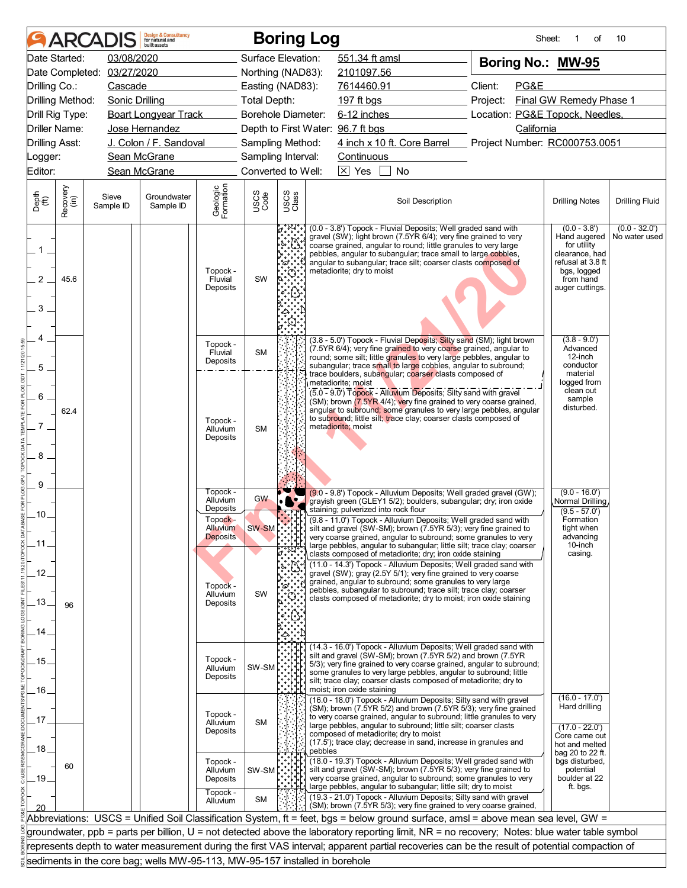|                                |                  | <b>ARCADIS</b>     | <b>Design &amp; Consultancy</b><br>for natural and<br>huilt assets          |                                                |                    | <b>Boring Log</b>                                                                                                                                                                                                                                                                                                                                                                                                                       |         |                                          |                                                                                                                                                                                                                                                                                                                                                                                                      |          | Sheet:     | οf                                                                                       | 10                               |
|--------------------------------|------------------|--------------------|-----------------------------------------------------------------------------|------------------------------------------------|--------------------|-----------------------------------------------------------------------------------------------------------------------------------------------------------------------------------------------------------------------------------------------------------------------------------------------------------------------------------------------------------------------------------------------------------------------------------------|---------|------------------------------------------|------------------------------------------------------------------------------------------------------------------------------------------------------------------------------------------------------------------------------------------------------------------------------------------------------------------------------------------------------------------------------------------------------|----------|------------|------------------------------------------------------------------------------------------|----------------------------------|
|                                | Date Started:    | 03/08/2020         |                                                                             |                                                | Surface Elevation: |                                                                                                                                                                                                                                                                                                                                                                                                                                         |         | 551.34 ft amsl                           |                                                                                                                                                                                                                                                                                                                                                                                                      |          |            | Boring No.: MW-95                                                                        |                                  |
|                                | Date Completed:  | 03/27/2020         |                                                                             |                                                | Northing (NAD83):  |                                                                                                                                                                                                                                                                                                                                                                                                                                         |         | 2101097.56                               |                                                                                                                                                                                                                                                                                                                                                                                                      |          |            |                                                                                          |                                  |
| Drilling Co.:                  |                  | Cascade            |                                                                             |                                                | Easting (NAD83):   |                                                                                                                                                                                                                                                                                                                                                                                                                                         |         | 7614460.91                               |                                                                                                                                                                                                                                                                                                                                                                                                      | Client:  | PG&E       |                                                                                          |                                  |
|                                | Drilling Method: | Sonic Drilling     |                                                                             | Total Depth:                                   |                    |                                                                                                                                                                                                                                                                                                                                                                                                                                         |         | 197 ft bgs                               |                                                                                                                                                                                                                                                                                                                                                                                                      | Project: |            | Final GW Remedy Phase 1                                                                  |                                  |
|                                | Drill Rig Type:  |                    | <b>Boart Longyear Track</b>                                                 |                                                | Borehole Diameter: |                                                                                                                                                                                                                                                                                                                                                                                                                                         |         |                                          | 6-12 inches                                                                                                                                                                                                                                                                                                                                                                                          |          |            | Location: PG&E Topock, Needles,                                                          |                                  |
|                                | Driller Name:    |                    | Jose Hernandez                                                              |                                                |                    |                                                                                                                                                                                                                                                                                                                                                                                                                                         |         | Depth to First Water: 96.7 ft bgs        |                                                                                                                                                                                                                                                                                                                                                                                                      |          | California |                                                                                          |                                  |
| <b>Drilling Asst:</b>          |                  |                    | J. Colon / F. Sandoval                                                      |                                                | Sampling Method:   |                                                                                                                                                                                                                                                                                                                                                                                                                                         |         |                                          | 4 inch x 10 ft. Core Barrel Project Number: RC000753.0051                                                                                                                                                                                                                                                                                                                                            |          |            |                                                                                          |                                  |
| Logger:                        |                  |                    | Sean McGrane                                                                |                                                | Sampling Interval: |                                                                                                                                                                                                                                                                                                                                                                                                                                         |         | Continuous                               |                                                                                                                                                                                                                                                                                                                                                                                                      |          |            |                                                                                          |                                  |
| Editor:                        |                  |                    | Sean McGrane                                                                |                                                | Converted to Well: |                                                                                                                                                                                                                                                                                                                                                                                                                                         |         | $\boxtimes$ Yes                          | No                                                                                                                                                                                                                                                                                                                                                                                                   |          |            |                                                                                          |                                  |
| Depth<br>(ft)                  | Recovery<br>(in) | Sieve<br>Sample ID | Groundwater<br>Sample ID                                                    | Geologic<br>Formation                          | USCS<br>Code       | USCS<br>Class                                                                                                                                                                                                                                                                                                                                                                                                                           |         |                                          | Soil Description                                                                                                                                                                                                                                                                                                                                                                                     |          |            | <b>Drilling Notes</b>                                                                    | <b>Drilling Fluid</b>            |
| $1_{-}$<br>$\overline{2}$<br>3 | 45.6             |                    |                                                                             | Topock -<br>Fluvial<br>Deposits                | SW                 | (0.0 - 3.8') Topock - Fluvial Deposits; Well graded sand with<br>gravel (SW); light brown (7.5YR 6/4); very fine grained to very<br>coarse grained, angular to round; little granules to very large<br>for utility<br>pebbles, angular to subangular; trace small to large cobbles,<br>angular to subangular; trace silt; coarser clasts composed of<br>ిద్<br>metadiorite; dry to moist<br>bgs, logged<br>from hand<br>auger cuttings. |         |                                          |                                                                                                                                                                                                                                                                                                                                                                                                      |          |            | $(0.0 - 3.8')$<br>Hand augered<br>clearance, had<br>refusal at 3.8 ft                    | $(0.0 - 32.0')$<br>No water used |
| 5                              |                  |                    |                                                                             | Topock -<br>Fluvial<br>Deposits                | <b>SM</b>          |                                                                                                                                                                                                                                                                                                                                                                                                                                         |         |                                          | (3.8 - 5.0') Topock - Fluvial Deposits; Silty sand (SM); light brown<br>(7.5YR 6/4); very fine grained to very coarse grained, angular to<br>round; some silt; little granules to very large pebbles, angular to<br>subangular; trace small to large cobbles, angular to subround;<br>trace boulders, subangular; coarser clasts composed of                                                         |          |            | $(3.8 - 9.0)$<br>Advanced<br>12-inch<br>conductor<br>material                            |                                  |
| 6<br>7.<br>8                   | 62.4             |                    |                                                                             | Topock -<br>Alluvium<br>Deposits               | <b>SM</b>          |                                                                                                                                                                                                                                                                                                                                                                                                                                         |         | metadiorite; moist<br>metadiorite; moist | (5.0 - 9.0') Topock - Alluvium Deposits; Silty sand with gravel<br>(SM); brown (7.5YR 4/4); very fine grained to very coarse grained,<br>angular to subround; some granules to very large pebbles, angular<br>to subround; little silt; trace clay; coarser clasts composed of                                                                                                                       |          |            | logged from<br>clean out<br>sample<br>disturbed.                                         |                                  |
| 9<br>.10.                      |                  |                    |                                                                             | Topock -<br>Alluvium<br>Deposits               | <b>GW</b>          | $\cdot$ . $\cdot$ .                                                                                                                                                                                                                                                                                                                                                                                                                     |         | staining; pulverized into rock flour     | (9.0 - 9.8') Topock - Alluvium Deposits; Well graded gravel (GW);<br>grayish green (GLEY1 5/2); boulders, subangular; dry; iron oxide                                                                                                                                                                                                                                                                |          |            | $(9.0 - 16.0')$<br>Normal Drilling<br>$(9.5 - 57.0')$                                    |                                  |
| _11                            |                  |                    |                                                                             | Topock -<br><b>Alluvium</b><br><b>Deposits</b> |                    |                                                                                                                                                                                                                                                                                                                                                                                                                                         |         |                                          | (9.8 - 11.0') Topock - Alluvium Deposits; Well graded sand with<br>silt and gravel (SW-SM); brown (7.5YR 5/3); very fine grained to<br>very coarse grained, angular to subround; some granules to very<br>large pebbles, angular to subangular; little silt; trace clay; coarser                                                                                                                     |          |            | Formation<br>tight when<br>advancing<br>10-inch                                          |                                  |
| .12.<br>.13.                   | 96               |                    |                                                                             | Topock -<br>Alluvium<br>Deposits               | SW                 | °ದ<br>ૢૺૢ૾ૺ                                                                                                                                                                                                                                                                                                                                                                                                                             |         |                                          | clasts composed of metadiorite; dry; iron oxide staining<br>(11.0 - 14.3') Topock - Alluvium Deposits; Well graded sand with<br>gravel (SW); gray (2.5Y 5/1); very fine grained to very coarse<br>grained, angular to subround; some granules to very large<br>pebbles, subangular to subround; trace silt; trace clay; coarser<br>clasts composed of metadiorite; dry to moist; iron oxide staining |          |            | casing.                                                                                  |                                  |
| 14                             |                  |                    |                                                                             |                                                |                    |                                                                                                                                                                                                                                                                                                                                                                                                                                         |         |                                          | (14.3 - 16.0') Topock - Alluvium Deposits; Well graded sand with                                                                                                                                                                                                                                                                                                                                     |          |            |                                                                                          |                                  |
| .15.                           |                  |                    |                                                                             | Topock -<br>Alluvium<br>Deposits               | SW-SM              |                                                                                                                                                                                                                                                                                                                                                                                                                                         |         | moist; iron oxide staining               | silt and gravel (SW-SM); brown (7.5YR 5/2) and brown (7.5YR<br>5/3); very fine grained to very coarse grained, angular to subround;<br>some granules to very large pebbles, angular to subround; little<br>silt; trace clay; coarser clasts composed of metadiorite; dry to                                                                                                                          |          |            |                                                                                          |                                  |
| .16.<br>.17                    |                  |                    |                                                                             | Topock -<br>Alluvium<br>Deposits               | <b>SM</b>          |                                                                                                                                                                                                                                                                                                                                                                                                                                         |         | composed of metadiorite; dry to moist    | (16.0 - 18.0') Topock - Alluvium Deposits; Silty sand with gravel<br>(SM); brown (7.5YR 5/2) and brown (7.5YR 5/3); very fine grained<br>to very coarse grained, angular to subround; little granules to very<br>large pebbles, angular to subround; little silt; coarser clasts<br>(17.5'); trace clay; decrease in sand, increase in granules and                                                  |          |            | $(16.0 - 17.0')$<br>Hard drilling<br>$(17.0 - 22.0')$<br>Core came out<br>hot and melted |                                  |
| .18.<br>.19.                   | 60               |                    |                                                                             | Topock -<br>Alluvium<br>Deposits               | SW-SM              |                                                                                                                                                                                                                                                                                                                                                                                                                                         | pebbles |                                          | (18.0 - 19.3') Topock - Alluvium Deposits; Well graded sand with<br>silt and gravel (SW-SM); brown (7.5YR 5/3); very fine grained to<br>very coarse grained, angular to subround; some granules to very<br>large pebbles, angular to subangular; little silt; dry to moist                                                                                                                           |          |            | bag 20 to 22 ft.<br>bgs disturbed,<br>potential<br>boulder at 22<br>ft. bgs.             |                                  |
|                                |                  |                    |                                                                             | Topock -<br>Alluvium                           | SM                 |                                                                                                                                                                                                                                                                                                                                                                                                                                         |         |                                          | (19.3 - 21.0') Topock - Alluvium Deposits; Silty sand with gravel<br>(SM); brown (7.5YR 5/3); very fine grained to very coarse grained,<br>Abbreviations: USCS = Unified Soil Classification System, ft = feet, bgs = below ground surface, amsl = above mean sea level, GW =                                                                                                                        |          |            |                                                                                          |                                  |
|                                |                  |                    |                                                                             |                                                |                    |                                                                                                                                                                                                                                                                                                                                                                                                                                         |         |                                          | groundwater, ppb = parts per billion, U = not detected above the laboratory reporting limit, NR = no recovery; Notes: blue water table symbol                                                                                                                                                                                                                                                        |          |            |                                                                                          |                                  |
|                                |                  |                    |                                                                             |                                                |                    |                                                                                                                                                                                                                                                                                                                                                                                                                                         |         |                                          | represents depth to water measurement during the first VAS interval; apparent partial recoveries can be the result of potential compaction of                                                                                                                                                                                                                                                        |          |            |                                                                                          |                                  |
|                                |                  |                    |                                                                             |                                                |                    |                                                                                                                                                                                                                                                                                                                                                                                                                                         |         |                                          |                                                                                                                                                                                                                                                                                                                                                                                                      |          |            |                                                                                          |                                  |
|                                |                  |                    | sediments in the core bag; wells MW-95-113, MW-95-157 installed in borehole |                                                |                    |                                                                                                                                                                                                                                                                                                                                                                                                                                         |         |                                          |                                                                                                                                                                                                                                                                                                                                                                                                      |          |            |                                                                                          |                                  |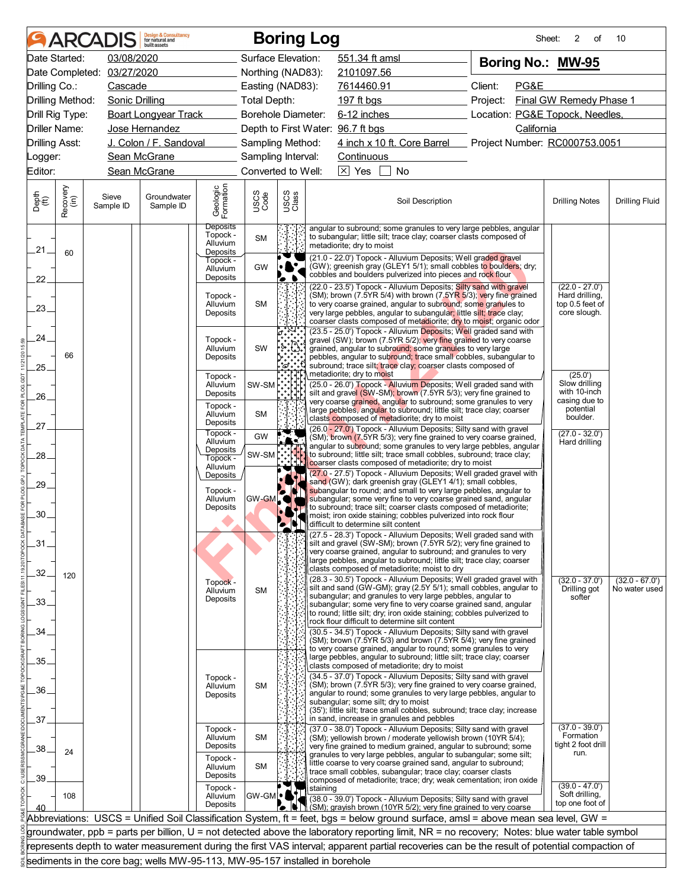|                       |                  | <b>ARCADIS</b>     | <b>Design &amp; Consultancy</b><br>for natural and<br>huilt assets          |                                                          |                    |                | <b>Boring Log</b>                 |                                                                                                                                                                                                                                        |                  |                                                                                                                                                                                                                 | 2<br>Sheet:<br>of                                                     | 10                                |
|-----------------------|------------------|--------------------|-----------------------------------------------------------------------------|----------------------------------------------------------|--------------------|----------------|-----------------------------------|----------------------------------------------------------------------------------------------------------------------------------------------------------------------------------------------------------------------------------------|------------------|-----------------------------------------------------------------------------------------------------------------------------------------------------------------------------------------------------------------|-----------------------------------------------------------------------|-----------------------------------|
|                       | Date Started:    | 03/08/2020         |                                                                             |                                                          | Surface Elevation: |                |                                   | 551.34 ft amsl                                                                                                                                                                                                                         |                  | Boring No.: MW-95                                                                                                                                                                                               |                                                                       |                                   |
|                       | Date Completed:  | 03/27/2020         |                                                                             |                                                          | Northing (NAD83):  |                |                                   | 2101097.56                                                                                                                                                                                                                             |                  |                                                                                                                                                                                                                 |                                                                       |                                   |
| Drilling Co.:         |                  | Cascade            |                                                                             |                                                          | Easting (NAD83):   |                |                                   | 7614460.91                                                                                                                                                                                                                             |                  | Client:<br>PG&E                                                                                                                                                                                                 |                                                                       |                                   |
| Drilling Method:      |                  | Sonic Drilling     |                                                                             |                                                          | Total Depth:       |                | 197 ft bgs                        |                                                                                                                                                                                                                                        |                  | Project:                                                                                                                                                                                                        | Final GW Remedy Phase 1                                               |                                   |
|                       | Drill Rig Type:  |                    | <b>Boart Longyear Track</b>                                                 |                                                          | Borehole Diameter: |                |                                   | $6-12$ inches                                                                                                                                                                                                                          |                  | Location: PG&E Topock, Needles,                                                                                                                                                                                 |                                                                       |                                   |
| Driller Name:         |                  |                    | Jose Hernandez                                                              |                                                          |                    |                | Depth to First Water: 96.7 ft bgs |                                                                                                                                                                                                                                        |                  | California                                                                                                                                                                                                      |                                                                       |                                   |
| <b>Drilling Asst:</b> |                  |                    | J. Colon / F. Sandoval                                                      |                                                          | Sampling Method:   |                |                                   | 4 inch x 10 ft. Core Barrel                                                                                                                                                                                                            |                  | Project Number: RC000753.0051                                                                                                                                                                                   |                                                                       |                                   |
| _ogger:               |                  |                    | Sean McGrane                                                                |                                                          | Sampling Interval: |                |                                   | Continuous                                                                                                                                                                                                                             |                  |                                                                                                                                                                                                                 |                                                                       |                                   |
| Editor:               |                  |                    | Sean McGrane                                                                |                                                          | Converted to Well: |                | $\boxtimes$ Yes                   | No                                                                                                                                                                                                                                     |                  |                                                                                                                                                                                                                 |                                                                       |                                   |
| Depth<br>(ft)         | Recovery<br>(in) | Sieve<br>Sample ID | Groundwater<br>Sample ID                                                    | Geologic<br>Formation                                    | USCS<br>Code       | USCS<br>Class  |                                   |                                                                                                                                                                                                                                        | Soil Description |                                                                                                                                                                                                                 | <b>Drilling Notes</b>                                                 | <b>Drilling Fluid</b>             |
| $21 -$                | 60               |                    |                                                                             | <b>Deposits</b><br>Topock -<br>Alluvium<br>Deposits      | <b>SM</b>          |                | metadiorite; dry to moist         | to subangular; little silt; trace clay; coarser clasts composed of                                                                                                                                                                     |                  | angular to subround; some granules to very large pebbles, angular                                                                                                                                               |                                                                       |                                   |
| $22^{1}$              |                  |                    |                                                                             | Topock -<br>Alluvium<br>Deposits                         | GW                 |                |                                   | (21.0 - 22.0') Topock - Alluvium Deposits; Well graded gravel<br>cobbles and boulders pulverized into pieces and rock flour                                                                                                            |                  | (GW); greenish gray (GLEY1 5/1); small cobbles to boulders; dry;                                                                                                                                                |                                                                       |                                   |
| 23.                   |                  |                    |                                                                             | Topock -<br>Alluvium<br>Deposits                         | <b>SM</b>          |                |                                   | (22.0 - 23.5') Topock - Alluvium Deposits; Silty sand with gravel<br>to very coarse grained, angular to subround; some granules to<br>very large pebbles, angular to subangular; little silt; trace clay;                              |                  | (SM); brown (7.5YR 5/4) with brown (7.5YR 5/3); very fine grained<br>coarser clasts composed of metadiorite; dry to moist; organic odor                                                                         | $(22.0 - 27.0')$<br>Hard drilling,<br>top 0.5 feet of<br>core slough. |                                   |
| 24.<br>25.            | 66               |                    |                                                                             | Topock -<br>Alluvium<br>Deposits                         | SW                 | °ದಿ            |                                   | grained, angular to subround; some granules to very large<br>subround; trace silt; trace clay; coarser clasts composed of                                                                                                              |                  | (23.5 - 25.0') Topock - Alluvium Deposits; Well graded sand with<br>gravel (SW); brown (7.5YR 5/2); very fine grained to very coarse<br>pebbles, angular to subround; trace small cobbles, subangular to        |                                                                       |                                   |
| 26.                   |                  |                    |                                                                             | Topock -<br>Alluvium<br>Deposits                         | SW-SM              |                | metadiorite; dry to moist         | silt and gravel (SW-SM); brown (7.5YR 5/3); very fine grained to                                                                                                                                                                       |                  | (25.0 - 26.0') Topock - Alluvium Deposits; Well graded sand with<br>very coarse grained, angular to subround; some granules to very                                                                             | (25.0)<br>Slow drilling<br>with 10-inch<br>casing due to              |                                   |
| 27.                   |                  |                    |                                                                             | Topock -<br>Alluvium<br>Deposits<br>Topock -             | SM                 |                |                                   | large pebbles, angular to subround; little silt; trace clay; coarser<br>clasts composed of metadiorite; dry to moist<br>(26.0 - 27.0') Topock - Alluvium Deposits; Silty sand with gravel                                              |                  |                                                                                                                                                                                                                 | potential<br>boulder.<br>$(27.0 - 32.0')$                             |                                   |
| 28.                   |                  |                    |                                                                             | Alluvium<br>Deposits<br>Topock -                         | GW<br>SW-SM        |                |                                   | coarser clasts composed of metadiorite; dry to moist                                                                                                                                                                                   |                  | (SM); brown (7.5YR 5/3); very fine grained to very coarse grained,<br>angular to subround; some granules to very large pebbles, angular<br>to subround; little silt; trace small cobbles, subround; trace clay; | Hard drilling                                                         |                                   |
| $29 -$<br>30.         |                  |                    |                                                                             | Alluvium<br>Deposits<br>Topock -<br>Alluvium<br>Deposits | GW-GML             | $\bullet$<br>Ł |                                   | sand (GW); dark greenish gray (GLEY1 4/1); small cobbles,<br>to subround; trace silt; coarser clasts composed of metadiorite;<br>moist; iron oxide staining; cobbles pulverized into rock flour<br>difficult to determine silt content |                  | (27.0 - 27.5') Topock - Alluvium Deposits; Well graded gravel with<br>subangular to round; and small to very large pebbles, angular to<br>subangular; some very fine to very coarse grained sand, angular       |                                                                       |                                   |
| $-31$                 |                  |                    |                                                                             |                                                          |                    |                |                                   | silt and gravel (SW-SM); brown (7.5YR 5/2); very fine grained to<br>very coarse grained, angular to subround; and granules to very<br>large pebbles, angular to subround; little silt; trace clay; coarser                             |                  | (27.5 - 28.3') Topock - Alluvium Deposits; Well graded sand with                                                                                                                                                |                                                                       |                                   |
| 32.                   | 120              |                    |                                                                             | Topock -<br>Alluvium                                     | <b>SM</b>          |                |                                   | clasts composed of metadiorite; moist to dry<br>subangular; and granules to very large pebbles, angular to                                                                                                                             |                  | (28.3 - 30.5') Topock - Alluvium Deposits; Well graded gravel with<br>silt and sand (GW-GM); gray (2.5Y 5/1); small cobbles, angular to                                                                         | $(32.0 - 37.0')$<br>Drilling got<br>softer                            | $(32.0 - 67.0')$<br>No water used |
| 33.                   |                  |                    |                                                                             | Deposits                                                 |                    |                |                                   | to round; little silt; dry; iron oxide staining; cobbles pulverized to<br>rock flour difficult to determine silt content                                                                                                               |                  | subangular; some very fine to very coarse grained sand, angular                                                                                                                                                 |                                                                       |                                   |
| 34<br>35.             |                  |                    |                                                                             |                                                          |                    |                |                                   | (30.5 - 34.5') Topock - Alluvium Deposits; Silty sand with gravel<br>to very coarse grained, angular to round; some granules to very<br>large pebbles, angular to subround; little silt; trace clay; coarser                           |                  | (SM); brown (7.5YR 5/3) and brown (7.5YR 5/4); very fine grained                                                                                                                                                |                                                                       |                                   |
| 36.                   |                  |                    |                                                                             | Topock -<br>Alluvium<br>Deposits                         | <b>SM</b>          |                |                                   | clasts composed of metadiorite; dry to moist<br>(34.5 - 37.0') Topock - Alluvium Deposits; Silty sand with gravel                                                                                                                      |                  | (SM); brown (7.5YR 5/3); very fine grained to very coarse grained,<br>angular to round; some granules to very large pebbles, angular to                                                                         |                                                                       |                                   |
| 37                    |                  |                    |                                                                             | Topock -                                                 |                    |                |                                   | subangular; some silt; dry to moist<br>in sand, increase in granules and pebbles<br>(37.0 - 38.0') Topock - Alluvium Deposits; Silty sand with gravel                                                                                  |                  | (35'); little silt; trace small cobbles, subround; trace clay; increase                                                                                                                                         | $(37.0 - 39.0')$                                                      |                                   |
| 38.                   | 24               |                    |                                                                             | Alluvium<br>Deposits<br>Topock -                         | SM                 |                |                                   | (SM); yellowish brown / moderate yellowish brown (10YR 5/4);                                                                                                                                                                           |                  | very fine grained to medium grained, angular to subround; some<br>granules to very large pebbles, angular to subangular; some silt;                                                                             | Formation<br>tight 2 foot drill<br>run.                               |                                   |
| 39                    |                  |                    |                                                                             | Alluvium<br>Deposits<br>Topock -                         | <b>SM</b>          |                | staining                          | little coarse to very coarse grained sand, angular to subround;<br>trace small cobbles, subangular; trace clay; coarser clasts                                                                                                         |                  | composed of metadiorite; trace; dry; weak cementation; iron oxide                                                                                                                                               | $(39.0 - 47.0')$                                                      |                                   |
| 40                    | 108              |                    |                                                                             | Alluvium<br>Deposits                                     | GW-GML             | ъ              |                                   | (38.0 - 39.0') Topock - Alluvium Deposits; Silty sand with gravel                                                                                                                                                                      |                  | (SM); grayish brown (10YR 5/2); very fine grained to very coarse<br>Abbreviations: USCS = Unified Soil Classification System, ft = feet, bgs = below ground surface, amsl = above mean sea level, GW =          | Soft drilling,<br>top one foot of                                     |                                   |
|                       |                  |                    |                                                                             |                                                          |                    |                |                                   |                                                                                                                                                                                                                                        |                  | groundwater, ppb = parts per billion, U = not detected above the laboratory reporting limit, NR = no recovery; Notes: blue water table symbol                                                                   |                                                                       |                                   |
|                       |                  |                    |                                                                             |                                                          |                    |                |                                   |                                                                                                                                                                                                                                        |                  | represents depth to water measurement during the first VAS interval; apparent partial recoveries can be the result of potential compaction of                                                                   |                                                                       |                                   |
|                       |                  |                    | sediments in the core bag; wells MW-95-113, MW-95-157 installed in borehole |                                                          |                    |                |                                   |                                                                                                                                                                                                                                        |                  |                                                                                                                                                                                                                 |                                                                       |                                   |
|                       |                  |                    |                                                                             |                                                          |                    |                |                                   |                                                                                                                                                                                                                                        |                  |                                                                                                                                                                                                                 |                                                                       |                                   |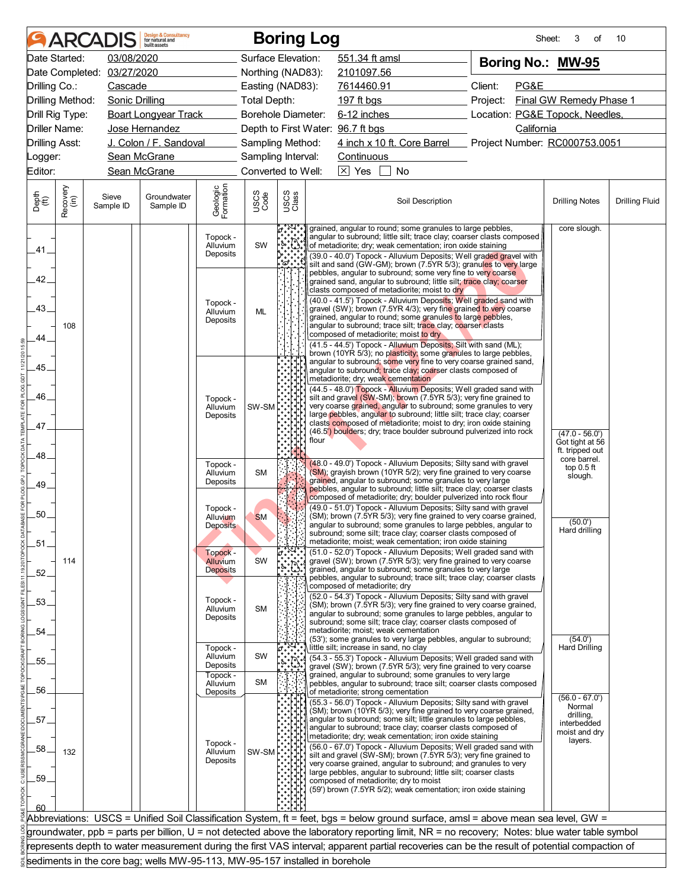|                       |                  | ARCADIS            | <b>Design &amp; Consultancy</b><br>for natural and<br>huilt assets          |                                              |                           |                                                                                                                                                                                                                                                                                                                                                     | <b>Boring Log</b> |                                        |                                                                                                                                                                                                                                                                                                                                                                                                                                                                                                                                                                                                                                         |                                                                                                                                               | Sheet:<br>3<br>οf                                                                      | 10                    |
|-----------------------|------------------|--------------------|-----------------------------------------------------------------------------|----------------------------------------------|---------------------------|-----------------------------------------------------------------------------------------------------------------------------------------------------------------------------------------------------------------------------------------------------------------------------------------------------------------------------------------------------|-------------------|----------------------------------------|-----------------------------------------------------------------------------------------------------------------------------------------------------------------------------------------------------------------------------------------------------------------------------------------------------------------------------------------------------------------------------------------------------------------------------------------------------------------------------------------------------------------------------------------------------------------------------------------------------------------------------------------|-----------------------------------------------------------------------------------------------------------------------------------------------|----------------------------------------------------------------------------------------|-----------------------|
|                       | Date Started:    | 03/08/2020         |                                                                             |                                              | Surface Elevation:        |                                                                                                                                                                                                                                                                                                                                                     |                   | 551.34 ft amsl                         |                                                                                                                                                                                                                                                                                                                                                                                                                                                                                                                                                                                                                                         | Boring No.: MW-95                                                                                                                             |                                                                                        |                       |
|                       | Date Completed:  | 03/27/2020         |                                                                             |                                              | Northing (NAD83):         |                                                                                                                                                                                                                                                                                                                                                     |                   | 2101097.56                             |                                                                                                                                                                                                                                                                                                                                                                                                                                                                                                                                                                                                                                         |                                                                                                                                               |                                                                                        |                       |
| Drilling Co.:         |                  | Cascade            |                                                                             |                                              | Easting (NAD83):          |                                                                                                                                                                                                                                                                                                                                                     |                   | 7614460.91                             |                                                                                                                                                                                                                                                                                                                                                                                                                                                                                                                                                                                                                                         | Client:<br>PG&E                                                                                                                               |                                                                                        |                       |
| Drilling Method:      |                  | Sonic Drilling     |                                                                             |                                              | <b>Total Depth:</b>       |                                                                                                                                                                                                                                                                                                                                                     |                   | 197 ft bgs                             |                                                                                                                                                                                                                                                                                                                                                                                                                                                                                                                                                                                                                                         | Project:                                                                                                                                      | Final GW Remedy Phase 1                                                                |                       |
|                       | Drill Rig Type:  |                    | <b>Boart Longyear Track</b>                                                 |                                              | <b>Borehole Diameter:</b> |                                                                                                                                                                                                                                                                                                                                                     |                   | 6-12 inches                            |                                                                                                                                                                                                                                                                                                                                                                                                                                                                                                                                                                                                                                         | Location: PG&E Topock, Needles,                                                                                                               |                                                                                        |                       |
|                       | Driller Name:    |                    | Jose Hernandez                                                              |                                              |                           |                                                                                                                                                                                                                                                                                                                                                     |                   | Depth to First Water: 96.7 ft bgs      |                                                                                                                                                                                                                                                                                                                                                                                                                                                                                                                                                                                                                                         | California                                                                                                                                    |                                                                                        |                       |
| <b>Drilling Asst:</b> |                  |                    | J. Colon / F. Sandoval                                                      |                                              | Sampling Method:          |                                                                                                                                                                                                                                                                                                                                                     |                   |                                        | 4 inch x 10 ft. Core Barrel                                                                                                                                                                                                                                                                                                                                                                                                                                                                                                                                                                                                             | Project Number: RC000753.0051                                                                                                                 |                                                                                        |                       |
| _ogger:               |                  |                    | Sean McGrane                                                                |                                              | Sampling Interval:        |                                                                                                                                                                                                                                                                                                                                                     |                   | Continuous                             |                                                                                                                                                                                                                                                                                                                                                                                                                                                                                                                                                                                                                                         |                                                                                                                                               |                                                                                        |                       |
| Editor:               |                  |                    | Sean McGrane                                                                |                                              | Converted to Well:        |                                                                                                                                                                                                                                                                                                                                                     |                   | $\boxed{\times}$ Yes                   | <b>No</b>                                                                                                                                                                                                                                                                                                                                                                                                                                                                                                                                                                                                                               |                                                                                                                                               |                                                                                        |                       |
| Depth<br>(ft)         | Recovery<br>(in) | Sieve<br>Sample ID | Groundwater<br>Sample ID                                                    | Geologic<br>Formation                        | USCS<br>Code              | USCS<br>Class                                                                                                                                                                                                                                                                                                                                       |                   |                                        | Soil Description                                                                                                                                                                                                                                                                                                                                                                                                                                                                                                                                                                                                                        |                                                                                                                                               | <b>Drilling Notes</b>                                                                  | <b>Drilling Fluid</b> |
| .41                   |                  |                    |                                                                             | Topock -<br>Alluvium<br>Deposits             | SW                        | $\begin{picture}(220,20) \put(0,0){\line(1,0){15}} \put(15,0){\line(1,0){15}} \put(15,0){\line(1,0){15}} \put(15,0){\line(1,0){15}} \put(15,0){\line(1,0){15}} \put(15,0){\line(1,0){15}} \put(15,0){\line(1,0){15}} \put(15,0){\line(1,0){15}} \put(15,0){\line(1,0){15}} \put(15,0){\line(1,0){15}} \put(15,0){\line(1,0){15}} \put(15,0){\line($ |                   |                                        | grained, angular to round; some granules to large pebbles,<br>of metadiorite; dry; weak cementation; iron oxide staining                                                                                                                                                                                                                                                                                                                                                                                                                                                                                                                | angular to subround; little silt; trace clay; coarser clasts composed<br>(39.0 - 40.0') Topock - Alluvium Deposits; Well graded gravel with   | core slough.                                                                           |                       |
| 42.<br>43.<br>44.     | 108              |                    |                                                                             | Topock -<br>Alluvium<br>Deposits             | ML                        |                                                                                                                                                                                                                                                                                                                                                     |                   |                                        | pebbles, angular to subround; some very fine to very coarse<br>grained sand, angular to subround; little silt; trace clay; coarser<br>clasts composed of metadiorite; moist to dry<br>(40.0 - 41.5') Topock - Alluvium Deposits; Well graded sand with<br>gravel (SW); brown (7.5YR 4/3); very fine grained to very coarse<br>grained, angular to round; some granules to large pebbles,<br>angular to subround; trace silt; trace clay; coarser clasts<br>composed of metadiorite; moist to dry<br>(41.5 - 44.5') Topock - Alluvium Deposits; Silt with sand (ML);<br>brown (10YR 5/3); no plasticity; some granules to large pebbles, | silt and sand (GW-GM); brown (7.5YR 5/3); granules to very large                                                                              |                                                                                        |                       |
| .45.<br>46.           |                  |                    |                                                                             | Topock -<br>Alluvium<br>Deposits             | SW-SM                     |                                                                                                                                                                                                                                                                                                                                                     |                   |                                        | angular to subround; some very fine to very coarse grained sand,<br>angular to subround; trace clay; coarser clasts composed of<br>metadiorite; dry; weak cementation<br>silt and gravel (SW-SM); brown (7.5YR 5/3); very fine grained to<br>very coarse grained, angular to subround; some granules to very<br>large pebbles, angular to subround; little silt; trace clay; coarser                                                                                                                                                                                                                                                    | (44.5 - 48.0') Topock - Alluvium Deposits; Well graded sand with                                                                              |                                                                                        |                       |
| 47.<br>48.            |                  |                    |                                                                             | Topock -                                     |                           |                                                                                                                                                                                                                                                                                                                                                     | flour             |                                        | clasts composed of metadiorite; moist to dry; iron oxide staining<br>(46.5') boulders; dry; trace boulder subround pulverized into rock<br>(48.0 - 49.0') Topock - Alluvium Deposits; Silty sand with gravel                                                                                                                                                                                                                                                                                                                                                                                                                            |                                                                                                                                               | $(47.0 - 56.0')$<br>Got tight at 56<br>ft. tripped out<br>core barrel.<br>top $0.5$ ft |                       |
| .49.<br>50.           |                  |                    |                                                                             | Alluvium<br>Deposits<br>Topock -<br>Alluvium | <b>SM</b><br><b>SM</b>    |                                                                                                                                                                                                                                                                                                                                                     |                   |                                        | (SM); grayish brown (10YR 5/2); very fine grained to very coarse<br>grained, angular to subround; some granules to very large<br>pebbles, angular to subround; little silt; trace clay; coarser clasts<br>composed of metadiorite; dry; boulder pulverized into rock flour<br>(49.0 - 51.0') Topock - Alluvium Deposits; Silty sand with gravel                                                                                                                                                                                                                                                                                         | (SM); brown (7.5YR 5/3); very fine grained to very coarse grained,                                                                            | slough.                                                                                |                       |
| .51.                  |                  |                    |                                                                             | <b>Deposits</b><br>Topock -                  | SW                        |                                                                                                                                                                                                                                                                                                                                                     |                   |                                        | subround; some silt; trace clay; coarser clasts composed of<br>metadiorite; moist; weak cementation; iron oxide staining<br>(51.0 - 52.0') Topock - Alluvium Deposits; Well graded sand with                                                                                                                                                                                                                                                                                                                                                                                                                                            | angular to subround; some granules to large pebbles, angular to                                                                               | (50.0')<br>Hard drilling                                                               |                       |
| .52.                  | 114              |                    |                                                                             | Alluvium<br><b>Deposits</b><br>Topock -      |                           |                                                                                                                                                                                                                                                                                                                                                     |                   | composed of metadiorite; dry           | gravel (SW); brown (7.5YR 5/3); very fine grained to very coarse<br>grained, angular to subround; some granules to very large<br>(52.0 - 54.3') Topock - Alluvium Deposits; Silty sand with gravel                                                                                                                                                                                                                                                                                                                                                                                                                                      | pebbles, angular to subround; trace silt; trace clay; coarser clasts                                                                          |                                                                                        |                       |
| .53.<br>54.           |                  |                    |                                                                             | Alluvium<br>Deposits                         | <b>SM</b>                 |                                                                                                                                                                                                                                                                                                                                                     |                   |                                        | angular to subround; some granules to large pebbles, angular to<br>subround; some silt; trace clay; coarser clasts composed of<br>metadiorite; moist; weak cementation<br>(53'); some granules to very large pebbles, angular to subround;                                                                                                                                                                                                                                                                                                                                                                                              | (SM); brown (7.5YR 5/3); very fine grained to very coarse grained,                                                                            | (54.0')                                                                                |                       |
| 55.                   |                  |                    |                                                                             | Topock -<br>Alluvium<br>Deposits<br>Topock - | SW<br><b>SM</b>           |                                                                                                                                                                                                                                                                                                                                                     |                   | little silt; increase in sand, no clay | (54.3 - 55.3') Topock - Alluvium Deposits; Well graded sand with<br>gravel (SW); brown (7.5YR 5/3); very fine grained to very coarse<br>grained, angular to subround; some granules to very large                                                                                                                                                                                                                                                                                                                                                                                                                                       |                                                                                                                                               | <b>Hard Drilling</b>                                                                   |                       |
| 56.                   |                  |                    |                                                                             | Alluvium<br>Deposits                         |                           |                                                                                                                                                                                                                                                                                                                                                     |                   | of metadiorite; strong cementation     |                                                                                                                                                                                                                                                                                                                                                                                                                                                                                                                                                                                                                                         | pebbles, angular to subround; trace silt; coarser clasts composed                                                                             |                                                                                        |                       |
| 57.                   |                  |                    |                                                                             |                                              |                           |                                                                                                                                                                                                                                                                                                                                                     |                   |                                        | (55.3 - 56.0') Topock - Alluvium Deposits; Silty sand with gravel<br>angular to subround; some silt; little granules to large pebbles,<br>angular to subround; trace clay; coarser clasts composed of                                                                                                                                                                                                                                                                                                                                                                                                                                   | (SM); brown (10YR 5/3); very fine grained to very coarse grained,                                                                             | $(56.0 - 67.0')$<br>Normal<br>drilling,<br>interbedded                                 |                       |
| .58.<br>.59.          | 132              |                    |                                                                             | Topock -<br>Alluvium<br>Deposits             | SW-SM                     |                                                                                                                                                                                                                                                                                                                                                     |                   |                                        | metadiorite; dry; weak cementation; iron oxide staining<br>(56.0 - 67.0') Topock - Alluvium Deposits; Well graded sand with<br>silt and gravel (SW-SM); brown (7.5YR 5/3); very fine grained to<br>very coarse grained, angular to subround; and granules to very<br>large pebbles, angular to subround; little silt; coarser clasts<br>composed of metadiorite; dry to moist<br>(59') brown (7.5YR 5/2); weak cementation; iron oxide staining                                                                                                                                                                                         |                                                                                                                                               | moist and dry<br>layers.                                                               |                       |
| 60                    |                  |                    |                                                                             |                                              |                           |                                                                                                                                                                                                                                                                                                                                                     |                   |                                        |                                                                                                                                                                                                                                                                                                                                                                                                                                                                                                                                                                                                                                         |                                                                                                                                               |                                                                                        |                       |
|                       |                  |                    |                                                                             |                                              |                           |                                                                                                                                                                                                                                                                                                                                                     |                   |                                        |                                                                                                                                                                                                                                                                                                                                                                                                                                                                                                                                                                                                                                         | Abbreviations: USCS = Unified Soil Classification System, ft = feet, bgs = below ground surface, amsl = above mean sea level, GW =            |                                                                                        |                       |
|                       |                  |                    |                                                                             |                                              |                           |                                                                                                                                                                                                                                                                                                                                                     |                   |                                        |                                                                                                                                                                                                                                                                                                                                                                                                                                                                                                                                                                                                                                         | groundwater, ppb = parts per billion, U = not detected above the laboratory reporting limit, NR = no recovery; Notes: blue water table symbol |                                                                                        |                       |
|                       |                  |                    |                                                                             |                                              |                           |                                                                                                                                                                                                                                                                                                                                                     |                   |                                        |                                                                                                                                                                                                                                                                                                                                                                                                                                                                                                                                                                                                                                         | represents depth to water measurement during the first VAS interval; apparent partial recoveries can be the result of potential compaction of |                                                                                        |                       |
|                       |                  |                    | sediments in the core bag; wells MW-95-113, MW-95-157 installed in borehole |                                              |                           |                                                                                                                                                                                                                                                                                                                                                     |                   |                                        |                                                                                                                                                                                                                                                                                                                                                                                                                                                                                                                                                                                                                                         |                                                                                                                                               |                                                                                        |                       |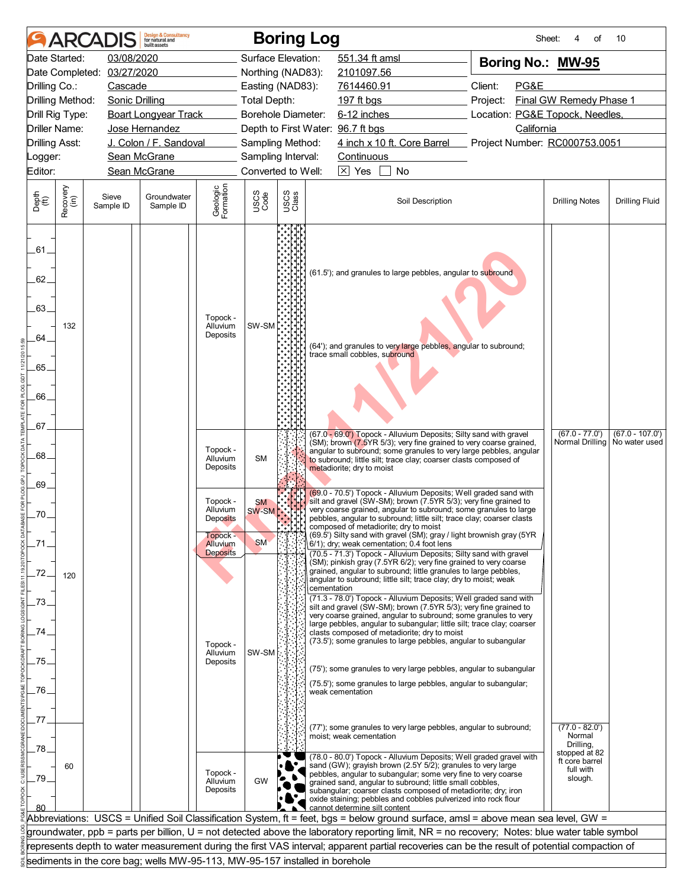|                                                   | <b>AR</b>        |                       | <b>Design &amp; Consultancy</b><br>for natural and<br>huilt assets          |                                                                        |                                 | <b>Boring Log</b>  |                                                                                                                                                                                                                                                                                                                                                                                                                                    | Sheet:                          | οf                                                       | 10                                 |
|---------------------------------------------------|------------------|-----------------------|-----------------------------------------------------------------------------|------------------------------------------------------------------------|---------------------------------|--------------------|------------------------------------------------------------------------------------------------------------------------------------------------------------------------------------------------------------------------------------------------------------------------------------------------------------------------------------------------------------------------------------------------------------------------------------|---------------------------------|----------------------------------------------------------|------------------------------------|
|                                                   | Date Started:    | 03/08/2020            |                                                                             |                                                                        |                                 | Surface Elevation: | 551.34 ft amsl                                                                                                                                                                                                                                                                                                                                                                                                                     | Boring No.: MW-95               |                                                          |                                    |
|                                                   | Date Completed:  | 03/27/2020            |                                                                             |                                                                        |                                 | Northing (NAD83):  | 2101097.56                                                                                                                                                                                                                                                                                                                                                                                                                         |                                 |                                                          |                                    |
| Drilling Co.:                                     |                  | Cascade               |                                                                             |                                                                        |                                 | Easting (NAD83):   | 7614460.91                                                                                                                                                                                                                                                                                                                                                                                                                         | Client:<br>PG&E                 |                                                          |                                    |
| Drilling Method:                                  |                  | <b>Sonic Drilling</b> |                                                                             | <u>and a strategic state</u>                                           | Total Depth:                    |                    | 197 ft bgs                                                                                                                                                                                                                                                                                                                                                                                                                         | Project:                        | Final GW Remedy Phase 1                                  |                                    |
| Drill Rig Type:                                   |                  |                       | <b>Boart Longyear Track</b>                                                 |                                                                        |                                 | Borehole Diameter: | 6-12 inches                                                                                                                                                                                                                                                                                                                                                                                                                        | Location: PG&E Topock, Needles, |                                                          |                                    |
| Driller Name:                                     |                  |                       | Jose Hernandez                                                              |                                                                        |                                 |                    | Depth to First Water: 96.7 ft bgs                                                                                                                                                                                                                                                                                                                                                                                                  | California                      |                                                          |                                    |
| <b>Drilling Asst:</b>                             |                  |                       | J. Colon / F. Sandoval                                                      |                                                                        |                                 | Sampling Method:   | 4 inch x 10 ft. Core Barrel                                                                                                                                                                                                                                                                                                                                                                                                        | Project Number: RC000753.0051   |                                                          |                                    |
| Logger:                                           |                  |                       | Sean McGrane                                                                |                                                                        |                                 | Sampling Interval: | Continuous                                                                                                                                                                                                                                                                                                                                                                                                                         |                                 |                                                          |                                    |
| Editor:                                           |                  |                       | Sean McGrane                                                                |                                                                        |                                 | Converted to Well: | $\boxtimes$ Yes<br>No                                                                                                                                                                                                                                                                                                                                                                                                              |                                 |                                                          |                                    |
| Depth<br>(ft)                                     | Recovery<br>(in) | Sieve<br>Sample ID    | Groundwater<br>Sample ID                                                    | Geologic<br>Formation                                                  | USCS<br>Code                    | USCS<br>Class      | Soil Description                                                                                                                                                                                                                                                                                                                                                                                                                   |                                 | <b>Drilling Notes</b>                                    | <b>Drilling Fluid</b>              |
| .61.<br>62.<br>.63.<br>64.<br>.65.<br>66.<br>.67. | 132              |                       |                                                                             | Topock -<br>Alluvium<br>Deposits                                       | SW-SM                           |                    | (61.5'); and granules to large pebbles, angular to subround<br>(64'); and granules to very large pebbles, angular to subround;<br>trace small cobbles, subround                                                                                                                                                                                                                                                                    |                                 |                                                          |                                    |
| .68.<br>.69                                       |                  |                       |                                                                             | Topock -<br>Alluvium<br>Deposits                                       | <b>SM</b>                       |                    | (67.0 - 69.0') Topock - Alluvium Deposits; Silty sand with gravel<br>(SM); brown (7.5YR 5/3); very fine grained to very coarse grained,<br>angular to subround; some granules to very large pebbles, angular<br>to subround; little silt; trace clay; coarser clasts composed of<br>metadiorite; dry to moist<br>(69.0 - 70.5') Topock - Alluvium Deposits; Well graded sand with                                                  |                                 | $(67.0 - 77.0')$<br>Normal Drilling                      | $(67.0 - 107.0')$<br>No water used |
| .70.                                              |                  |                       |                                                                             | Topock -<br>Alluvium<br><b>Deposits</b><br><b>Topock -</b><br>Alluvium | <b>SM</b><br>SW-SM<br><b>SM</b> |                    | silt and gravel (SW-SM); brown (7.5YR 5/3); very fine grained to<br>very coarse grained, angular to subround; some granules to large<br>pebbles, angular to subround; little silt; trace clay; coarser clasts<br>composed or metadiorite; dry to moist<br>(69.5') Silty sand with gravel (SM); gray / light brownish gray (5YR<br>6/1); dry; weak cementation; 0.4 foot lens                                                       |                                 |                                                          |                                    |
| .72.                                              | 120              |                       |                                                                             | <b>Deposits</b>                                                        |                                 |                    | (70.5 - 71.3') Topock - Alluvium Deposits; Silty sand with gravel<br>(SM); pinkish gray (7.5YR 6/2); very fine grained to very coarse<br>grained, angular to subround; little granules to large pebbles,<br>angular to subround; little silt; trace clay; dry to moist; weak<br>cementation<br>(71.3 - 78.0') Topock - Alluvium Deposits; Well graded sand with                                                                    |                                 |                                                          |                                    |
| 73.<br>74                                         |                  |                       |                                                                             | Topock -<br>Alluvium                                                   | SW-SM                           |                    | silt and gravel (SW-SM); brown (7.5YR 5/3); very fine grained to<br>very coarse grained, angular to subround; some granules to very<br>large pebbles, angular to subangular; little silt; trace clay; coarser<br>clasts composed of metadiorite; dry to moist<br>(73.5'); some granules to large pebbles, angular to subangular                                                                                                    |                                 |                                                          |                                    |
| 75.<br>.76.                                       |                  |                       |                                                                             | Deposits                                                               |                                 |                    | (75'); some granules to very large pebbles, angular to subangular<br>(75.5'); some granules to large pebbles, angular to subangular;<br>weak cementation                                                                                                                                                                                                                                                                           |                                 |                                                          |                                    |
| 77<br>78.                                         |                  |                       |                                                                             |                                                                        |                                 |                    | (77'); some granules to very large pebbles, angular to subround;<br>moist; weak cementation                                                                                                                                                                                                                                                                                                                                        |                                 | $(77.0 - 82.0')$<br>Normal<br>Drilling,<br>stopped at 82 |                                    |
| .79.<br>80                                        | 60               |                       |                                                                             | Topock -<br>Alluvium<br>Deposits                                       | GW                              |                    | (78.0 - 80.0') Topock - Alluvium Deposits; Well graded gravel with<br>sand (GW); grayish brown (2.5Y 5/2); granules to very large<br>pebbles, angular to subangular; some very fine to very coarse<br>grained sand, angular to subround; little small cobbles,<br>subangular; coarser clasts composed of metadiorite; dry; iron<br>oxide staining; pebbles and cobbles pulverized into rock flour<br>cannot determine silt content |                                 | ft core barrel<br>full with<br>slough.                   |                                    |
|                                                   |                  |                       |                                                                             |                                                                        |                                 |                    | Abbreviations: USCS = Unified Soil Classification System, ft = feet, bgs = below ground surface, amsl = above mean sea level, GW =                                                                                                                                                                                                                                                                                                 |                                 |                                                          |                                    |
|                                                   |                  |                       |                                                                             |                                                                        |                                 |                    | groundwater, ppb = parts per billion, U = not detected above the laboratory reporting limit, NR = no recovery; Notes: blue water table symbol                                                                                                                                                                                                                                                                                      |                                 |                                                          |                                    |
|                                                   |                  |                       |                                                                             |                                                                        |                                 |                    | represents depth to water measurement during the first VAS interval; apparent partial recoveries can be the result of potential compaction of                                                                                                                                                                                                                                                                                      |                                 |                                                          |                                    |
|                                                   |                  |                       | sediments in the core bag; wells MW-95-113, MW-95-157 installed in borehole |                                                                        |                                 |                    |                                                                                                                                                                                                                                                                                                                                                                                                                                    |                                 |                                                          |                                    |
|                                                   |                  |                       |                                                                             |                                                                        |                                 |                    |                                                                                                                                                                                                                                                                                                                                                                                                                                    |                                 |                                                          |                                    |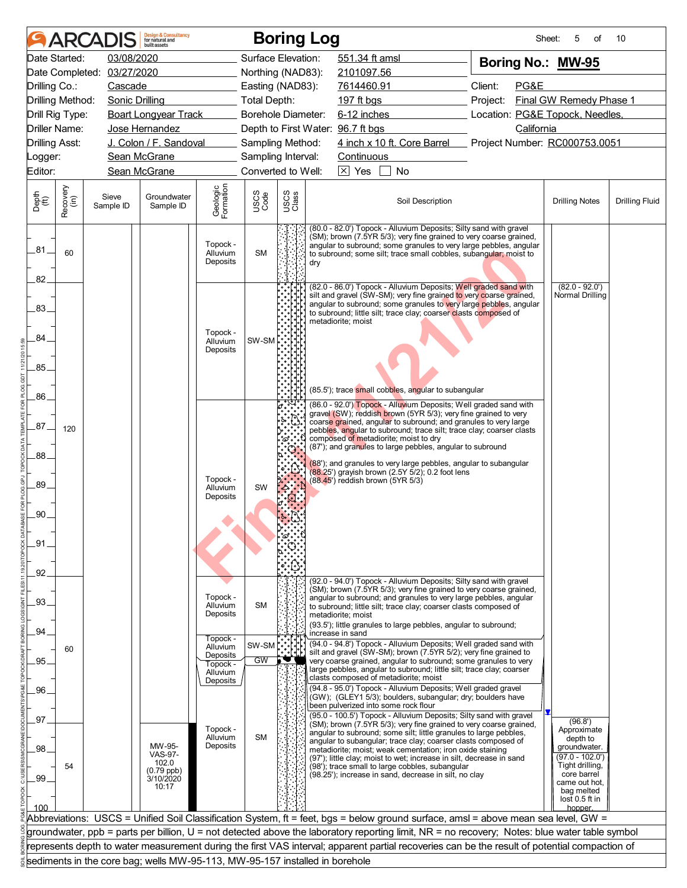|                       |                  | <b>ARCADIS</b>             | <b>Design &amp; Consultancy</b><br>for natural and<br>built assets          |                                  |                     |               | <b>Boring Log</b> |                                       |                                                                                                                                                                                                                                                                                   |          | Sheet:     | 5<br>οf                          | 10                    |
|-----------------------|------------------|----------------------------|-----------------------------------------------------------------------------|----------------------------------|---------------------|---------------|-------------------|---------------------------------------|-----------------------------------------------------------------------------------------------------------------------------------------------------------------------------------------------------------------------------------------------------------------------------------|----------|------------|----------------------------------|-----------------------|
|                       | Date Started:    | 03/08/2020                 |                                                                             |                                  | Surface Elevation:  |               |                   | 551.34 ft amsl                        |                                                                                                                                                                                                                                                                                   |          |            | Boring No.: MW-95                |                       |
|                       |                  | Date Completed: 03/27/2020 |                                                                             |                                  | Northing (NAD83):   |               |                   | 2101097.56                            |                                                                                                                                                                                                                                                                                   |          |            |                                  |                       |
| Drilling Co.:         |                  | Cascade                    |                                                                             |                                  | Easting (NAD83):    |               |                   | 7614460.91                            |                                                                                                                                                                                                                                                                                   | Client:  | PG&E       |                                  |                       |
|                       | Drilling Method: | Sonic Drilling             |                                                                             |                                  | <b>Total Depth:</b> |               |                   | 197 ft bgs                            |                                                                                                                                                                                                                                                                                   | Project: |            | Final GW Remedy Phase 1          |                       |
|                       | Drill Rig Type:  |                            | <b>Boart Longyear Track</b>                                                 |                                  | Borehole Diameter:  |               |                   | 6-12 inches                           |                                                                                                                                                                                                                                                                                   |          |            | Location: PG&E Topock, Needles,  |                       |
|                       | Driller Name:    |                            | Jose Hernandez                                                              |                                  |                     |               |                   | Depth to First Water: 96.7 ft bgs     |                                                                                                                                                                                                                                                                                   |          | California |                                  |                       |
| <b>Drilling Asst:</b> |                  |                            | J. Colon / F. Sandoval                                                      |                                  | Sampling Method:    |               |                   |                                       | 4 inch x 10 ft. Core Barrel Project Number: RC000753.0051                                                                                                                                                                                                                         |          |            |                                  |                       |
| _ogger:               |                  |                            | Sean McGrane                                                                |                                  | Sampling Interval:  |               |                   | Continuous                            |                                                                                                                                                                                                                                                                                   |          |            |                                  |                       |
| Editor:               |                  |                            | Sean McGrane                                                                |                                  | Converted to Well:  |               |                   | $\boxed{\times}$ Yes                  | No                                                                                                                                                                                                                                                                                |          |            |                                  |                       |
| Depth<br>(ft)         | Recovery<br>(in) | Sieve<br>Sample ID         | Groundwater<br>Sample ID                                                    | Geologic<br>Formation            | USCS<br>Code        | USCS<br>Class |                   |                                       | Soil Description                                                                                                                                                                                                                                                                  |          |            | <b>Drilling Notes</b>            | <b>Drilling Fluid</b> |
| .81.                  | 60               |                            |                                                                             | Topock -<br>Alluvium<br>Deposits | <b>SM</b>           |               | dry               |                                       | (80.0 - 82.0') Topock - Alluvium Deposits; Silty sand with gravel<br>(SM); brown (7.5YR 5/3); very fine grained to very coarse grained,<br>angular to subround; some granules to very large pebbles, angular<br>to subround; some silt; trace small cobbles, subangular; moist to |          |            |                                  |                       |
| 82.                   |                  |                            |                                                                             |                                  |                     |               |                   |                                       | (82.0 - 86.0') Topock - Alluvium Deposits; Well graded sand with                                                                                                                                                                                                                  |          |            | $(82.0 - 92.0')$                 |                       |
| .83.                  |                  |                            |                                                                             | Topock -                         |                     |               |                   | metadiorite; moist                    | silt and gravel (SW-SM); very fine grained to very coarse grained,<br>angular to subround; some granules to very large pebbles, angular<br>to subround; little silt; trace clay; coarser clasts composed of                                                                       |          |            | Normal Drilling                  |                       |
| 84                    |                  |                            |                                                                             | Alluvium<br>Deposits             | SW-SM               |               |                   |                                       |                                                                                                                                                                                                                                                                                   |          |            |                                  |                       |
| 85.                   |                  |                            |                                                                             |                                  |                     |               |                   |                                       |                                                                                                                                                                                                                                                                                   |          |            |                                  |                       |
| .86.                  |                  |                            |                                                                             |                                  |                     |               |                   |                                       | (85.5'); trace small cobbles, angular to subangular<br>(86.0 - 92.0') Topock - Alluvium Deposits; Well graded sand with                                                                                                                                                           |          |            |                                  |                       |
| .87                   | 120              |                            |                                                                             |                                  |                     |               |                   | composed of metadiorite; moist to dry | gravel (SW); reddish brown (5YR 5/3); very fine grained to very<br>coarse grained, angular to subround; and granules to very large<br>pebbles, angular to subround; trace silt; trace clay; coarser clasts                                                                        |          |            |                                  |                       |
| .88                   |                  |                            |                                                                             |                                  |                     |               |                   |                                       | (87'); and granules to large pebbles, angular to subround<br>(88'); and granules to very large pebbles, angular to subangular                                                                                                                                                     |          |            |                                  |                       |
| .89.                  |                  |                            |                                                                             | Topock -<br>Alluvium             | SW                  |               |                   | (88.45') reddish brown (5YR 5/3)      | (88.25') grayish brown (2.5Y 5/2); 0.2 foot lens                                                                                                                                                                                                                                  |          |            |                                  |                       |
| .90                   |                  |                            |                                                                             | Deposits                         |                     |               |                   |                                       |                                                                                                                                                                                                                                                                                   |          |            |                                  |                       |
|                       |                  |                            |                                                                             |                                  |                     |               |                   |                                       |                                                                                                                                                                                                                                                                                   |          |            |                                  |                       |
| .91                   |                  |                            |                                                                             |                                  |                     |               |                   |                                       |                                                                                                                                                                                                                                                                                   |          |            |                                  |                       |
|                       |                  |                            |                                                                             |                                  |                     |               |                   |                                       |                                                                                                                                                                                                                                                                                   |          |            |                                  |                       |
| .92                   |                  |                            |                                                                             |                                  |                     |               |                   |                                       |                                                                                                                                                                                                                                                                                   |          |            |                                  |                       |
| .93.                  |                  |                            |                                                                             | Topock -                         |                     |               |                   |                                       | (92.0 - 94.0') Topock - Alluvium Deposits; Silty sand with gravel<br>(SM); brown (7.5YR 5/3); very fine grained to very coarse grained,<br>angular to subround; and granules to very large pebbles, angular                                                                       |          |            |                                  |                       |
|                       |                  |                            |                                                                             | Alluvium<br>Deposits             | <b>SM</b>           |               |                   | metadiorite: moist                    | to subround; little silt; trace clay; coarser clasts composed of<br>(93.5'); little granules to large pebbles, angular to subround;                                                                                                                                               |          |            |                                  |                       |
| .94                   |                  |                            |                                                                             | Topock -                         |                     |               |                   | increase in sand                      | (94.0 - 94.8') Topock - Alluvium Deposits; Well graded sand with                                                                                                                                                                                                                  |          |            |                                  |                       |
| 95.                   | 60               |                            |                                                                             | Alluvium<br>Deposits<br>Topock - | SW-SM<br>GW         |               |                   |                                       | silt and gravel (SW-SM); brown (7.5YR 5/2); very fine grained to<br>very coarse grained, angular to subround; some granules to very<br>large pebbles, angular to subround; little silt; trace clay; coarser                                                                       |          |            |                                  |                       |
| .96                   |                  |                            |                                                                             | Alluvium<br>Deposits             |                     |               |                   | clasts composed of metadiorite; moist | (94.8 - 95.0') Topock - Alluvium Deposits; Well graded gravel                                                                                                                                                                                                                     |          |            |                                  |                       |
|                       |                  |                            |                                                                             |                                  |                     |               |                   | been pulverized into some rock flour  | (GW); (GLEY1 5/3); boulders, subangular; dry; boulders have<br>(95.0 - 100.5') Topock - Alluvium Deposits; Silty sand with gravel                                                                                                                                                 |          |            |                                  |                       |
| 97                    |                  |                            |                                                                             | Topock -                         |                     |               |                   |                                       | (SM); brown (7.5YR 5/3); very fine grained to very coarse grained,                                                                                                                                                                                                                |          |            | (96.8')<br>Approximate           |                       |
|                       |                  |                            | MW-95-                                                                      | Alluvium<br>Deposits             | <b>SM</b>           |               |                   |                                       | angular to subround; some silt; little granules to large pebbles,<br>angular to subangular; trace clay; coarser clasts composed of                                                                                                                                                |          |            | depth to                         |                       |
| .98                   |                  |                            | <b>VAS-97-</b>                                                              |                                  |                     |               |                   |                                       | metadiorite; moist; weak cementation; iron oxide staining<br>(97'); little clay; moist to wet; increase in silt, decrease in sand                                                                                                                                                 |          |            | groundwater.<br>$(97.0 - 102.0)$ |                       |
|                       | 54               |                            | 102.0<br>$(0.79$ ppb)                                                       |                                  |                     |               |                   |                                       | (98'); trace small to large cobbles, subangular<br>(98.25'); increase in sand, decrease in silt, no clay                                                                                                                                                                          |          |            | Tight drilling,<br>core barrel   |                       |
| .99                   |                  |                            | 3/10/2020<br>10:17                                                          |                                  |                     |               |                   |                                       |                                                                                                                                                                                                                                                                                   |          |            | came out hot,<br>bag melted      |                       |
| 100                   |                  |                            |                                                                             |                                  |                     |               |                   |                                       |                                                                                                                                                                                                                                                                                   |          |            | lost 0.5 ft in                   |                       |
|                       |                  |                            |                                                                             |                                  |                     |               |                   |                                       | Abbreviations: USCS = Unified Soil Classification System, ft = feet, bgs = below ground surface, amsl = above mean sea level, GW =                                                                                                                                                |          |            | hopper.                          |                       |
|                       |                  |                            |                                                                             |                                  |                     |               |                   |                                       | groundwater, ppb = parts per billion, U = not detected above the laboratory reporting limit, NR = no recovery; Notes: blue water table symbol                                                                                                                                     |          |            |                                  |                       |
|                       |                  |                            |                                                                             |                                  |                     |               |                   |                                       | represents depth to water measurement during the first VAS interval; apparent partial recoveries can be the result of potential compaction of                                                                                                                                     |          |            |                                  |                       |
|                       |                  |                            | sediments in the core bag; wells MW-95-113, MW-95-157 installed in borehole |                                  |                     |               |                   |                                       |                                                                                                                                                                                                                                                                                   |          |            |                                  |                       |
|                       |                  |                            |                                                                             |                                  |                     |               |                   |                                       |                                                                                                                                                                                                                                                                                   |          |            |                                  |                       |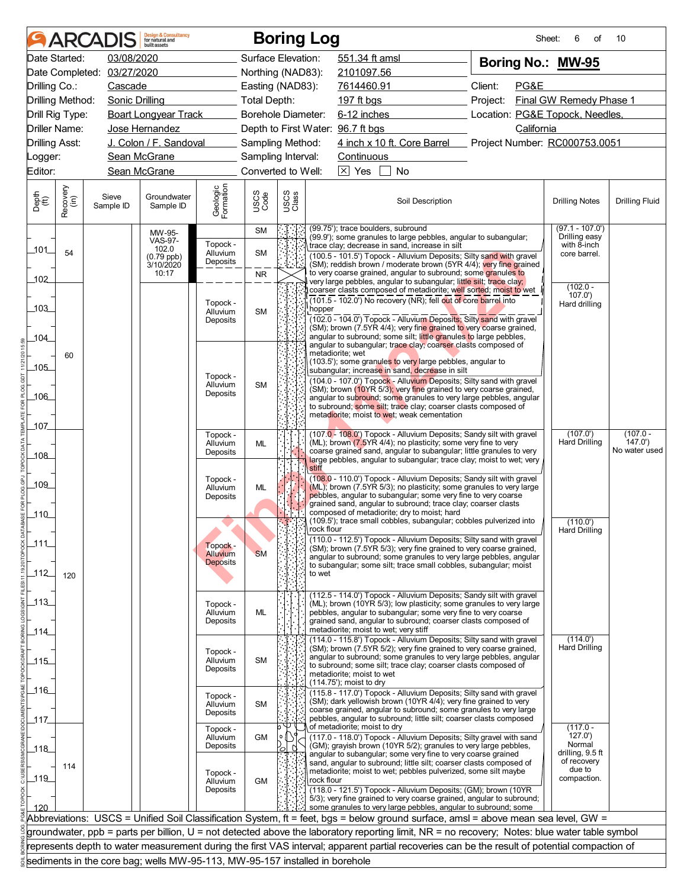|                             |                  | <b>ARCADIS</b>     | <b>Design &amp; Consultancy</b><br>for natural and<br>huilt assets          |                       |                    |               | <b>Boring Log</b> |                                                                                                                                      |                  |                                                                                                                                               | Sheet:<br>6                        | 10<br>οf              |
|-----------------------------|------------------|--------------------|-----------------------------------------------------------------------------|-----------------------|--------------------|---------------|-------------------|--------------------------------------------------------------------------------------------------------------------------------------|------------------|-----------------------------------------------------------------------------------------------------------------------------------------------|------------------------------------|-----------------------|
|                             | Date Started:    | 03/08/2020         |                                                                             |                       | Surface Elevation: |               |                   | 551.34 ft amsl                                                                                                                       |                  | Boring No.: MW-95                                                                                                                             |                                    |                       |
| Date Completed:             |                  | 03/27/2020         |                                                                             |                       | Northing (NAD83):  |               |                   | 2101097.56                                                                                                                           |                  |                                                                                                                                               |                                    |                       |
| Drilling Co.:               |                  | Cascade            |                                                                             |                       | Easting (NAD83):   |               |                   | 7614460.91                                                                                                                           |                  | Client:<br>PG&E                                                                                                                               |                                    |                       |
| Drilling Method:            |                  | Sonic Drilling     |                                                                             |                       | Total Depth:       |               |                   | 197 ft bgs                                                                                                                           |                  | Project:                                                                                                                                      | Final GW Remedy Phase 1            |                       |
| Drill Rig Type:             |                  |                    | <b>Boart Longyear Track</b>                                                 |                       | Borehole Diameter: |               |                   | $6-12$ inches                                                                                                                        |                  | Location: PG&E Topock, Needles,                                                                                                               |                                    |                       |
| Driller Name:               |                  |                    | Jose Hernandez                                                              |                       |                    |               |                   | Depth to First Water: 96.7 ft bgs                                                                                                    |                  | California                                                                                                                                    |                                    |                       |
| <b>Drilling Asst:</b>       |                  |                    | J. Colon / F. Sandoval                                                      |                       | Sampling Method:   |               |                   |                                                                                                                                      |                  | 4 inch x 10 ft. Core Barrel Project Number: RC000753.0051                                                                                     |                                    |                       |
| _ogger:                     |                  |                    | Sean McGrane                                                                |                       | Sampling Interval: |               |                   | Continuous                                                                                                                           |                  |                                                                                                                                               |                                    |                       |
| Editor:                     |                  |                    | Sean McGrane                                                                |                       | Converted to Well: |               |                   | $\boxtimes$ Yes<br>No                                                                                                                |                  |                                                                                                                                               |                                    |                       |
| Depth<br>$\widetilde{f(t)}$ | Recovery<br>(in) | Sieve<br>Sample ID | Groundwater<br>Sample ID                                                    | Geologic<br>Formation | USCS<br>Code       | USCS<br>Class |                   |                                                                                                                                      | Soil Description |                                                                                                                                               | <b>Drilling Notes</b>              | <b>Drilling Fluid</b> |
|                             |                  |                    | MW-95-<br><b>VAS-97-</b>                                                    |                       | <b>SM</b>          |               |                   | (99.75'); trace boulders, subround<br>(99.9'); some granules to large pebbles, angular to subangular;                                |                  |                                                                                                                                               | $(97.1 - 107.0')$<br>Drilling easy |                       |
| _101__                      | 54               |                    | 102.0<br>$(0.79$ ppb)                                                       | Topock -<br>Alluvium  | SM                 |               |                   | trace clay; decrease in sand, increase in silt                                                                                       |                  | (100.5 - 101.5') Topock - Alluvium Deposits; Silty sand with gravel                                                                           | with 8-inch<br>core barrel.        |                       |
|                             |                  |                    | 3/10/2020                                                                   | Deposits              |                    |               |                   |                                                                                                                                      |                  | (SM); reddish brown / moderate brown (5YR 4/4); very fine grained                                                                             |                                    |                       |
| 102                         |                  |                    | 10:17                                                                       |                       | <b>NR</b>          |               |                   | to very coarse grained, angular to subround; some granules to<br>very large pebbles, angular to subangular; little silt; trace clay; |                  |                                                                                                                                               |                                    |                       |
|                             |                  |                    |                                                                             |                       |                    |               |                   | (101.5 - 102.0') No recovery (NR); fell out of core barrel into                                                                      |                  | coarser clasts composed of metadiorite; well sorted; moist to wet                                                                             | $(102.0 -$<br>107.0'               |                       |
| 103                         |                  |                    |                                                                             | Topock -<br>Alluvium  | <b>SM</b>          |               | hopper            |                                                                                                                                      |                  |                                                                                                                                               | Hard drilling                      |                       |
|                             |                  |                    |                                                                             | Deposits              |                    |               |                   |                                                                                                                                      |                  | (102.0 - 104.0') Topock - Alluvium Deposits; Silty sand with gravel<br>(SM); brown (7.5YR 4/4); very fine grained to very coarse grained,     |                                    |                       |
| 104                         |                  |                    |                                                                             |                       |                    |               |                   | angular to subround; some silt; little granules to large pebbles,<br>angular to subangular; trace clay; coarser clasts composed of   |                  |                                                                                                                                               |                                    |                       |
|                             | 60               |                    |                                                                             |                       |                    |               |                   | metadiorite; wet                                                                                                                     |                  |                                                                                                                                               |                                    |                       |
| _105_                       |                  |                    |                                                                             |                       |                    |               |                   | (103.5'); some granules to very large pebbles, angular to<br>subangular; increase in sand, decrease in silt                          |                  |                                                                                                                                               |                                    |                       |
|                             |                  |                    |                                                                             | Topock -<br>Alluvium  | <b>SM</b>          |               |                   |                                                                                                                                      |                  | (104.0 - 107.0') Topock - Alluvium Deposits; Silty sand with gravel                                                                           |                                    |                       |
| $-106$                      |                  |                    |                                                                             | Deposits              |                    |               |                   | (SM); brown (10YR 5/3); very fine grained to very coarse grained,                                                                    |                  | angular to subround; some granules to very large pebbles, angular                                                                             |                                    |                       |
|                             |                  |                    |                                                                             |                       |                    |               |                   | to subround; some silt; trace clay; coarser clasts composed of<br>metadiorite; moist to wet; weak cementation                        |                  |                                                                                                                                               |                                    |                       |
| _107_                       |                  |                    |                                                                             |                       |                    |               |                   |                                                                                                                                      |                  |                                                                                                                                               |                                    |                       |
|                             |                  |                    |                                                                             | Topock -<br>Alluvium  | <b>ML</b>          |               |                   | (ML); brown (7.5YR 4/4); no plasticity; some very fine to very                                                                       |                  | (107.0 - 108.0') Topock - Alluvium Deposits; Sandy silt with gravel                                                                           | (107.0')<br><b>Hard Drilling</b>   | $(107.0 -$<br>147.0'  |
| _108_                       |                  |                    |                                                                             | Deposits              |                    |               |                   |                                                                                                                                      |                  | coarse grained sand, angular to subangular; little granules to very                                                                           |                                    | No water used         |
|                             |                  |                    |                                                                             |                       |                    |               | stiff             |                                                                                                                                      |                  | large pebbles, angular to subangular; trace clay; moist to wet; very                                                                          |                                    |                       |
| _109_                       |                  |                    |                                                                             | Topock -<br>Alluvium  | <b>ML</b>          |               |                   |                                                                                                                                      |                  | (108.0 - 110.0') Topock - Alluvium Deposits; Sandy silt with gravel<br>(ML); brown (7.5YR 5/3); no plasticity; some granules to very large    |                                    |                       |
|                             |                  |                    |                                                                             | Deposits              |                    |               |                   | pebbles, angular to subangular; some very fine to very coarse                                                                        |                  |                                                                                                                                               |                                    |                       |
| 110                         |                  |                    |                                                                             |                       |                    |               |                   | grained sand, angular to subround; trace clay; coarser clasts<br>composed of metadiorite; dry to moist; hard                         |                  |                                                                                                                                               |                                    |                       |
|                             |                  |                    |                                                                             |                       |                    | NF 1          | rock flour        | (109.5'); trace small cobbles, subangular; cobbles pulverized into                                                                   |                  |                                                                                                                                               | (110.0')<br><b>Hard Drilling</b>   |                       |
| 111                         |                  |                    |                                                                             | Topock -              |                    |               |                   |                                                                                                                                      |                  | (110.0 - 112.5') Topock - Alluvium Deposits; Silty sand with gravel                                                                           |                                    |                       |
|                             |                  |                    |                                                                             | Alluvium              | <b>SM</b>          |               |                   |                                                                                                                                      |                  | (SM); brown (7.5YR 5/3); very fine grained to very coarse grained,<br>angular to subround; some granules to very large pebbles, angular       |                                    |                       |
| $112$                       |                  |                    |                                                                             | <b>Deposits</b>       |                    |               | to wet            | to subangular; some silt; trace small cobbles, subangular; moist                                                                     |                  |                                                                                                                                               |                                    |                       |
|                             | 120              |                    |                                                                             |                       |                    |               |                   |                                                                                                                                      |                  |                                                                                                                                               |                                    |                       |
| $-113$                      |                  |                    |                                                                             |                       |                    |               |                   |                                                                                                                                      |                  | (112.5 - 114.0') Topock - Alluvium Deposits; Sandy silt with gravel                                                                           |                                    |                       |
|                             |                  |                    |                                                                             | Topock -<br>Alluvium  | ML                 |               |                   | pebbles, angular to subangular; some very fine to very coarse                                                                        |                  | (ML); brown (10YR 5/3); low plasticity; some granules to very large                                                                           |                                    |                       |
| _114_                       |                  |                    |                                                                             | Deposits              |                    |               |                   | grained sand, angular to subround; coarser clasts composed of<br>metadiorite; moist to wet; very stiff                               |                  |                                                                                                                                               |                                    |                       |
|                             |                  |                    |                                                                             |                       |                    |               |                   |                                                                                                                                      |                  | (114.0 - 115.8') Topock - Alluvium Deposits; Silty sand with gravel                                                                           | (114.0')                           |                       |
| $-115$                      |                  |                    |                                                                             | Topock -<br>Alluvium  | <b>SM</b>          |               |                   | (SM); brown (7.5YR 5/2); very fine grained to very coarse grained,                                                                   |                  | angular to subround; some granules to very large pebbles, angular                                                                             | <b>Hard Drilling</b>               |                       |
|                             |                  |                    |                                                                             | Deposits              |                    |               |                   | to subround; some silt; trace clay; coarser clasts composed of<br>metadiorite; moist to wet                                          |                  |                                                                                                                                               |                                    |                       |
| 116                         |                  |                    |                                                                             |                       |                    |               |                   | (114.75'); moist to dry                                                                                                              |                  |                                                                                                                                               |                                    |                       |
|                             |                  |                    |                                                                             | Topock -<br>Alluvium  | <b>SM</b>          |               |                   | (SM); dark yellowish brown (10YR 4/4); very fine grained to very                                                                     |                  | (115.8 - 117.0') Topock - Alluvium Deposits; Silty sand with gravel                                                                           |                                    |                       |
|                             |                  |                    |                                                                             | Deposits              |                    |               |                   | pebbles, angular to subround; little silt; coarser clasts composed                                                                   |                  | coarse grained, angular to subround; some granules to very large                                                                              |                                    |                       |
| _117_                       |                  |                    |                                                                             | Topock -              |                    |               |                   | of metadiorite; moist to dry                                                                                                         |                  |                                                                                                                                               | $(117.0 -$                         |                       |
|                             |                  |                    |                                                                             | Alluvium<br>Deposits  | GM                 |               |                   | (GM); grayish brown (10YR 5/2); granules to very large pebbles,                                                                      |                  | (117.0 - 118.0') Topock - Alluvium Deposits; Silty gravel with sand                                                                           | 127.0'<br>Normal                   |                       |
| $\_118$                     |                  |                    |                                                                             |                       |                    | ′ଠା           |                   | angular to subangular; some very fine to very coarse grained                                                                         |                  |                                                                                                                                               | drilling, 9.5 ft<br>of recovery    |                       |
|                             | 114              |                    |                                                                             | Topock -              |                    |               |                   | sand, angular to subround; little silt; coarser clasts composed of<br>metadiorite; moist to wet; pebbles pulverized, some silt maybe |                  |                                                                                                                                               | due to                             |                       |
| 119                         |                  |                    |                                                                             | Alluvium              | <b>GM</b>          |               | rock flour        |                                                                                                                                      |                  |                                                                                                                                               | compaction.                        |                       |
|                             |                  |                    |                                                                             | Deposits              |                    |               |                   | (118.0 - 121.5') Topock - Alluvium Deposits; (GM); brown (10YR                                                                       |                  | 5/3); very fine grained to very coarse grained, angular to subround;                                                                          |                                    |                       |
| 120                         |                  |                    |                                                                             |                       |                    |               |                   | some granules to very large pebbles, angular to subround; some                                                                       |                  | Abbreviations: USCS = Unified Soil Classification System, ft = feet, bgs = below ground surface, amsl = above mean sea level, GW =            |                                    |                       |
|                             |                  |                    |                                                                             |                       |                    |               |                   |                                                                                                                                      |                  | groundwater, ppb = parts per billion, U = not detected above the laboratory reporting limit, NR = no recovery; Notes: blue water table symbol |                                    |                       |
|                             |                  |                    |                                                                             |                       |                    |               |                   |                                                                                                                                      |                  | represents depth to water measurement during the first VAS interval; apparent partial recoveries can be the result of potential compaction of |                                    |                       |
|                             |                  |                    | sediments in the core bag; wells MW-95-113, MW-95-157 installed in borehole |                       |                    |               |                   |                                                                                                                                      |                  |                                                                                                                                               |                                    |                       |
|                             |                  |                    |                                                                             |                       |                    |               |                   |                                                                                                                                      |                  |                                                                                                                                               |                                    |                       |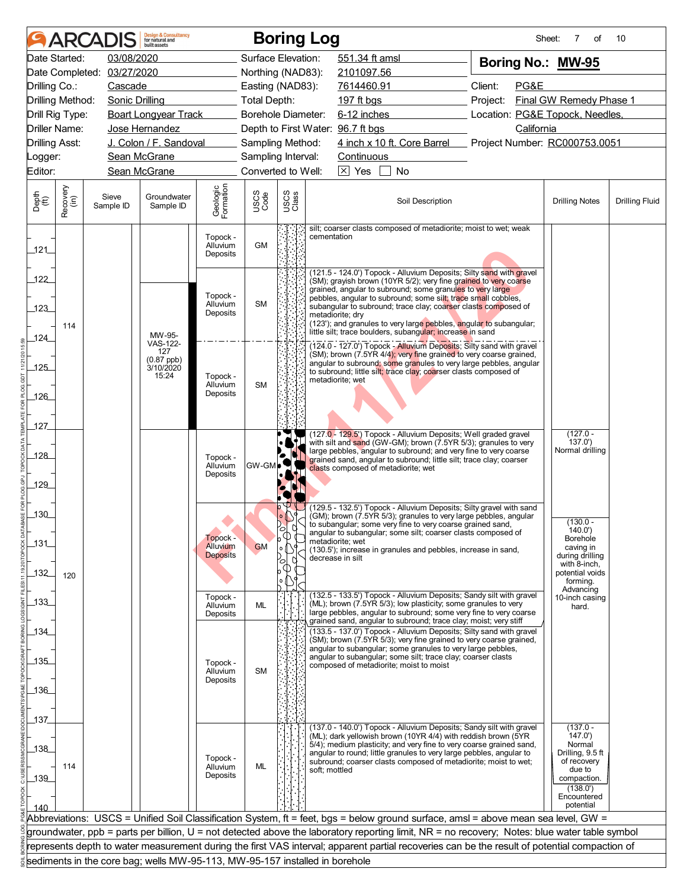| 03/08/2020<br>Date Started:<br>Surface Elevation:<br>551.34 ft amsl<br>Boring No.: MW-95<br>03/27/2020<br>Date Completed:<br>Northing (NAD83):<br>2101097.56<br>Client:<br>PG&E<br>Drilling Co.:<br>Cascade<br>Easting (NAD83):<br>7614460.91<br>Final GW Remedy Phase 1<br>Drilling Method:<br>Sonic Drilling<br><b>Total Depth:</b><br>197 ft bgs<br>Project:<br>6-12 inches<br>Location: PG&E Topock, Needles,<br>Drill Rig Type:<br><b>Boart Longyear Track</b><br>Borehole Diameter:<br>Driller Name:<br>Jose Hernandez<br>Depth to First Water: 96.7 ft bgs<br>California<br>J. Colon / F. Sandoval<br>4 inch x 10 ft. Core Barrel<br>Project Number: RC000753.0051<br><b>Drilling Asst:</b><br>Sampling Method:<br>Sean McGrane<br>Sampling Interval:<br>Continuous<br>_ogger:<br>$\boxed{\times}$ Yes<br>Editor:<br>Sean McGrane<br>Converted to Well:<br>No<br>Geologic<br>Formation<br>Recovery<br>(in)<br>USCS<br>Class<br>USCS<br>Code<br>Depth<br>(ft)<br>Sieve<br>Groundwater<br>Soil Description<br><b>Drilling Notes</b><br>Sample ID<br>Sample ID<br>silt; coarser clasts composed of metadiorite; moist to wet; weak<br>Topock -<br>cementation<br><b>GM</b><br>Alluvium<br>121<br>Deposits<br>(121.5 - 124.0') Topock - Alluvium Deposits; Silty sand with gravel<br>122<br>(SM); grayish brown (10YR 5/2); very fine grained to very coarse<br>grained, angular to subround; some granules to very large<br>Topock -<br>pebbles, angular to subround; some silt; trace small cobbles,<br>Alluvium<br><b>SM</b><br>subangular to subround; trace clay; coarser clasts composed of<br>123<br>Deposits<br>metadiorite; dry<br>(123'); and granules to very large pebbles, angular to subangular;<br>114<br>little silt; trace boulders, subangular; increase in sand<br>MW-95-<br>124<br>VAS-122-<br>(124.0 - 127.0') Topock - Alluvium Deposits; Silty sand with gravel<br>127<br>(SM); brown (7.5YR 4/4); very fine grained to very coarse grained,<br>(0.87 ppb)<br>3/10/2020<br>angular to subround; some granules to very large pebbles, angular<br>$-125$<br>to subround; little silt; trace clay; coarser clasts composed of<br>15:24<br>Topock -<br>metadiorite; wet<br>Alluvium<br><b>SM</b><br>Deposits<br>$-126$<br>127<br>$(127.0 -$<br>(127.0 - 129.5') Topock - Alluvium Deposits; Well graded gravel<br>with silt and sand (GW-GM); brown (7.5YR 5/3); granules to very<br>137.0'<br>Normal drilling<br>large pebbles, angular to subround; and very fine to very coarse<br>$-128$<br>Topock -<br>grained sand, angular to subround; little silt; trace clay; coarser<br>Alluvium<br>GW-GM<br>clasts composed of metadiorite; wet<br>Deposits<br>129<br>(129.5 - 132.5') Topock - Alluvium Deposits; Silty gravel with sand<br>$-130$<br>(GM); brown (7.5YR 5/3); granules to very large pebbles, angular<br>$(130.0 -$<br>to subangular; some very fine to very coarse grained sand,<br>140.0'<br>angular to subangular; some silt; coarser clasts composed of |  | <b>ARCADIS</b> | <b>Design &amp; Consultancy</b><br>for natural and<br>huilt assets |  |               | <b>Boring Log</b> | Sheet: | 7<br>οf | 10                    |
|-------------------------------------------------------------------------------------------------------------------------------------------------------------------------------------------------------------------------------------------------------------------------------------------------------------------------------------------------------------------------------------------------------------------------------------------------------------------------------------------------------------------------------------------------------------------------------------------------------------------------------------------------------------------------------------------------------------------------------------------------------------------------------------------------------------------------------------------------------------------------------------------------------------------------------------------------------------------------------------------------------------------------------------------------------------------------------------------------------------------------------------------------------------------------------------------------------------------------------------------------------------------------------------------------------------------------------------------------------------------------------------------------------------------------------------------------------------------------------------------------------------------------------------------------------------------------------------------------------------------------------------------------------------------------------------------------------------------------------------------------------------------------------------------------------------------------------------------------------------------------------------------------------------------------------------------------------------------------------------------------------------------------------------------------------------------------------------------------------------------------------------------------------------------------------------------------------------------------------------------------------------------------------------------------------------------------------------------------------------------------------------------------------------------------------------------------------------------------------------------------------------------------------------------------------------------------------------------------------------------------------------------------------------------------------------------------------------------------------------------------------------------------------------------------------------------------------------------------------------------------------------------------------------------------------------------------------------------------------------------------|--|----------------|--------------------------------------------------------------------|--|---------------|-------------------|--------|---------|-----------------------|
|                                                                                                                                                                                                                                                                                                                                                                                                                                                                                                                                                                                                                                                                                                                                                                                                                                                                                                                                                                                                                                                                                                                                                                                                                                                                                                                                                                                                                                                                                                                                                                                                                                                                                                                                                                                                                                                                                                                                                                                                                                                                                                                                                                                                                                                                                                                                                                                                                                                                                                                                                                                                                                                                                                                                                                                                                                                                                                                                                                                                 |  |                |                                                                    |  |               |                   |        |         |                       |
|                                                                                                                                                                                                                                                                                                                                                                                                                                                                                                                                                                                                                                                                                                                                                                                                                                                                                                                                                                                                                                                                                                                                                                                                                                                                                                                                                                                                                                                                                                                                                                                                                                                                                                                                                                                                                                                                                                                                                                                                                                                                                                                                                                                                                                                                                                                                                                                                                                                                                                                                                                                                                                                                                                                                                                                                                                                                                                                                                                                                 |  |                |                                                                    |  |               |                   |        |         |                       |
|                                                                                                                                                                                                                                                                                                                                                                                                                                                                                                                                                                                                                                                                                                                                                                                                                                                                                                                                                                                                                                                                                                                                                                                                                                                                                                                                                                                                                                                                                                                                                                                                                                                                                                                                                                                                                                                                                                                                                                                                                                                                                                                                                                                                                                                                                                                                                                                                                                                                                                                                                                                                                                                                                                                                                                                                                                                                                                                                                                                                 |  |                |                                                                    |  |               |                   |        |         |                       |
|                                                                                                                                                                                                                                                                                                                                                                                                                                                                                                                                                                                                                                                                                                                                                                                                                                                                                                                                                                                                                                                                                                                                                                                                                                                                                                                                                                                                                                                                                                                                                                                                                                                                                                                                                                                                                                                                                                                                                                                                                                                                                                                                                                                                                                                                                                                                                                                                                                                                                                                                                                                                                                                                                                                                                                                                                                                                                                                                                                                                 |  |                |                                                                    |  |               |                   |        |         |                       |
|                                                                                                                                                                                                                                                                                                                                                                                                                                                                                                                                                                                                                                                                                                                                                                                                                                                                                                                                                                                                                                                                                                                                                                                                                                                                                                                                                                                                                                                                                                                                                                                                                                                                                                                                                                                                                                                                                                                                                                                                                                                                                                                                                                                                                                                                                                                                                                                                                                                                                                                                                                                                                                                                                                                                                                                                                                                                                                                                                                                                 |  |                |                                                                    |  |               |                   |        |         |                       |
|                                                                                                                                                                                                                                                                                                                                                                                                                                                                                                                                                                                                                                                                                                                                                                                                                                                                                                                                                                                                                                                                                                                                                                                                                                                                                                                                                                                                                                                                                                                                                                                                                                                                                                                                                                                                                                                                                                                                                                                                                                                                                                                                                                                                                                                                                                                                                                                                                                                                                                                                                                                                                                                                                                                                                                                                                                                                                                                                                                                                 |  |                |                                                                    |  |               |                   |        |         |                       |
|                                                                                                                                                                                                                                                                                                                                                                                                                                                                                                                                                                                                                                                                                                                                                                                                                                                                                                                                                                                                                                                                                                                                                                                                                                                                                                                                                                                                                                                                                                                                                                                                                                                                                                                                                                                                                                                                                                                                                                                                                                                                                                                                                                                                                                                                                                                                                                                                                                                                                                                                                                                                                                                                                                                                                                                                                                                                                                                                                                                                 |  |                |                                                                    |  |               |                   |        |         |                       |
|                                                                                                                                                                                                                                                                                                                                                                                                                                                                                                                                                                                                                                                                                                                                                                                                                                                                                                                                                                                                                                                                                                                                                                                                                                                                                                                                                                                                                                                                                                                                                                                                                                                                                                                                                                                                                                                                                                                                                                                                                                                                                                                                                                                                                                                                                                                                                                                                                                                                                                                                                                                                                                                                                                                                                                                                                                                                                                                                                                                                 |  |                |                                                                    |  |               |                   |        |         |                       |
|                                                                                                                                                                                                                                                                                                                                                                                                                                                                                                                                                                                                                                                                                                                                                                                                                                                                                                                                                                                                                                                                                                                                                                                                                                                                                                                                                                                                                                                                                                                                                                                                                                                                                                                                                                                                                                                                                                                                                                                                                                                                                                                                                                                                                                                                                                                                                                                                                                                                                                                                                                                                                                                                                                                                                                                                                                                                                                                                                                                                 |  |                |                                                                    |  |               |                   |        |         |                       |
|                                                                                                                                                                                                                                                                                                                                                                                                                                                                                                                                                                                                                                                                                                                                                                                                                                                                                                                                                                                                                                                                                                                                                                                                                                                                                                                                                                                                                                                                                                                                                                                                                                                                                                                                                                                                                                                                                                                                                                                                                                                                                                                                                                                                                                                                                                                                                                                                                                                                                                                                                                                                                                                                                                                                                                                                                                                                                                                                                                                                 |  |                |                                                                    |  |               |                   |        |         | <b>Drilling Fluid</b> |
|                                                                                                                                                                                                                                                                                                                                                                                                                                                                                                                                                                                                                                                                                                                                                                                                                                                                                                                                                                                                                                                                                                                                                                                                                                                                                                                                                                                                                                                                                                                                                                                                                                                                                                                                                                                                                                                                                                                                                                                                                                                                                                                                                                                                                                                                                                                                                                                                                                                                                                                                                                                                                                                                                                                                                                                                                                                                                                                                                                                                 |  |                |                                                                    |  |               |                   |        |         |                       |
|                                                                                                                                                                                                                                                                                                                                                                                                                                                                                                                                                                                                                                                                                                                                                                                                                                                                                                                                                                                                                                                                                                                                                                                                                                                                                                                                                                                                                                                                                                                                                                                                                                                                                                                                                                                                                                                                                                                                                                                                                                                                                                                                                                                                                                                                                                                                                                                                                                                                                                                                                                                                                                                                                                                                                                                                                                                                                                                                                                                                 |  |                |                                                                    |  |               |                   |        |         |                       |
|                                                                                                                                                                                                                                                                                                                                                                                                                                                                                                                                                                                                                                                                                                                                                                                                                                                                                                                                                                                                                                                                                                                                                                                                                                                                                                                                                                                                                                                                                                                                                                                                                                                                                                                                                                                                                                                                                                                                                                                                                                                                                                                                                                                                                                                                                                                                                                                                                                                                                                                                                                                                                                                                                                                                                                                                                                                                                                                                                                                                 |  |                |                                                                    |  |               |                   |        |         |                       |
|                                                                                                                                                                                                                                                                                                                                                                                                                                                                                                                                                                                                                                                                                                                                                                                                                                                                                                                                                                                                                                                                                                                                                                                                                                                                                                                                                                                                                                                                                                                                                                                                                                                                                                                                                                                                                                                                                                                                                                                                                                                                                                                                                                                                                                                                                                                                                                                                                                                                                                                                                                                                                                                                                                                                                                                                                                                                                                                                                                                                 |  |                |                                                                    |  |               |                   |        |         |                       |
|                                                                                                                                                                                                                                                                                                                                                                                                                                                                                                                                                                                                                                                                                                                                                                                                                                                                                                                                                                                                                                                                                                                                                                                                                                                                                                                                                                                                                                                                                                                                                                                                                                                                                                                                                                                                                                                                                                                                                                                                                                                                                                                                                                                                                                                                                                                                                                                                                                                                                                                                                                                                                                                                                                                                                                                                                                                                                                                                                                                                 |  |                |                                                                    |  |               |                   |        |         |                       |
|                                                                                                                                                                                                                                                                                                                                                                                                                                                                                                                                                                                                                                                                                                                                                                                                                                                                                                                                                                                                                                                                                                                                                                                                                                                                                                                                                                                                                                                                                                                                                                                                                                                                                                                                                                                                                                                                                                                                                                                                                                                                                                                                                                                                                                                                                                                                                                                                                                                                                                                                                                                                                                                                                                                                                                                                                                                                                                                                                                                                 |  |                |                                                                    |  |               |                   |        |         |                       |
|                                                                                                                                                                                                                                                                                                                                                                                                                                                                                                                                                                                                                                                                                                                                                                                                                                                                                                                                                                                                                                                                                                                                                                                                                                                                                                                                                                                                                                                                                                                                                                                                                                                                                                                                                                                                                                                                                                                                                                                                                                                                                                                                                                                                                                                                                                                                                                                                                                                                                                                                                                                                                                                                                                                                                                                                                                                                                                                                                                                                 |  |                |                                                                    |  |               |                   |        |         |                       |
|                                                                                                                                                                                                                                                                                                                                                                                                                                                                                                                                                                                                                                                                                                                                                                                                                                                                                                                                                                                                                                                                                                                                                                                                                                                                                                                                                                                                                                                                                                                                                                                                                                                                                                                                                                                                                                                                                                                                                                                                                                                                                                                                                                                                                                                                                                                                                                                                                                                                                                                                                                                                                                                                                                                                                                                                                                                                                                                                                                                                 |  |                |                                                                    |  |               |                   |        |         |                       |
|                                                                                                                                                                                                                                                                                                                                                                                                                                                                                                                                                                                                                                                                                                                                                                                                                                                                                                                                                                                                                                                                                                                                                                                                                                                                                                                                                                                                                                                                                                                                                                                                                                                                                                                                                                                                                                                                                                                                                                                                                                                                                                                                                                                                                                                                                                                                                                                                                                                                                                                                                                                                                                                                                                                                                                                                                                                                                                                                                                                                 |  |                |                                                                    |  |               |                   |        |         |                       |
|                                                                                                                                                                                                                                                                                                                                                                                                                                                                                                                                                                                                                                                                                                                                                                                                                                                                                                                                                                                                                                                                                                                                                                                                                                                                                                                                                                                                                                                                                                                                                                                                                                                                                                                                                                                                                                                                                                                                                                                                                                                                                                                                                                                                                                                                                                                                                                                                                                                                                                                                                                                                                                                                                                                                                                                                                                                                                                                                                                                                 |  |                |                                                                    |  |               |                   |        |         |                       |
|                                                                                                                                                                                                                                                                                                                                                                                                                                                                                                                                                                                                                                                                                                                                                                                                                                                                                                                                                                                                                                                                                                                                                                                                                                                                                                                                                                                                                                                                                                                                                                                                                                                                                                                                                                                                                                                                                                                                                                                                                                                                                                                                                                                                                                                                                                                                                                                                                                                                                                                                                                                                                                                                                                                                                                                                                                                                                                                                                                                                 |  |                |                                                                    |  |               |                   |        |         |                       |
|                                                                                                                                                                                                                                                                                                                                                                                                                                                                                                                                                                                                                                                                                                                                                                                                                                                                                                                                                                                                                                                                                                                                                                                                                                                                                                                                                                                                                                                                                                                                                                                                                                                                                                                                                                                                                                                                                                                                                                                                                                                                                                                                                                                                                                                                                                                                                                                                                                                                                                                                                                                                                                                                                                                                                                                                                                                                                                                                                                                                 |  |                |                                                                    |  |               |                   |        |         |                       |
|                                                                                                                                                                                                                                                                                                                                                                                                                                                                                                                                                                                                                                                                                                                                                                                                                                                                                                                                                                                                                                                                                                                                                                                                                                                                                                                                                                                                                                                                                                                                                                                                                                                                                                                                                                                                                                                                                                                                                                                                                                                                                                                                                                                                                                                                                                                                                                                                                                                                                                                                                                                                                                                                                                                                                                                                                                                                                                                                                                                                 |  |                |                                                                    |  |               |                   |        |         |                       |
|                                                                                                                                                                                                                                                                                                                                                                                                                                                                                                                                                                                                                                                                                                                                                                                                                                                                                                                                                                                                                                                                                                                                                                                                                                                                                                                                                                                                                                                                                                                                                                                                                                                                                                                                                                                                                                                                                                                                                                                                                                                                                                                                                                                                                                                                                                                                                                                                                                                                                                                                                                                                                                                                                                                                                                                                                                                                                                                                                                                                 |  |                |                                                                    |  |               |                   |        |         |                       |
|                                                                                                                                                                                                                                                                                                                                                                                                                                                                                                                                                                                                                                                                                                                                                                                                                                                                                                                                                                                                                                                                                                                                                                                                                                                                                                                                                                                                                                                                                                                                                                                                                                                                                                                                                                                                                                                                                                                                                                                                                                                                                                                                                                                                                                                                                                                                                                                                                                                                                                                                                                                                                                                                                                                                                                                                                                                                                                                                                                                                 |  |                |                                                                    |  |               |                   |        |         |                       |
| Topock -<br><b>Borehole</b><br>metadiorite; wet<br>$-131$<br>Alluvium                                                                                                                                                                                                                                                                                                                                                                                                                                                                                                                                                                                                                                                                                                                                                                                                                                                                                                                                                                                                                                                                                                                                                                                                                                                                                                                                                                                                                                                                                                                                                                                                                                                                                                                                                                                                                                                                                                                                                                                                                                                                                                                                                                                                                                                                                                                                                                                                                                                                                                                                                                                                                                                                                                                                                                                                                                                                                                                           |  |                |                                                                    |  | $\frac{1}{6}$ |                   |        |         |                       |
| <b>GM</b><br>caving in<br>۱o<br>(130.5'); increase in granules and pebbles, increase in sand,<br><b>Deposits</b><br>during drilling<br>decrease in silt                                                                                                                                                                                                                                                                                                                                                                                                                                                                                                                                                                                                                                                                                                                                                                                                                                                                                                                                                                                                                                                                                                                                                                                                                                                                                                                                                                                                                                                                                                                                                                                                                                                                                                                                                                                                                                                                                                                                                                                                                                                                                                                                                                                                                                                                                                                                                                                                                                                                                                                                                                                                                                                                                                                                                                                                                                         |  |                |                                                                    |  |               |                   |        |         |                       |
| О<br>with 8-inch,<br>_132_<br>potential voids<br>120                                                                                                                                                                                                                                                                                                                                                                                                                                                                                                                                                                                                                                                                                                                                                                                                                                                                                                                                                                                                                                                                                                                                                                                                                                                                                                                                                                                                                                                                                                                                                                                                                                                                                                                                                                                                                                                                                                                                                                                                                                                                                                                                                                                                                                                                                                                                                                                                                                                                                                                                                                                                                                                                                                                                                                                                                                                                                                                                            |  |                |                                                                    |  |               |                   |        |         |                       |
| formina.<br>Advancing                                                                                                                                                                                                                                                                                                                                                                                                                                                                                                                                                                                                                                                                                                                                                                                                                                                                                                                                                                                                                                                                                                                                                                                                                                                                                                                                                                                                                                                                                                                                                                                                                                                                                                                                                                                                                                                                                                                                                                                                                                                                                                                                                                                                                                                                                                                                                                                                                                                                                                                                                                                                                                                                                                                                                                                                                                                                                                                                                                           |  |                |                                                                    |  |               |                   |        |         |                       |
| (132.5 - 133.5') Topock - Alluvium Deposits; Sandy silt with gravel<br>Topock -<br>10-inch casing<br>$-133$<br>(ML); brown (7.5YR 5/3); low plasticity; some granules to very                                                                                                                                                                                                                                                                                                                                                                                                                                                                                                                                                                                                                                                                                                                                                                                                                                                                                                                                                                                                                                                                                                                                                                                                                                                                                                                                                                                                                                                                                                                                                                                                                                                                                                                                                                                                                                                                                                                                                                                                                                                                                                                                                                                                                                                                                                                                                                                                                                                                                                                                                                                                                                                                                                                                                                                                                   |  |                |                                                                    |  |               |                   |        |         |                       |
| ML<br>Alluvium<br>hard.<br>large pebbles, angular to subround; some very fine to very coarse<br>Deposits                                                                                                                                                                                                                                                                                                                                                                                                                                                                                                                                                                                                                                                                                                                                                                                                                                                                                                                                                                                                                                                                                                                                                                                                                                                                                                                                                                                                                                                                                                                                                                                                                                                                                                                                                                                                                                                                                                                                                                                                                                                                                                                                                                                                                                                                                                                                                                                                                                                                                                                                                                                                                                                                                                                                                                                                                                                                                        |  |                |                                                                    |  |               |                   |        |         |                       |
| grained sand, angular to subround; trace clay; moist; very stiff<br>(133.5 - 137.0') Topock - Alluvium Deposits; Silty sand with gravel<br>_134_                                                                                                                                                                                                                                                                                                                                                                                                                                                                                                                                                                                                                                                                                                                                                                                                                                                                                                                                                                                                                                                                                                                                                                                                                                                                                                                                                                                                                                                                                                                                                                                                                                                                                                                                                                                                                                                                                                                                                                                                                                                                                                                                                                                                                                                                                                                                                                                                                                                                                                                                                                                                                                                                                                                                                                                                                                                |  |                |                                                                    |  |               |                   |        |         |                       |
| (SM); brown (7.5YR 5/3); very fine grained to very coarse grained,<br>angular to subangular; some granules to very large pebbles,                                                                                                                                                                                                                                                                                                                                                                                                                                                                                                                                                                                                                                                                                                                                                                                                                                                                                                                                                                                                                                                                                                                                                                                                                                                                                                                                                                                                                                                                                                                                                                                                                                                                                                                                                                                                                                                                                                                                                                                                                                                                                                                                                                                                                                                                                                                                                                                                                                                                                                                                                                                                                                                                                                                                                                                                                                                               |  |                |                                                                    |  |               |                   |        |         |                       |
| angular to subangular; some silt; trace clay; coarser clasts<br>_135_<br>Topock -                                                                                                                                                                                                                                                                                                                                                                                                                                                                                                                                                                                                                                                                                                                                                                                                                                                                                                                                                                                                                                                                                                                                                                                                                                                                                                                                                                                                                                                                                                                                                                                                                                                                                                                                                                                                                                                                                                                                                                                                                                                                                                                                                                                                                                                                                                                                                                                                                                                                                                                                                                                                                                                                                                                                                                                                                                                                                                               |  |                |                                                                    |  |               |                   |        |         |                       |
| composed of metadiorite; moist to moist<br>Alluvium<br><b>SM</b>                                                                                                                                                                                                                                                                                                                                                                                                                                                                                                                                                                                                                                                                                                                                                                                                                                                                                                                                                                                                                                                                                                                                                                                                                                                                                                                                                                                                                                                                                                                                                                                                                                                                                                                                                                                                                                                                                                                                                                                                                                                                                                                                                                                                                                                                                                                                                                                                                                                                                                                                                                                                                                                                                                                                                                                                                                                                                                                                |  |                |                                                                    |  |               |                   |        |         |                       |
| Deposits<br>$-136$                                                                                                                                                                                                                                                                                                                                                                                                                                                                                                                                                                                                                                                                                                                                                                                                                                                                                                                                                                                                                                                                                                                                                                                                                                                                                                                                                                                                                                                                                                                                                                                                                                                                                                                                                                                                                                                                                                                                                                                                                                                                                                                                                                                                                                                                                                                                                                                                                                                                                                                                                                                                                                                                                                                                                                                                                                                                                                                                                                              |  |                |                                                                    |  |               |                   |        |         |                       |
|                                                                                                                                                                                                                                                                                                                                                                                                                                                                                                                                                                                                                                                                                                                                                                                                                                                                                                                                                                                                                                                                                                                                                                                                                                                                                                                                                                                                                                                                                                                                                                                                                                                                                                                                                                                                                                                                                                                                                                                                                                                                                                                                                                                                                                                                                                                                                                                                                                                                                                                                                                                                                                                                                                                                                                                                                                                                                                                                                                                                 |  |                |                                                                    |  |               |                   |        |         |                       |
| 137                                                                                                                                                                                                                                                                                                                                                                                                                                                                                                                                                                                                                                                                                                                                                                                                                                                                                                                                                                                                                                                                                                                                                                                                                                                                                                                                                                                                                                                                                                                                                                                                                                                                                                                                                                                                                                                                                                                                                                                                                                                                                                                                                                                                                                                                                                                                                                                                                                                                                                                                                                                                                                                                                                                                                                                                                                                                                                                                                                                             |  |                |                                                                    |  |               |                   |        |         |                       |
| (137.0 - 140.0') Topock - Alluvium Deposits; Sandy silt with gravel<br>$(137.0 -$<br>(ML); dark yellowish brown (10YR 4/4) with reddish brown (5YR<br>147.0')                                                                                                                                                                                                                                                                                                                                                                                                                                                                                                                                                                                                                                                                                                                                                                                                                                                                                                                                                                                                                                                                                                                                                                                                                                                                                                                                                                                                                                                                                                                                                                                                                                                                                                                                                                                                                                                                                                                                                                                                                                                                                                                                                                                                                                                                                                                                                                                                                                                                                                                                                                                                                                                                                                                                                                                                                                   |  |                |                                                                    |  |               |                   |        |         |                       |
| 5/4); medium plasticity; and very fine to very coarse grained sand,<br>Normal<br>$138$                                                                                                                                                                                                                                                                                                                                                                                                                                                                                                                                                                                                                                                                                                                                                                                                                                                                                                                                                                                                                                                                                                                                                                                                                                                                                                                                                                                                                                                                                                                                                                                                                                                                                                                                                                                                                                                                                                                                                                                                                                                                                                                                                                                                                                                                                                                                                                                                                                                                                                                                                                                                                                                                                                                                                                                                                                                                                                          |  |                |                                                                    |  |               |                   |        |         |                       |
| angular to round; little granules to very large pebbles, angular to<br>Drilling, 9.5 ft<br>Topock -<br>subround; coarser clasts composed of metadiorite; moist to wet;<br>of recovery<br>114<br>ML<br>Alluvium                                                                                                                                                                                                                                                                                                                                                                                                                                                                                                                                                                                                                                                                                                                                                                                                                                                                                                                                                                                                                                                                                                                                                                                                                                                                                                                                                                                                                                                                                                                                                                                                                                                                                                                                                                                                                                                                                                                                                                                                                                                                                                                                                                                                                                                                                                                                                                                                                                                                                                                                                                                                                                                                                                                                                                                  |  |                |                                                                    |  |               |                   |        |         |                       |
| due to<br>soft: mottled<br>Deposits<br>$-139$<br>compaction.                                                                                                                                                                                                                                                                                                                                                                                                                                                                                                                                                                                                                                                                                                                                                                                                                                                                                                                                                                                                                                                                                                                                                                                                                                                                                                                                                                                                                                                                                                                                                                                                                                                                                                                                                                                                                                                                                                                                                                                                                                                                                                                                                                                                                                                                                                                                                                                                                                                                                                                                                                                                                                                                                                                                                                                                                                                                                                                                    |  |                |                                                                    |  |               |                   |        |         |                       |
| (138.0')                                                                                                                                                                                                                                                                                                                                                                                                                                                                                                                                                                                                                                                                                                                                                                                                                                                                                                                                                                                                                                                                                                                                                                                                                                                                                                                                                                                                                                                                                                                                                                                                                                                                                                                                                                                                                                                                                                                                                                                                                                                                                                                                                                                                                                                                                                                                                                                                                                                                                                                                                                                                                                                                                                                                                                                                                                                                                                                                                                                        |  |                |                                                                    |  |               |                   |        |         |                       |
| Encountered<br>potential<br>140                                                                                                                                                                                                                                                                                                                                                                                                                                                                                                                                                                                                                                                                                                                                                                                                                                                                                                                                                                                                                                                                                                                                                                                                                                                                                                                                                                                                                                                                                                                                                                                                                                                                                                                                                                                                                                                                                                                                                                                                                                                                                                                                                                                                                                                                                                                                                                                                                                                                                                                                                                                                                                                                                                                                                                                                                                                                                                                                                                 |  |                |                                                                    |  |               |                   |        |         |                       |
| Abbreviations: USCS = Unified Soil Classification System, ft = feet, bgs = below ground surface, amsl = above mean sea level, GW =                                                                                                                                                                                                                                                                                                                                                                                                                                                                                                                                                                                                                                                                                                                                                                                                                                                                                                                                                                                                                                                                                                                                                                                                                                                                                                                                                                                                                                                                                                                                                                                                                                                                                                                                                                                                                                                                                                                                                                                                                                                                                                                                                                                                                                                                                                                                                                                                                                                                                                                                                                                                                                                                                                                                                                                                                                                              |  |                |                                                                    |  |               |                   |        |         |                       |
| groundwater, ppb = parts per billion, U = not detected above the laboratory reporting limit, NR = no recovery; Notes: blue water table symbol                                                                                                                                                                                                                                                                                                                                                                                                                                                                                                                                                                                                                                                                                                                                                                                                                                                                                                                                                                                                                                                                                                                                                                                                                                                                                                                                                                                                                                                                                                                                                                                                                                                                                                                                                                                                                                                                                                                                                                                                                                                                                                                                                                                                                                                                                                                                                                                                                                                                                                                                                                                                                                                                                                                                                                                                                                                   |  |                |                                                                    |  |               |                   |        |         |                       |
| represents depth to water measurement during the first VAS interval; apparent partial recoveries can be the result of potential compaction of                                                                                                                                                                                                                                                                                                                                                                                                                                                                                                                                                                                                                                                                                                                                                                                                                                                                                                                                                                                                                                                                                                                                                                                                                                                                                                                                                                                                                                                                                                                                                                                                                                                                                                                                                                                                                                                                                                                                                                                                                                                                                                                                                                                                                                                                                                                                                                                                                                                                                                                                                                                                                                                                                                                                                                                                                                                   |  |                |                                                                    |  |               |                   |        |         |                       |
| sediments in the core bag; wells MW-95-113, MW-95-157 installed in borehole                                                                                                                                                                                                                                                                                                                                                                                                                                                                                                                                                                                                                                                                                                                                                                                                                                                                                                                                                                                                                                                                                                                                                                                                                                                                                                                                                                                                                                                                                                                                                                                                                                                                                                                                                                                                                                                                                                                                                                                                                                                                                                                                                                                                                                                                                                                                                                                                                                                                                                                                                                                                                                                                                                                                                                                                                                                                                                                     |  |                |                                                                    |  |               |                   |        |         |                       |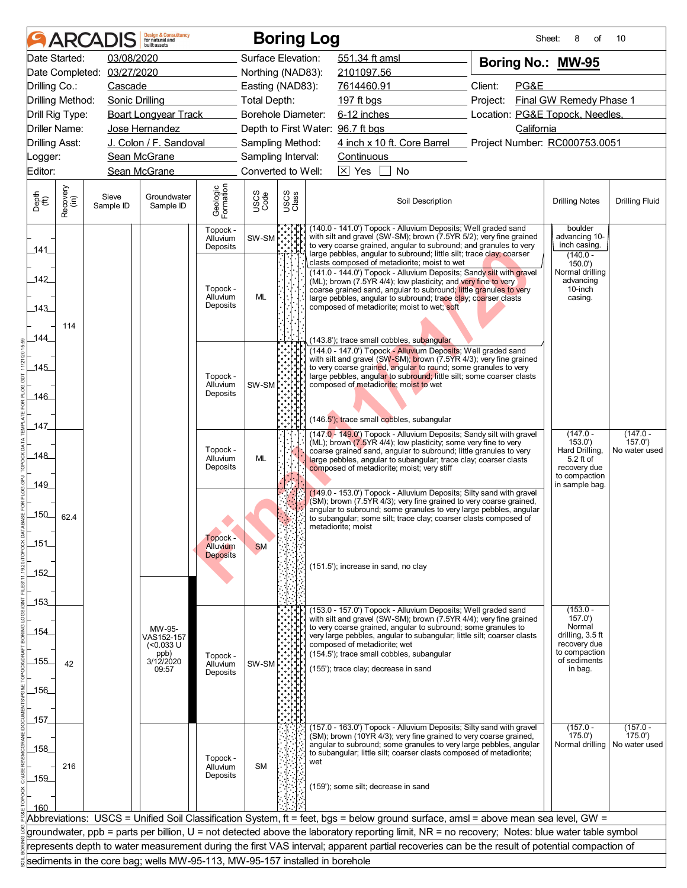|                                                 | <b>ARCADIS</b>                                                              | <b>Design &amp; Consultancy</b><br>for natural and<br>huilt assets |                                  |                    | <b>Boring Log</b> |     |                                                                                                                                                                                                                                                                                                                                                                             |                                 | Sheet:     | 8<br>οf                                                                                                | 10                                    |
|-------------------------------------------------|-----------------------------------------------------------------------------|--------------------------------------------------------------------|----------------------------------|--------------------|-------------------|-----|-----------------------------------------------------------------------------------------------------------------------------------------------------------------------------------------------------------------------------------------------------------------------------------------------------------------------------------------------------------------------------|---------------------------------|------------|--------------------------------------------------------------------------------------------------------|---------------------------------------|
| Date Started:                                   | 03/08/2020                                                                  |                                                                    |                                  | Surface Elevation: |                   |     | 551.34 ft amsl                                                                                                                                                                                                                                                                                                                                                              | Boring No.: MW-95               |            |                                                                                                        |                                       |
|                                                 | Date Completed: 03/27/2020                                                  |                                                                    |                                  | Northing (NAD83):  |                   |     | 2101097.56                                                                                                                                                                                                                                                                                                                                                                  |                                 |            |                                                                                                        |                                       |
| Drilling Co.:                                   | Cascade                                                                     |                                                                    |                                  | Easting (NAD83):   |                   |     | 7614460.91                                                                                                                                                                                                                                                                                                                                                                  | Client:<br>PG&E                 |            |                                                                                                        |                                       |
| Drilling Method:                                | Sonic Drilling                                                              |                                                                    | <b>Total Depth:</b>              |                    |                   |     | 197 ft bgs                                                                                                                                                                                                                                                                                                                                                                  | Project:                        |            | Final GW Remedy Phase 1                                                                                |                                       |
| Drill Rig Type:                                 |                                                                             | <b>Boart Longyear Track</b>                                        |                                  | Borehole Diameter: |                   |     | 6-12 inches                                                                                                                                                                                                                                                                                                                                                                 | Location: PG&E Topock, Needles, |            |                                                                                                        |                                       |
| Driller Name:                                   |                                                                             | Jose Hernandez                                                     |                                  |                    |                   |     | Depth to First Water: 96.7 ft bgs                                                                                                                                                                                                                                                                                                                                           |                                 | California |                                                                                                        |                                       |
| <b>Drilling Asst:</b>                           |                                                                             | J. Colon / F. Sandoval                                             |                                  | Sampling Method:   |                   |     | 4 inch x 10 ft. Core Barrel Project Number: RC000753.0051                                                                                                                                                                                                                                                                                                                   |                                 |            |                                                                                                        |                                       |
| Logger:                                         |                                                                             | Sean McGrane                                                       |                                  | Sampling Interval: |                   |     | Continuous                                                                                                                                                                                                                                                                                                                                                                  |                                 |            |                                                                                                        |                                       |
| Editor:                                         |                                                                             | Sean McGrane                                                       |                                  | Converted to Well: |                   |     | $\overline{\times}$ Yes<br>No                                                                                                                                                                                                                                                                                                                                               |                                 |            |                                                                                                        |                                       |
| Recovery<br>(in)<br>Depth<br>$\widetilde{f(t)}$ | Sieve<br>Sample ID                                                          | Groundwater<br>Sample ID                                           | Geologic<br>Formation            | USCS<br>Code       | USCS<br>Class     |     | Soil Description                                                                                                                                                                                                                                                                                                                                                            |                                 |            | <b>Drilling Notes</b>                                                                                  | <b>Drilling Fluid</b>                 |
| 141                                             |                                                                             |                                                                    | Topock -<br>Alluvium<br>Deposits | SW-SM              |                   |     | (140.0 - 141.0') Topock - Alluvium Deposits; Well graded sand<br>with silt and gravel (SW-SM); brown (7.5YR 5/2); very fine grained<br>to very coarse grained, angular to subround; and granules to very<br>large pebbles, angular to subround; little silt; trace clay; coarser                                                                                            |                                 |            | boulder<br>advancing 10-<br>inch casing.<br>$(140.0 -$                                                 |                                       |
| 142<br>143<br>114                               |                                                                             |                                                                    | Topock -<br>Alluvium<br>Deposits | ML                 |                   |     | clasts composed of metadiorite; moist to wet<br>(141.0 - 144.0') Topock - Alluvium Deposits; Sandy silt with gravel<br>(ML); brown (7.5YR 4/4); low plasticity; and very fine to very<br>coarse grained sand, angular to subround; little granules to very<br>large pebbles, angular to subround; trace clay; coarser clasts<br>composed of metadiorite; moist to wet; soft |                                 |            | 150.0'<br>Normal drilling<br>advancing<br>10-inch<br>casing.                                           |                                       |
| 144<br>$-145$                                   |                                                                             |                                                                    | Topock -<br>Alluvium             | SW-SM              |                   |     | (143.8'); trace small cobbles, subangular<br>(144.0 - 147.0') Topock - Alluvium Deposits; Well graded sand<br>with silt and gravel (SW-SM); brown (7.5YR 4/3); very fine grained<br>to very coarse grained, angular to round; some granules to very<br>large pebbles, angular to subround; little silt; some coarser clasts<br>composed of metadiorite; moist to wet        |                                 |            |                                                                                                        |                                       |
| 146<br>147                                      |                                                                             |                                                                    | Deposits                         |                    |                   |     | (146.5'); trace small cobbles, subangular                                                                                                                                                                                                                                                                                                                                   |                                 |            |                                                                                                        |                                       |
| _148_<br>149_                                   |                                                                             |                                                                    | Topock -<br>Alluvium<br>Deposits | ML                 |                   |     | (147.0 - 149.0') Topock - Alluvium Deposits; Sandy silt with gravel<br>(ML); brown (7.5YR 4/4); low plasticity; some very fine to very<br>coarse grained sand, angular to subround; little granules to very<br>large pebbles, angular to subangular; trace clay; coarser clasts<br>composed of metadiorite; moist; very stiff                                               |                                 |            | $(147.0 -$<br>153.0'<br>Hard Drilling,<br>5.2 ft of<br>recovery due<br>to compaction<br>in sample bag. | $(147.0 -$<br>157.0'<br>No water used |
| $-150$<br>62.4                                  |                                                                             |                                                                    | Topock -                         |                    |                   |     | (149.0 - 153.0') Topock - Alluvium Deposits; Silty sand with gravel<br>(SM); brown (7.5YR 4/3); very fine grained to very coarse grained,<br>angular to subround; some granules to very large pebbles, angular<br>to subangular; some silt; trace clay; coarser clasts composed of<br>metadiorite; moist                                                                    |                                 |            |                                                                                                        |                                       |
| 151<br>$-152$                                   |                                                                             |                                                                    | Alluvium<br><b>Deposits</b>      | <b>SM</b>          |                   |     | (151.5'); increase in sand, no clay                                                                                                                                                                                                                                                                                                                                         |                                 |            |                                                                                                        |                                       |
| 153                                             |                                                                             |                                                                    |                                  |                    |                   |     | (153.0 - 157.0') Topock - Alluvium Deposits; Well graded sand                                                                                                                                                                                                                                                                                                               |                                 |            | $(153.0 -$                                                                                             |                                       |
| _154_                                           |                                                                             | MW-95-<br>VAS152-157<br>$(0.033 \text{ U}$<br>ppb)<br>3/12/2020    | Topock -                         |                    |                   |     | with silt and gravel (SW-SM); brown (7.5YR 4/4); very fine grained<br>to very coarse grained, angular to subround; some granules to<br>very large pebbles, angular to subangular; little silt; coarser clasts<br>composed of metadiorite; wet<br>(154.5'); trace small cobbles, subangular                                                                                  |                                 |            | 157.0'<br>Normal<br>drilling, 3.5 ft<br>recovery due<br>to compaction                                  |                                       |
| 155<br>42                                       |                                                                             | 09:57                                                              | Alluvium<br>Deposits             | SW-SM              |                   |     | (155'); trace clay; decrease in sand                                                                                                                                                                                                                                                                                                                                        |                                 |            | of sediments<br>in bag.                                                                                |                                       |
|                                                 |                                                                             |                                                                    |                                  |                    |                   |     |                                                                                                                                                                                                                                                                                                                                                                             |                                 |            |                                                                                                        |                                       |
| _156_                                           |                                                                             |                                                                    |                                  |                    |                   |     |                                                                                                                                                                                                                                                                                                                                                                             |                                 |            |                                                                                                        |                                       |
|                                                 |                                                                             |                                                                    |                                  |                    |                   |     |                                                                                                                                                                                                                                                                                                                                                                             |                                 |            |                                                                                                        |                                       |
| _157_<br>$\_158$                                |                                                                             |                                                                    | Topock -                         | <b>SM</b>          |                   | wet | (157.0 - 163.0') Topock - Alluvium Deposits; Silty sand with gravel<br>(SM); brown (10YR 4/3); very fine grained to very coarse grained,<br>angular to subround; some granules to very large pebbles, angular<br>to subangular; little silt; coarser clasts composed of metadiorite;                                                                                        |                                 |            | $(157.0 -$<br>175.0'<br>Normal drilling                                                                | $(157.0 -$<br>175.0'<br>No water used |
| 216<br>$-159$<br>160                            |                                                                             |                                                                    | Alluvium<br>Deposits             |                    |                   |     | (159'); some silt; decrease in sand                                                                                                                                                                                                                                                                                                                                         |                                 |            |                                                                                                        |                                       |
|                                                 |                                                                             |                                                                    |                                  |                    |                   |     | Abbreviations: USCS = Unified Soil Classification System, ft = feet, bgs = below ground surface, amsl = above mean sea level, GW =                                                                                                                                                                                                                                          |                                 |            |                                                                                                        |                                       |
|                                                 |                                                                             |                                                                    |                                  |                    |                   |     | groundwater, ppb = parts per billion, U = not detected above the laboratory reporting limit, NR = no recovery; Notes: blue water table symbol                                                                                                                                                                                                                               |                                 |            |                                                                                                        |                                       |
|                                                 |                                                                             |                                                                    |                                  |                    |                   |     | represents depth to water measurement during the first VAS interval; apparent partial recoveries can be the result of potential compaction of                                                                                                                                                                                                                               |                                 |            |                                                                                                        |                                       |
|                                                 | sediments in the core bag; wells MW-95-113, MW-95-157 installed in borehole |                                                                    |                                  |                    |                   |     |                                                                                                                                                                                                                                                                                                                                                                             |                                 |            |                                                                                                        |                                       |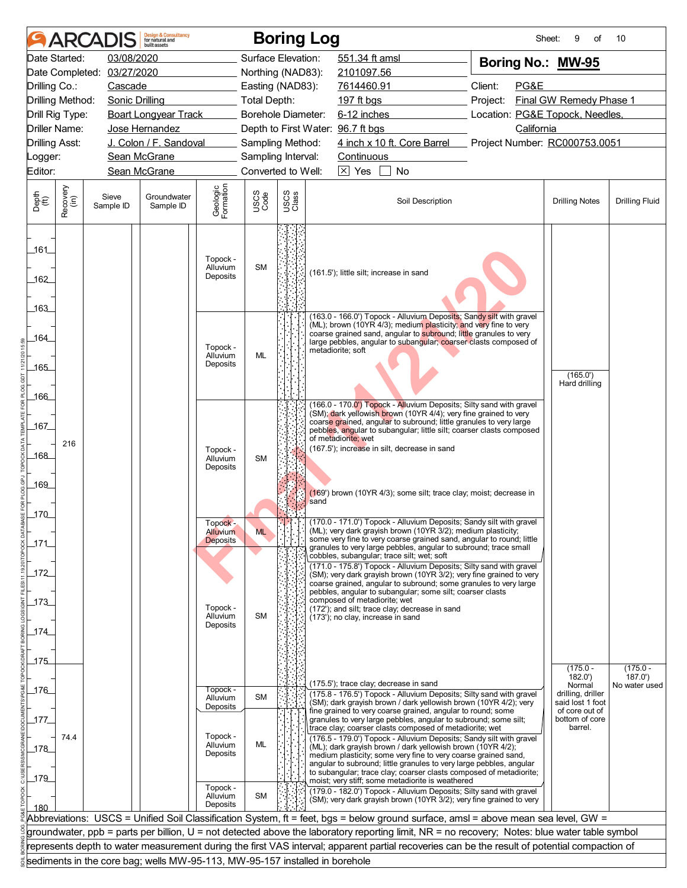|                                        | <b>AR</b>            |                    | <b>Design &amp; Consultancy</b><br>for natural and<br>huilt assets          |                                         |                           |               | <b>Boring Log</b> |                                                                                                                                                                                                                                                                                                                                                                                                                                                                             |                                 | Sheet:<br>9<br>οf                     | 10                    |
|----------------------------------------|----------------------|--------------------|-----------------------------------------------------------------------------|-----------------------------------------|---------------------------|---------------|-------------------|-----------------------------------------------------------------------------------------------------------------------------------------------------------------------------------------------------------------------------------------------------------------------------------------------------------------------------------------------------------------------------------------------------------------------------------------------------------------------------|---------------------------------|---------------------------------------|-----------------------|
|                                        | Date Started:        | 03/08/2020         |                                                                             |                                         | Surface Elevation:        |               |                   | 551.34 ft amsl                                                                                                                                                                                                                                                                                                                                                                                                                                                              | Boring No.: MW-95               |                                       |                       |
|                                        | Date Completed:      | 03/27/2020         |                                                                             |                                         | Northing (NAD83):         |               |                   | 2101097.56                                                                                                                                                                                                                                                                                                                                                                                                                                                                  |                                 |                                       |                       |
| Drilling Co.:                          |                      | Cascade            |                                                                             |                                         | Easting (NAD83):          |               |                   | 7614460.91                                                                                                                                                                                                                                                                                                                                                                                                                                                                  | Client:<br>PG&E                 |                                       |                       |
| Drilling Method:                       |                      | Sonic Drilling     |                                                                             |                                         | Total Depth:              |               |                   | 197 ft bgs                                                                                                                                                                                                                                                                                                                                                                                                                                                                  | Project:                        | Final GW Remedy Phase 1               |                       |
|                                        | Drill Rig Type:      |                    | <b>Boart Longyear Track</b>                                                 |                                         | <b>Borehole Diameter:</b> |               |                   | $6-12$ inches                                                                                                                                                                                                                                                                                                                                                                                                                                                               | Location: PG&E Topock, Needles, |                                       |                       |
|                                        | <b>Driller Name:</b> |                    | Jose Hernandez                                                              |                                         |                           |               |                   | Depth to First Water: 96.7 ft bgs                                                                                                                                                                                                                                                                                                                                                                                                                                           | California                      |                                       |                       |
| <b>Drilling Asst:</b>                  |                      |                    | J. Colon / F. Sandoval                                                      |                                         | Sampling Method:          |               |                   | 4 inch x 10 ft. Core Barrel                                                                                                                                                                                                                                                                                                                                                                                                                                                 | Project Number: RC000753.0051   |                                       |                       |
| Logger:                                |                      |                    | Sean McGrane                                                                |                                         | Sampling Interval:        |               |                   | Continuous                                                                                                                                                                                                                                                                                                                                                                                                                                                                  |                                 |                                       |                       |
| Editor:                                |                      |                    | Sean McGrane                                                                |                                         | Converted to Well:        |               |                   | $\boxtimes$ Yes<br>No                                                                                                                                                                                                                                                                                                                                                                                                                                                       |                                 |                                       |                       |
| Depth<br>(ft)                          | Recovery<br>(in)     | Sieve<br>Sample ID | Groundwater<br>Sample ID                                                    | Geologic<br>Formation                   | USCS<br>Code              | USCS<br>Class |                   | Soil Description                                                                                                                                                                                                                                                                                                                                                                                                                                                            |                                 | <b>Drilling Notes</b>                 | <b>Drilling Fluid</b> |
| 161<br>162<br>163                      |                      |                    |                                                                             | Topock -<br>Alluvium<br>Deposits        | <b>SM</b>                 |               |                   | (161.5'); little silt; increase in sand                                                                                                                                                                                                                                                                                                                                                                                                                                     |                                 |                                       |                       |
| 164_<br>_165_                          |                      |                    |                                                                             | Topock -<br>Alluvium<br>Deposits        | <b>ML</b>                 |               |                   | (163.0 - 166.0') Topock - Alluvium Deposits; Sandy silt with gravel<br>(ML); brown (10YR 4/3); medium plasticity; and very fine to very<br>coarse grained sand, angular to subround; little granules to very<br>large pebbles, angular to subangular; coarser clasts composed of<br>metadiorite; soft                                                                                                                                                                       |                                 | (165.0')<br>Hard drilling             |                       |
| 166.<br>_167_<br>_168_<br>_169_<br>170 | 216                  |                    |                                                                             | Topock -<br>Alluvium<br>Deposits        | SM                        |               | sand              | (166.0 - 170.0') Topock - Alluvium Deposits; Silty sand with gravel<br>(SM); dark yellowish brown (10YR 4/4); very fine grained to very<br>coarse grained, angular to subround; little granules to very large<br>pebbles, angular to subangular; little silt; coarser clasts composed<br>of metadiorite; wet<br>(167.5'); increase in silt, decrease in sand<br>(169') brown (10YR 4/3); some silt; trace clay; moist; decrease in                                          |                                 |                                       |                       |
| 171<br>$-172$                          |                      |                    |                                                                             | Topock -<br>Alluvium<br><b>Deposits</b> | <b>ML</b>                 | N 11          |                   | (170.0 - 171.0') Topock - Alluvium Deposits; Sandy silt with gravel<br>(ML); very dark grayish brown (10YR 3/2); medium plasticity;<br>some very fine to very coarse grained sand, angular to round; little<br>granules to very large pebbles, angular to subround; trace small<br>cobbles, subangular; trace silt; wet; soft<br>(171.0 - 175.8') Topock - Alluvium Deposits; Silty sand with gravel<br>(SM); very dark grayish brown (10YR 3/2); very fine grained to very |                                 |                                       |                       |
| $-173$<br>_174_                        |                      |                    |                                                                             | Topock -<br>Alluvium<br>Deposits        | <b>SM</b>                 |               |                   | coarse grained, angular to subround; some granules to very large<br>pebbles, angular to subangular; some silt; coarser clasts<br>composed of metadiorite; wet<br>(172'); and silt; trace clay; decrease in sand<br>(173'); no clay, increase in sand                                                                                                                                                                                                                        |                                 |                                       |                       |
| 175                                    |                      |                    |                                                                             |                                         |                           |               |                   |                                                                                                                                                                                                                                                                                                                                                                                                                                                                             |                                 |                                       |                       |
|                                        |                      |                    |                                                                             |                                         |                           |               |                   |                                                                                                                                                                                                                                                                                                                                                                                                                                                                             |                                 | $(175.0 -$<br>182.0'                  | $(175.0 -$<br>187.0'  |
| $-176$                                 |                      |                    |                                                                             | Topock -                                |                           |               |                   | (175.5'); trace clay; decrease in sand                                                                                                                                                                                                                                                                                                                                                                                                                                      |                                 | Normal                                | No water used         |
|                                        |                      |                    |                                                                             | Alluvium<br>Deposits                    | SM                        |               |                   | (175.8 - 176.5') Topock - Alluvium Deposits; Silty sand with gravel<br>(SM); dark grayish brown / dark yellowish brown (10YR 4/2); very                                                                                                                                                                                                                                                                                                                                     |                                 | drilling, driller<br>said lost 1 foot |                       |
| _177_                                  |                      |                    |                                                                             |                                         |                           |               |                   | fine grained to very coarse grained, angular to round; some<br>granules to very large pebbles, angular to subround; some silt;                                                                                                                                                                                                                                                                                                                                              |                                 | of core out of<br>bottom of core      |                       |
| 178<br>$-179$                          | 74.4                 |                    |                                                                             | Topock -<br>Alluvium<br>Deposits        | ML                        |               |                   | trace clay; coarser clasts composed of metadiorite; wet<br>(176.5 - 179.0') Topock - Alluvium Deposits; Sandy silt with gravel<br>(ML); dark grayish brown / dark yellowish brown (10YR 4/2);<br>medium plasticity; some very fine to very coarse grained sand,<br>angular to subround; little granules to very large pebbles, angular<br>to subangular; trace clay; coarser clasts composed of metadiorite;<br>moist; very stiff; some metadiorite is weathered            |                                 | barrel.                               |                       |
| 180                                    |                      |                    |                                                                             | Topock -<br>Alluvium<br>Deposits        | SM                        |               |                   | (179.0 - 182.0') Topock - Alluvium Deposits; Silty sand with gravel<br>(SM); very dark grayish brown (10YR 3/2); very fine grained to very                                                                                                                                                                                                                                                                                                                                  |                                 |                                       |                       |
|                                        |                      |                    |                                                                             |                                         |                           |               |                   | Abbreviations: USCS = Unified Soil Classification System, ft = feet, bgs = below ground surface, amsl = above mean sea level, GW =                                                                                                                                                                                                                                                                                                                                          |                                 |                                       |                       |
|                                        |                      |                    |                                                                             |                                         |                           |               |                   | groundwater, ppb = parts per billion, U = not detected above the laboratory reporting limit, NR = no recovery; Notes: blue water table symbol                                                                                                                                                                                                                                                                                                                               |                                 |                                       |                       |
|                                        |                      |                    |                                                                             |                                         |                           |               |                   | represents depth to water measurement during the first VAS interval; apparent partial recoveries can be the result of potential compaction of                                                                                                                                                                                                                                                                                                                               |                                 |                                       |                       |
|                                        |                      |                    | sediments in the core bag; wells MW-95-113, MW-95-157 installed in borehole |                                         |                           |               |                   |                                                                                                                                                                                                                                                                                                                                                                                                                                                                             |                                 |                                       |                       |